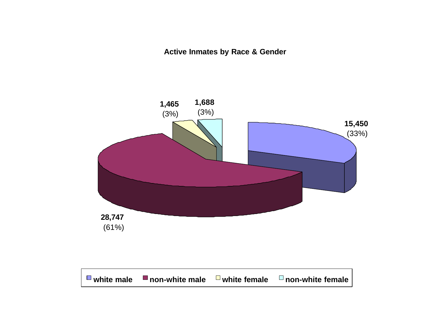**Active Inmates by Race & Gender**

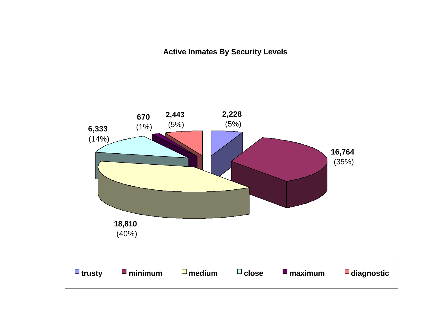**Active Inmates By Security Levels**

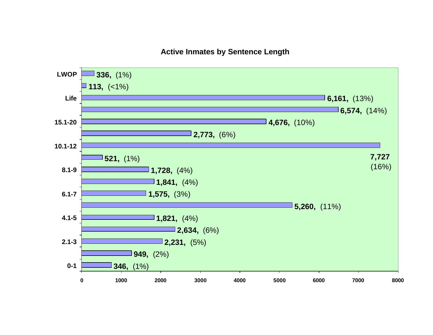#### **Active Inmates by Sentence Length**

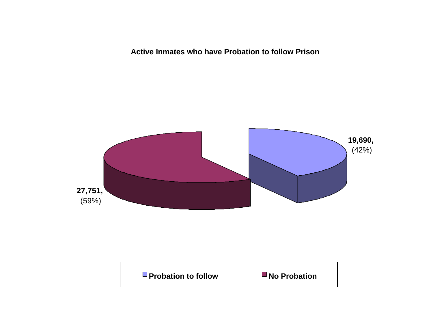**Active Inmates who have Probation to follow Prison**



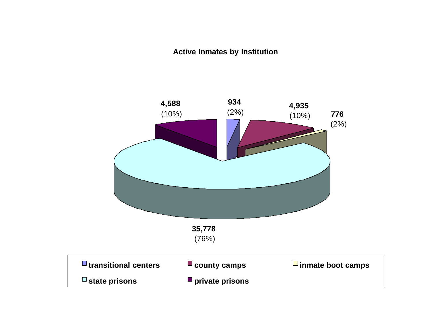#### **Active Inmates by Institution**

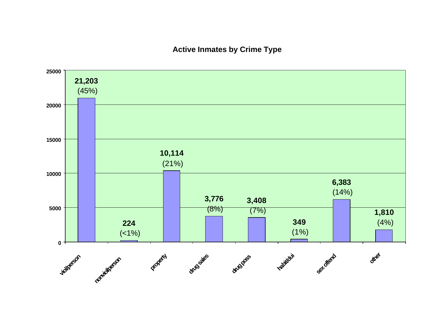#### **Active Inmates by Crime Type**

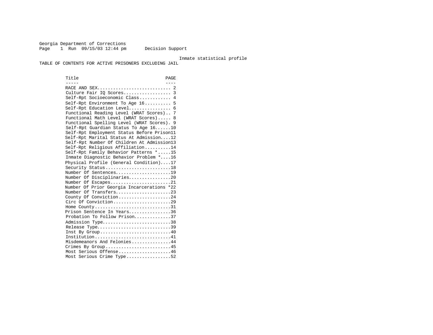Georgia Department of Corrections Page 1 Run 09/15/03 12:44 pm Decision Support

Inmate statistical profile

TABLE OF CONTENTS FOR ACTIVE PRISONERS EXCLUDING JAIL

Title PAGE ----- ---- RACE AND SEX............................ 2 Culture Fair IQ Scores.................. 3 Self-Rpt Socioeconomic Class............ 4 Self-Rpt Environment To Age 16.......... 5 Self-Rpt Education Level................ 6 Functional Reading Level (WRAT Scores).. 7 Functional Math Level (WRAT Scores)..... 8 Functional Spelling Level (WRAT Scores). 9 Self-Rpt Guardian Status To Age 16......10 Self-Rpt Employment Status Before Prison11 Self-Rpt Marital Status At Admission....12 Self-Rpt Number Of Children At Admission13 Self-Rpt Religious Affiliation..........14 Self-Rpt Family Behavior Patterns \*.....15 Inmate Diagnostic Behavior Problem \*....16 Physical Profile (General Condition)....17 Security Status............................18 Number Of Sentences.....................19 Number Of Disciplinaries................20 Number Of Escapes.........................21 Number Of Prior Georgia Incarcerations \*22 Number Of Transfers.....................23 County Of Conviction....................24 Circ Of Conviction........................29 Home County.............................31 Prison Sentence In Years................36 Probation To Follow Prison..............37 Admission Type..............................38 Release Type...............................39 Inst By  $Group \ldots \ldots \ldots \ldots \ldots \ldots \ldots \ldots \ldots 40$  Institution.............................41 Misdemeanors And Felonies...............44 Crimes By Group..........................45 Most Serious Offense....................46 Most Serious Crime Type.................52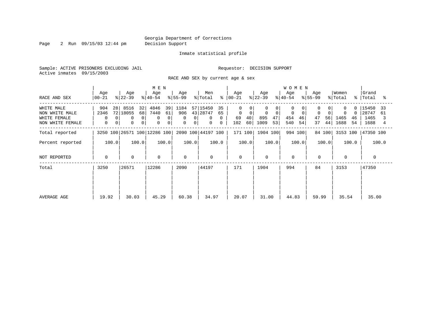Page 2 Run 09/15/03 12:44 pm Decision Support

#### Inmate statistical profile

Sample: ACTIVE PRISONERS EXCLUDING JAIL **Requestor: DECISION SUPPORT** Active inmates 09/15/2003

RACE AND SEX by current age & sex

|                                                                  |                                                                     |                                                                                                | M E N                                                               |                                            |                                                                                              |                                                              |                                                  | <b>WOMEN</b>                     |                           |                                                            |                                            |
|------------------------------------------------------------------|---------------------------------------------------------------------|------------------------------------------------------------------------------------------------|---------------------------------------------------------------------|--------------------------------------------|----------------------------------------------------------------------------------------------|--------------------------------------------------------------|--------------------------------------------------|----------------------------------|---------------------------|------------------------------------------------------------|--------------------------------------------|
| RACE AND SEX                                                     | Age<br>  00-21                                                      | Age<br>$ 22-39 $                                                                               | Age<br>$ 40-54 $                                                    | Age<br>$8 55-99$                           | Men<br>% Total                                                                               | Age<br>$8   00 - 21$                                         | Age<br>$ 22-39 $                                 | Age<br>$8 40-54$                 | Age<br>$ 55-99 $          | Women<br>% Total                                           | Grand<br>%   Total<br>°≈                   |
| WHITE MALE<br>NON WHITE MALE<br>WHITE FEMALE<br>NON WHITE FEMALE | 28 <sup>1</sup><br>904<br>2346<br>$\mathbf{0}$<br>0<br>$\mathbf{0}$ | 8516<br>32<br>72 18055<br>68<br>$\mathbf 0$<br>$\overline{0}$<br>$\mathbf 0$<br>0 <sup>1</sup> | 4846<br>39<br>7440<br>61<br>0<br>0<br>$\mathbf 0$<br>$\overline{0}$ | 1184<br>906<br>0<br>0<br>$\mathbf{0}$<br>0 | 57 15450<br>35<br>43 28747<br>65<br>$\mathbf{0}$<br>$\Omega$<br>$\mathbf{0}$<br>$\mathbf{0}$ | $\Omega$<br>$\mathbf 0$<br>$\Omega$<br>40<br>69<br>60<br>102 | 0<br>0<br>$\mathbf 0$<br>895<br>47<br>1009<br>53 | 0<br>0<br>454<br>46<br>540<br>54 | 0<br>47<br>56<br>37<br>44 | $\Omega$<br>0<br>0<br>$\Omega$<br>1465<br>46<br>1688<br>54 | 15450<br>33<br>28747<br>61<br>1465<br>1688 |
| Total reported                                                   |                                                                     | 3250 100 26571 100 12286 100                                                                   |                                                                     |                                            | 2090 100 44197 100                                                                           | 171 100                                                      | 1904 100                                         | 994 100                          | 84 100                    | 3153 100                                                   | 47350 100                                  |
| Percent reported                                                 | 100.0                                                               | 100.0                                                                                          | 100.0                                                               | 100.0                                      | 100.0                                                                                        | 100.0                                                        | 100.0                                            | 100.0                            | 100.0                     | 100.0                                                      | 100.0                                      |
| NOT REPORTED                                                     | $\mathbf{0}$                                                        | $\mathbf 0$                                                                                    | $\mathbf 0$                                                         | $\mathbf 0$                                | $\mathbf 0$                                                                                  | $\mathbf 0$                                                  | 0                                                | $\mathbf 0$                      | $\mathbf 0$               | $\mathbf{0}$                                               | $\Omega$                                   |
| Total                                                            | 3250                                                                | 26571                                                                                          | 12286                                                               | 2090                                       | 44197                                                                                        | 171                                                          | 1904                                             | 994                              | 84                        | 3153                                                       | 47350                                      |
| AVERAGE AGE                                                      | 19.92                                                               | 30.03                                                                                          | 45.29                                                               | 60.38                                      | 34.97                                                                                        | 20.07                                                        | 31.00                                            | 44.83                            | 59.99                     | 35.54                                                      | 35.00                                      |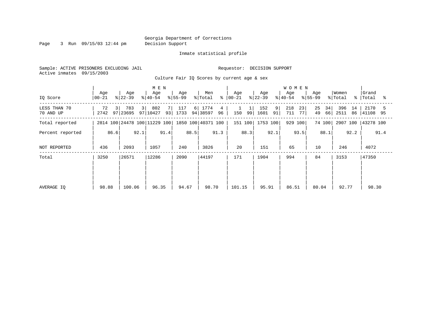Page 3 Run 09/15/03 12:44 pm Decision Support

#### Inmate statistical profile

Sample: ACTIVE PRISONERS EXCLUDING JAIL **Requestor: DECISION SUPPORT** Active inmates 09/15/2003

Culture Fair IQ Scores by current age & sex

| IQ Score                  | Age<br>$ 00-21 $             | Age<br>$ 22-39 $                  | M E N<br>Age<br>$ 40-54 $ | Age<br>$ 55-99$         | Men<br>န္<br>% Total        | Age<br>$ 00 - 21$ | Age<br>$ 22-39 $       | <b>WOMEN</b><br>Age<br>$8 40-54$ | Age<br>$ 55-99 $     | Women<br>% Total<br>$\approx$ 1 | Grand<br>Total<br>ႜ   |
|---------------------------|------------------------------|-----------------------------------|---------------------------|-------------------------|-----------------------------|-------------------|------------------------|----------------------------------|----------------------|---------------------------------|-----------------------|
| LESS THAN 70<br>70 AND UP | 72<br>3 <sup>1</sup><br>2742 | 783<br>$\overline{3}$<br>97 23695 | 802<br>97 10427<br>93     | 117<br>$6 \mid$<br>1733 | 1774<br>4<br>94 38597<br>96 | 99 <br>150        | 152<br>9<br>1601<br>91 | 218<br>23<br>711<br>77           | 25<br>34<br>49<br>66 | 396<br>14<br>2511<br>86         | 2170<br>5<br>41108 95 |
| Total reported            |                              | 2814 100 24478 100 11229 100      |                           |                         | 1850 100 40371 100          | 151 100           | 1753 100               | 929 100                          | 74 100               | 2907 100                        | 43278 100             |
| Percent reported          | 86.6                         | 92.1                              | 91.4                      | 88.5                    | 91.3                        | 88.3              | 92.1                   | 93.5                             | 88.1                 | 92.2                            | 91.4                  |
| NOT REPORTED              | 436                          | 2093                              | 1057                      | 240                     | 3826                        | 20                | 151                    | 65                               | 10                   | 246                             | 4072                  |
| Total                     | 3250                         | 26571                             | 12286                     | 2090                    | 44197                       | 171               | 1904                   | 994                              | 84                   | 3153                            | 47350                 |
|                           |                              |                                   |                           |                         |                             |                   |                        |                                  |                      |                                 |                       |
|                           |                              |                                   |                           |                         |                             |                   |                        |                                  |                      |                                 |                       |
| AVERAGE IQ                | 98.88                        | 100.06                            | 96.35                     | 94.67                   | 98.70                       | 101.15            | 95.91                  | 86.51                            | 80.04                | 92.77                           | 98.30                 |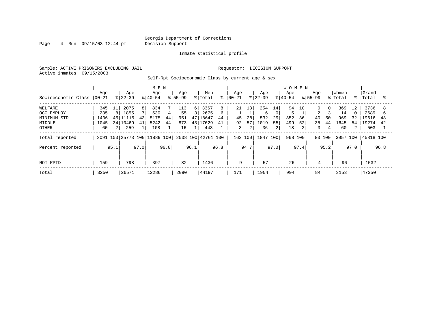Page 4 Run 09/15/03 12:44 pm Decision Support

#### Inmate statistical profile

Sample: ACTIVE PRISONERS EXCLUDING JAIL **Requestor: DECISION SUPPORT** Active inmates 09/15/2003

Self-Rpt Socioeconomic Class by current age & sex

|                     |           |      |            |      | M E N                        |      |           |      |                    |      |            |      |           |                | <b>WOMEN</b> |      |             |                |          |             |           |      |
|---------------------|-----------|------|------------|------|------------------------------|------|-----------|------|--------------------|------|------------|------|-----------|----------------|--------------|------|-------------|----------------|----------|-------------|-----------|------|
|                     | Age       |      | Age        |      | Age                          |      | Age       |      | Men                |      | Age        |      | Age       |                | Age          |      | Age         |                | Women    |             | Grand     |      |
| Socioeconomic Class | $ 00-21 $ |      | $ 22-39 $  |      | $8 40-54$                    |      | $ 55-99 $ |      | % Total            | °    | $ 00 - 21$ |      | $ 22-39 $ |                | $8 40-54$    |      | $8155 - 99$ |                | % Total  | $\approx$ 1 | Total     | ႜ    |
| WELFARE             | 345       | 11   | 2075       | 8    | 834                          |      | 113       | 61   | 3367               | 8    | 21         | 13   | 254       | 14             | 94           | 10   | 0           | 0 <sup>1</sup> | 369      | 12          | 3736      | 8    |
| OCC EMPLOY          | 235       | 8    | 1855       |      | 530                          | 4    | 55        | 3    | 2675               | 6    |            |      | 6         | $\Omega$       |              |      | 2           |                | 14       |             | 2689      | b    |
| MINIMUM STD         | 1406      |      | 45 111115  | 43   | 5175                         | 44   | 951       |      | 47 18647           | 44   | 45         | 28   | 532       | 29             | 352          | 36   | 40          | 50             | 969      | 32          | 19616     | 43   |
| MIDDLE              | 1045      |      | 34   10469 | 41   | 5242                         | 44   | 873       |      | 43 17629           | 41   | 92         | 57   | 1019      | 55             | 499          | 52   | 35          | 44             | 1645     | 54          | 19274     | 42   |
| OTHER               | 60        | 2    | 259        |      | 108                          |      | 16        |      | 443                |      | 3          | 2    | 36        | $\overline{2}$ | 18           | 2    | 3           | 4              | 60       |             | 503       |      |
| Total reported      |           |      |            |      | 3091 100 25773 100 11889 100 |      |           |      | 2008 100 42761 100 |      | 162 100    |      | 1847 100  |                | 968          | 100  | 80 100      |                | 3057 100 |             | 45818 100 |      |
| Percent reported    |           | 95.1 |            | 97.0 |                              | 96.8 |           | 96.1 |                    | 96.8 |            | 94.7 |           | 97.0           |              | 97.4 |             | 95.2           |          | 97.0        |           | 96.8 |
| NOT RPTD            | 159       |      | 798        |      | 397                          |      | 82        |      | 1436               |      | 9          |      | 57        |                | 26           |      | 4           |                | 96       |             | 1532      |      |
| Total               | 3250      |      | 26571      |      | 12286                        |      | 2090      |      | 44197              |      | 171        |      | 1904      |                | 994          |      | 84          |                | 3153     |             | 47350     |      |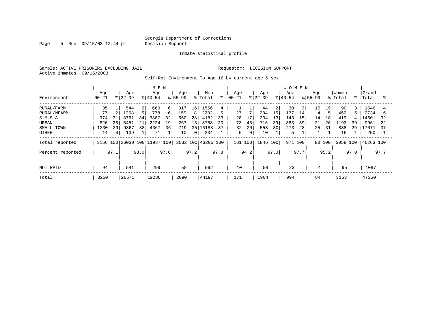Page 5 Run 09/15/03 12:44 pm Decision Support

#### Inmate statistical profile

Sample: ACTIVE PRISONERS EXCLUDING JAIL **Requestor: DECISION SUPPORT** Active inmates 09/15/2003

Self-Rpt Environment To Age 16 by current age & sex

|                            |                 |                               | M E N                                |                        |                           |                              |                                   | <b>WOMEN</b>           |                      |                                 |                           |
|----------------------------|-----------------|-------------------------------|--------------------------------------|------------------------|---------------------------|------------------------------|-----------------------------------|------------------------|----------------------|---------------------------------|---------------------------|
| Environment                | Age<br>$ 00-21$ | Age<br>$8 22-39$              | Age<br>$8 40-54$                     | Age<br>$8155 - 99$     | Men<br>နွ<br>% Total      | Aqe<br>$ 00 - 21$            | Age<br>$8 22-39$                  | Age<br>$ 40-54$        | Age<br>$8155 - 99$   | Women<br>% Total<br>$\approx$ 1 | Grand<br>Total<br>°       |
| RURAL/FARM<br>RURAL/NFARM  | 35<br>77        | 544<br>1268                   | 2<br>660<br>6<br>5.<br>778<br>6      | 317<br>16<br>159<br>8  | 1556<br>5<br>2282         | 17<br>27                     | $\overline{2}$<br>44<br>284<br>15 | 30<br>137<br>14        | 15<br>19<br>4        | 90<br>3<br>452<br>15            | 1646<br>2734<br>b         |
| S.M.S.A<br>URBAN           | 974<br>826      | 31<br>8761<br>26<br>5451      | 34<br>32<br>3887<br>2224<br>21<br>19 | 560<br>28<br>267<br>13 | 14182<br>33<br>20<br>8768 | 17<br>28<br>45<br>73         | 234<br>13<br>716<br>39            | 143<br>15<br>383<br>39 | 14<br>18<br>21<br>26 | 419<br>14<br>1193<br>39         | 14601<br>32<br>9961<br>22 |
| SMALL TOWN<br><b>OTHER</b> | 1230<br>14      | 39<br>9867<br>139<br>$\Omega$ | 38<br>4367<br>36<br>71               | 719<br>10<br>$\Omega$  | 37<br>35 16183<br>234     | 20<br>32<br>0<br>$\mathbf 0$ | 558<br>30<br>10                   | 273<br>28<br>5         | 25<br>31             | 888<br>29<br>16                 | 17071<br>37<br>250        |
| Total reported             | 3156            |                               | 100 26030 100 11987 100              |                        | 2032 100 43205 100        | 161 100                      | 1846 100                          | 971<br>100             | 80 100               | 3058 100                        | 46263 100                 |
| Percent reported           | 97.1            |                               | 98.0<br>97.6                         | 97.2                   | 97.8                      | 94.2                         | 97.0                              | 97.7                   | 95.2                 | 97.0                            | 97.7                      |
| NOT RPTD                   | 94              | 541                           | 299                                  | 58                     | 992                       | 10                           | 58                                | 23                     | 4                    | 95                              | 1087                      |
| Total                      | 3250            | 26571                         | 12286                                | 2090                   | 44197                     | 171                          | 1904                              | 994                    | 84                   | 3153                            | 47350                     |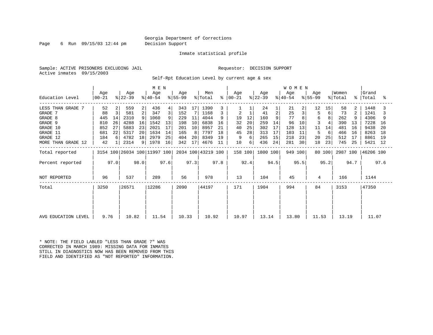Page 6 Run 09/15/03 12:44 pm Decision Support

Inmate statistical profile

Sample: ACTIVE PRISONERS EXCLUDING JAIL **Requestor: DECISION SUPPORT** Active inmates 09/15/2003

Self-Rpt Education Level by current age & sex

|                     |                  |      |                              |      | M E N            |      |                  |      |                    |      |                  |      |                  |                | <b>WOMEN</b>     |      |                  |        |                  |             |                |      |
|---------------------|------------------|------|------------------------------|------|------------------|------|------------------|------|--------------------|------|------------------|------|------------------|----------------|------------------|------|------------------|--------|------------------|-------------|----------------|------|
| Education Level     | Age<br>$00 - 21$ |      | Age<br>$ 22-39 $             |      | Age<br>$ 40-54 $ |      | Age<br>$ 55-99 $ |      | Men<br>% Total     | နွ   | Aqe<br>$ 00-21 $ |      | Age<br>$ 22-39 $ |                | Aqe<br>$ 40-54 $ |      | Age<br>$ 55-99 $ |        | Women<br>% Total | $\approx$ 1 | Grand<br>Total | °    |
| LESS THAN GRADE 7   | 52               | 2    | 559                          | 2    | 436              | 4    | 343              | 17   | 1390               |      |                  |      | 24               |                | 21               |      | 12               | 15     | 58               |             | 1448           |      |
| GRADE 7             | 88               | 3    | 581                          | 2    | 347              | 3    | 152              |      | 1168               |      | $\overline{2}$   |      | 41               | $\overline{2}$ | 25               |      | 5                | 6      | 73               |             | 1241           |      |
| GRADE 8             | 445              | 14   | 2310                         |      | 1060             | 9    | 229              | 11   | 4044               |      | 19               | 12   | 160              |                | 77               |      | 6                |        | 262              |             | 4306           |      |
| GRADE 9             | 810              | 26   | 4288                         | 16   | 1542             | 13   | 198              | 10   | 6838               | 16   | 32               | 20   | 259              | 14             | 96               | 10   | 3                |        | 390              | 13          | 7228           | 16   |
| GRADE 10            | 852              | 27   | 5883                         | 23   | 2021             | 17   | 201              | 10   | 8957               | 21   | 40               | 25   | 302              | 17             | 128              | 13   | 11               | 14     | 481              | 16          | 9438           | -20  |
| GRADE 11            | 681              | 22   | 5317                         | 20   | 1634             | 14   | 165              | 8    | 7797               | 18   | 45               | 28   | 313              | 17             | 103              | 11   | 5                | 6      | 466              | 16          | 8263           | 18   |
| GRADE 12            | 184              | 6    | 4782                         | 18   | 2979             | 25   | 404              | 20   | 8349               | 19   |                  | 6    | 265              | 15             | 218              | 23   | 20               | 25     | 512              | 17          | 8861           | 19   |
| MORE THAN GRADE 12  | 42               |      | 2314                         | 9    | 1978             | 16   | 342              | 17   | 4676               | 11   | 10               | 6    | 436              | 24             | 281              | 30   | 18               | 23     | 745              | 25          | 5421           | -12  |
| Total reported      |                  |      | 3154 100 26034 100 11997 100 |      |                  |      |                  |      | 2034 100 43219 100 |      | 158 100          |      | 1800 100         |                | 949 100          |      |                  | 80 100 | 2987 100         |             | 46206 100      |      |
| Percent reported    |                  | 97.0 |                              | 98.0 |                  | 97.6 |                  | 97.3 |                    | 97.8 |                  | 92.4 |                  | 94.5           |                  | 95.5 |                  | 95.2   |                  | 94.7        |                | 97.6 |
| NOT REPORTED        | 96               |      | 537                          |      | 289              |      | 56               |      | 978                |      | 13               |      | 104              |                | 45               |      | 4                |        | 166              |             | 1144           |      |
| Total               | 3250             |      | 26571                        |      | 12286            |      | 2090             |      | 44197              |      | 171              |      | 1904             |                | 994              |      | 84               |        | 3153             |             | 47350          |      |
|                     |                  |      |                              |      |                  |      |                  |      |                    |      |                  |      |                  |                |                  |      |                  |        |                  |             |                |      |
| AVG EDUCATION LEVEL | 9.76             |      | 10.82                        |      | 11.54            |      | 10.33            |      | 10.92              |      | 10.97            |      | 13.14            |                | 13.80            |      | 11.53            |        | 13.19            |             | 11.07          |      |

\* NOTE: THE FIELD LABLED "LESS THAN GRADE 7" WAS CORRECTED IN MARCH 1989: MISSING DATA FOR INMATES STILL IN DIAGNOSTICS NOW HAS BEEN REMOVED FROM THIS FIELD AND IDENTIFIED AS "NOT REPORTED" INFORMATION.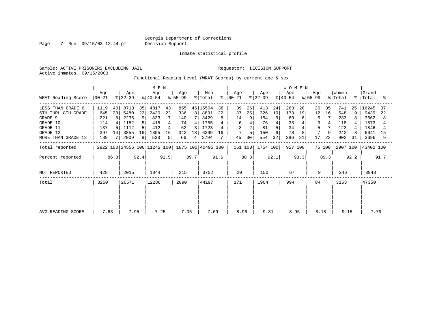Page 7 Run 09/15/03 12:44 pm Decision Support

Inmate statistical profile

Sample: ACTIVE PRISONERS EXCLUDING JAIL **Requestor: DECISION SUPPORT** Active inmates 09/15/2003

Functional Reading Level (WRAT Scores) by current age & sex

|                                                                                                              |                                                |                     |                                                      |                          | M E N                                            |                                    |                                            |                         |                                                          |                |                           |                     |                                             |                               | WOMEN                                     |                |                          |                |                                               |                |                                                       |                     |
|--------------------------------------------------------------------------------------------------------------|------------------------------------------------|---------------------|------------------------------------------------------|--------------------------|--------------------------------------------------|------------------------------------|--------------------------------------------|-------------------------|----------------------------------------------------------|----------------|---------------------------|---------------------|---------------------------------------------|-------------------------------|-------------------------------------------|----------------|--------------------------|----------------|-----------------------------------------------|----------------|-------------------------------------------------------|---------------------|
| WRAT Reading Score                                                                                           | Age<br>$ 00-21 $                               |                     | Age<br>$ 22-39 $                                     |                          | Age<br>$ 40-54$                                  |                                    | Age<br>$ 55-99 $                           |                         | Men<br>% Total                                           | $\approx$      | Age<br>$ 00-21 $          |                     | Age<br>$ 22-39 $                            |                               | Age<br>$ 40-54 $                          |                | Age<br>$ 55-99 $         |                | Women<br>% Total                              | $\approx$ 1    | Grand<br>Total                                        | °                   |
| LESS THAN GRADE 6<br>6TH THRU 8TH GRADE<br>GRADE 9<br>GRADE 10<br>GRADE 11<br>GRADE 12<br>MORE THAN GRADE 12 | 1119<br>645<br>221<br>114<br>137<br>397<br>189 | 40<br>23<br>8<br>14 | 8713<br>5480<br>2235<br>1152<br>1112<br>3855<br>2009 | 35<br>22<br>9<br>16<br>8 | 4817<br>2430<br>833<br>415<br>412<br>1805<br>530 | 43<br>22<br>7<br>4<br>4<br>16<br>5 | 855<br>336<br>140<br>74<br>62<br>342<br>66 | 18<br>4<br>3<br>18<br>4 | 46 15504<br>8891<br>3429<br>1755<br>1723<br>6399<br>2794 | 38<br>22<br>16 | 39<br>37<br>14<br>6<br>45 | 26<br>25<br>9<br>30 | 413<br>326<br>154<br>76<br>81<br>150<br>554 | 24<br>19<br>9<br>5<br>9<br>32 | 263<br>173<br>60<br>33<br>34<br>78<br>286 | 28<br>19<br>31 | 26<br>12<br>5<br>5<br>17 | 35<br>16<br>23 | 741<br>548<br>233<br>118<br>123<br>242<br>902 | 25<br>19<br>31 | 16245<br>9439<br>3662<br>1873<br>1846<br>6641<br>3696 | 37<br>22<br>8<br>15 |
| Total reported                                                                                               |                                                |                     |                                                      |                          | 2822 100 24556 100 11242 100                     |                                    |                                            |                         | 1875 100 40495 100                                       |                | 151 100                   |                     | 1754 100                                    |                               | 927 100                                   |                |                          | 75 100         | 2907 100                                      |                | 43402 100                                             |                     |
| Percent reported                                                                                             |                                                | 86.8                |                                                      | 92.4                     |                                                  | 91.5                               |                                            | 89.7                    |                                                          | 91.6           |                           | 88.3                |                                             | 92.1                          |                                           | 93.3           |                          | 89.3           |                                               | 92.2           |                                                       | 91.7                |
| NOT REPORTED                                                                                                 | 428                                            |                     | 2015                                                 |                          | 1044                                             |                                    | 215                                        |                         | 3702                                                     |                | 20                        |                     | 150                                         |                               | 67                                        |                | 9                        |                | 246                                           |                | 3948                                                  |                     |
| Total                                                                                                        | 3250                                           |                     | 26571                                                |                          | 12286                                            |                                    | 2090                                       |                         | 44197                                                    |                | 171                       |                     | 1904                                        |                               | 994                                       |                | 84                       |                | 3153                                          |                | 47350                                                 |                     |
| AVG READING SCORE                                                                                            | 7.63                                           |                     | 7.95                                                 |                          | 7.25                                             |                                    | 7.05                                       |                         | 7.69                                                     |                | 8.96                      |                     | 9.31                                        |                               | 8.95                                      |                | 8.18                     |                | 9.15                                          |                | 7.79                                                  |                     |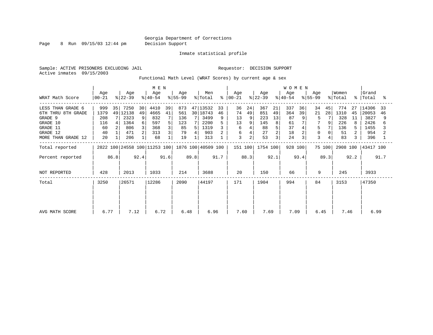Page 8 Run 09/15/03 12:44 pm Decision Support

Inmate statistical profile

Sample: ACTIVE PRISONERS EXCLUDING JAIL **Requestor: DECISION SUPPORT** Active inmates 09/15/2003

Functional Math Level (WRAT Scores) by current age & sex

|                                                                                                              |                                                   |                                                                                                            | M E N                                                           |                                                                |                                                                          |                                                           |                                                                                               | <b>WOMEN</b>                                         |                                          |                                                                     |                                                                  |
|--------------------------------------------------------------------------------------------------------------|---------------------------------------------------|------------------------------------------------------------------------------------------------------------|-----------------------------------------------------------------|----------------------------------------------------------------|--------------------------------------------------------------------------|-----------------------------------------------------------|-----------------------------------------------------------------------------------------------|------------------------------------------------------|------------------------------------------|---------------------------------------------------------------------|------------------------------------------------------------------|
| WRAT Math Score                                                                                              | Age<br>$00 - 21$                                  | Age<br>$ 22-39 $                                                                                           | Age<br>$ 40-54 $                                                | Age<br>$8 55-99$                                               | Men<br>% Total<br>န္ $\vert$                                             | Age<br>$ 00-21 $                                          | Age<br>$ 22-39 $                                                                              | Age<br>$ 40-54 $                                     | Age<br>$ 55-99 $                         | Women<br>% Total                                                    | Grand<br>%   Total<br>°≈                                         |
| LESS THAN GRADE 6<br>6TH THRU 8TH GRADE<br>GRADE 9<br>GRADE 10<br>GRADE 11<br>GRADE 12<br>MORE THAN GRADE 12 | 999<br>35<br>1379<br>208<br>116<br>60<br>40<br>20 | 7250<br>30 <sup>1</sup><br>49<br>12138<br>49<br>2323<br>9<br>1364<br>4<br>6<br>806<br>3<br>2<br>471<br>206 | 4410<br>39<br>4665<br>41<br>832<br>597<br>5<br>368<br>313<br>68 | 873<br>561<br>136<br>7<br>7<br>123<br>85<br>5<br>79<br>4<br>19 | 47 13532<br>33<br>30   18743<br>46<br>3499<br>2200<br>1319<br>903<br>313 | 36<br>24<br>49<br>74<br>13<br>13<br>9<br>6<br>6<br>3<br>2 | 367<br>21<br>851<br>49<br>223<br>13<br>8 <sup>1</sup><br>145<br>5<br>88<br>2<br>27<br>53<br>3 | 337<br>36<br>364<br>39<br>87<br>61<br>37<br>18<br>24 | 34<br>45<br>28<br>21<br>5<br>9<br>5<br>3 | 774<br>27<br>1310<br>45<br>328<br>11<br>226<br>136<br>51<br>83<br>3 | 14306<br>33<br>20053<br>46<br>3827<br>2426<br>1455<br>954<br>396 |
| Total reported                                                                                               |                                                   | 2822 100 24558 100 11253 100                                                                               |                                                                 |                                                                | 1876 100 40509 100                                                       | 151 100                                                   | 1754 100                                                                                      | 928 100                                              | 75 100                                   | 2908 100                                                            | 43417 100                                                        |
| Percent reported                                                                                             | 86.8                                              | 92.4                                                                                                       | 91.6                                                            | 89.8                                                           | 91.7                                                                     | 88.3                                                      | 92.1                                                                                          | 93.4                                                 | 89.3                                     | 92.2                                                                | 91.7                                                             |
| NOT REPORTED                                                                                                 | 428                                               | 2013                                                                                                       | 1033                                                            | 214                                                            | 3688                                                                     | 20                                                        | 150                                                                                           | 66                                                   | 9                                        | 245                                                                 | 3933                                                             |
| Total                                                                                                        | 3250                                              | 26571                                                                                                      | 12286                                                           | 2090                                                           | 44197                                                                    | 171                                                       | 1904                                                                                          | 994                                                  | 84                                       | 3153                                                                | 47350                                                            |
| AVG MATH SCORE                                                                                               | 6.77                                              | 7.12                                                                                                       | 6.72                                                            | 6.48                                                           | 6.96                                                                     | 7.60                                                      | 7.69                                                                                          | 7.09                                                 | 6.45                                     | 7.46                                                                | 6.99                                                             |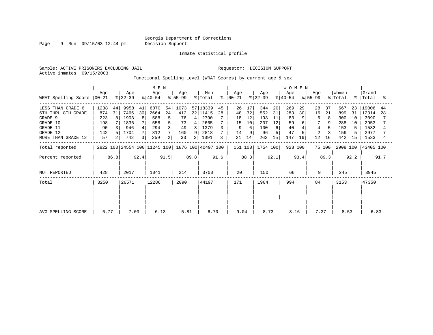Page 9 Run 09/15/03 12:44 pm Decision Support

Inmate statistical profile

Active inmates 09/15/2003

Sample: ACTIVE PRISONERS EXCLUDING JAIL **Requestor: DECISION SUPPORT** 

Functional Spelling Level (WRAT Scores) by current age & sex

|                                                                                                              |                                              |               |                                                    |                    | M E N                                           |                         |                                            |                               |                                                              |               |                                       |                                 |                                              |                                 | <b>WOMEN</b>                              |                     |                                            |                     |                                               |                            |                                                        |          |
|--------------------------------------------------------------------------------------------------------------|----------------------------------------------|---------------|----------------------------------------------------|--------------------|-------------------------------------------------|-------------------------|--------------------------------------------|-------------------------------|--------------------------------------------------------------|---------------|---------------------------------------|---------------------------------|----------------------------------------------|---------------------------------|-------------------------------------------|---------------------|--------------------------------------------|---------------------|-----------------------------------------------|----------------------------|--------------------------------------------------------|----------|
| WRAT Spelling Score                                                                                          | Age<br>$ 00-21 $                             |               | Age<br>$ 22-39 $                                   |                    | Age<br>$ 40-54 $                                |                         | Age<br>$ 55-99 $                           |                               | Men<br>% Total                                               | $\approx$     | Age<br>$ 00-21 $                      |                                 | Age<br>$ 22-39 $                             |                                 | Age<br>$ 40-54 $                          |                     | Age<br>$ 55-99 $                           |                     | Women<br>% Total                              |                            | Grand<br>%   Total                                     | °        |
| LESS THAN GRADE 6<br>6TH THRU 8TH GRADE<br>GRADE 9<br>GRADE 10<br>GRADE 11<br>GRADE 12<br>MORE THAN GRADE 12 | 1238<br>874<br>223<br>198<br>90<br>142<br>57 | 44<br>31<br>8 | 9958<br>7465<br>1903<br>1836<br>946<br>1704<br>742 | 41<br>30<br>8<br>3 | 6070<br>2664<br>588<br>558<br>294<br>812<br>259 | 54<br>24<br>5<br>5<br>2 | 1073<br>412<br>76<br>73<br>49<br>160<br>33 | 4<br>4<br>9<br>$\overline{2}$ | 57 18339<br>22 11415<br>2790<br>2665<br>1379<br>2818<br>1091 | 45<br>28<br>3 | 26<br>48<br>18<br>15<br>9<br>14<br>21 | 17<br>32<br>12<br>10<br>9<br>14 | 344<br>552<br>193<br>207<br>100<br>96<br>262 | 20<br>31<br>11<br>12<br>6<br>15 | 269<br>283<br>83<br>59<br>40<br>47<br>147 | 29<br>30<br>9<br>16 | 28<br>16<br>6<br>4<br>$\overline{2}$<br>12 | 37<br>21<br>8<br>16 | 667<br>899<br>300<br>288<br>153<br>159<br>442 | 23<br>31<br>10<br>10<br>15 | 19006<br>12314<br>3090<br>2953<br>1532<br>2977<br>1533 | 44<br>28 |
| Total reported<br>Percent reported                                                                           |                                              | 86.8          |                                                    | 92.4               | 2822 100 24554 100 11245 100                    | 91.5                    |                                            | 89.8                          | 1876 100 40497 100                                           | 91.6          | 151 100                               | 88.3                            | 1754 100                                     | 92.1                            | 928 100                                   | 93.4                |                                            | 75 100<br>89.3      | 2908 100                                      | 92.2                       | 43405 100                                              | 91.7     |
| NOT REPORTED                                                                                                 | 428                                          |               | 2017                                               |                    | 1041                                            |                         | 214                                        |                               | 3700                                                         |               | 20                                    |                                 | 150                                          |                                 | 66                                        |                     | 9                                          |                     | 245                                           |                            | 3945                                                   |          |
| Total                                                                                                        | 3250                                         |               | 26571                                              |                    | 12286                                           |                         | 2090                                       |                               | 44197                                                        |               | 171                                   |                                 | 1904                                         |                                 | 994                                       |                     | 84                                         |                     | 3153                                          |                            | 47350                                                  |          |
| AVG SPELLING SCORE                                                                                           | 6.77                                         |               | 7.03                                               |                    | 6.13                                            |                         | 5.81                                       |                               | 6.70                                                         |               | 9.04                                  |                                 | 8.73                                         |                                 | 8.16                                      |                     | 7.37                                       |                     | 8.53                                          |                            | 6.83                                                   |          |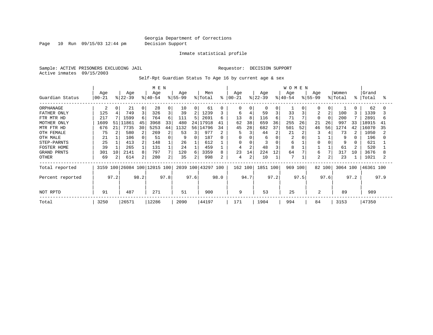Page 10 Run 09/15/03 12:44 pm Decision Support

#### Inmate statistical profile

Sample: ACTIVE PRISONERS EXCLUDING JAIL **Requestor: DECISION SUPPORT** Active inmates 09/15/2003

Self-Rpt Guardian Status To Age 16 by current age & sex

|                    | Age      |      | Age       |      | M E N<br>Age            |          | Age       |      | Men                |      | Age      |                | Age       |          | <b>WOMEN</b><br>Age |      | Age            |                | Women    |      | Grand     |      |
|--------------------|----------|------|-----------|------|-------------------------|----------|-----------|------|--------------------|------|----------|----------------|-----------|----------|---------------------|------|----------------|----------------|----------|------|-----------|------|
| Guardian Status    | $ 00-21$ |      | $ 22-39 $ |      | $ 40-54$                |          | $ 55-99 $ |      | % Total            | ి    | $ 00-21$ |                | $ 22-39 $ |          | $ 40-54 $           |      | $8 55-99$      |                | % Total  | °    | Total     | ႜ    |
| ORPHANAGE          | 2        | 0    | 21        | 0    | 28                      | $\Omega$ | 10        | 0    | 61                 |      | 0        | $\Omega$       |           | $\Omega$ |                     |      | $\Omega$       | $\Omega$       |          |      | 62        | O    |
| FATHER ONLY        | 125      |      | 749       | 3    | 326                     | 3        | 39        | 2    | 1239               | 3    | 6        | 4              | 59        | 3        | 33                  |      | 2              | $\overline{2}$ | 100      |      | 1339      |      |
| FTR MTR HD         | 217      |      | 1599      | 6    | 764                     | 6        | 111       | 5.   | 2691               | 6    | 13       | 8              | 116       | б        | 71                  |      | $\Omega$       | $\Omega$       | 200      |      | 2891      | 6    |
| MOTHER ONLY        | 1609     | 511  | 11861     | 45   | 3968                    | 33       | 480       | 24   | 17918              | 41   | 62       | 38             | 659       | 36       | 255                 | 26   | 21             | 26             | 997      | 33   | 18915     | 41   |
| MTR FTR HD         | 676      | 21   | 7735      | 30   | 5253                    | 44       | 1132      | 56 l | 14796              | 34   | 45       | 28             | 682       | 37       | 501                 | 52   | 46             | 56             | 1274     | 42   | 16070     | 35   |
| OTH FEMALE         | 75       |      | 580       | 2    | 269                     | 2        | 53        | 3    | 977                |      | 5        |                | 44        |          | 21                  |      | 3              |                | 73       |      | 1050      |      |
| OTH MALE           | 21       |      | 106       |      | 51                      | U        | 9         |      | 187                |      | 0        |                | 6         |          |                     |      |                |                | 9        |      | 196       |      |
| STEP-PARNTS        | 25       |      | 413       | 2    | 148                     |          | 26        |      | 612                |      | 0        |                |           |          | 6                   |      |                |                | 9        |      | 621       |      |
| FOSTER HOME        | 39       |      | 265       |      | 131                     |          | 24        |      | 459                |      | 4        | $\overline{c}$ | 48        |          | 8                   |      |                |                | 61       |      | 520       |      |
| <b>GRAND PRNTS</b> | 301      | 10   | 2141      | 8    | 797                     | 7        | 120       | 6    | 3359               | 8    | 23       | 14             | 224       | 12       | 64                  |      | 6              |                | 317      | 10   | 3676      |      |
| OTHER              | 69       | 2    | 614       | 2    | 280                     | 2        | 35        | 2    | 998                |      | 4        | 2              | 10        |          | 7                   |      | $\overline{2}$ |                | 23       |      | 1021      |      |
| Total reported     | 3159     |      |           |      | 100 26084 100 12015 100 |          |           |      | 2039 100 43297 100 |      | 162 100  |                | 1851 100  |          | 969 100             |      | 82 100         |                | 3064 100 |      | 46361 100 |      |
| Percent reported   |          | 97.2 |           | 98.2 |                         | 97.8     |           | 97.6 |                    | 98.0 |          | 94.7           |           | 97.2     |                     | 97.5 |                | 97.6           |          | 97.2 |           | 97.9 |
| NOT RPTD           | 91       |      | 487       |      | 271                     |          | 51        |      | 900                |      | 9        |                | 53        |          | 25                  |      | 2              |                | 89       |      | 989       |      |
| Total              | 3250     |      | 26571     |      | 12286                   |          | 2090      |      | 44197              |      | 171      |                | 1904      |          | 994                 |      | 84             |                | 3153     |      | 47350     |      |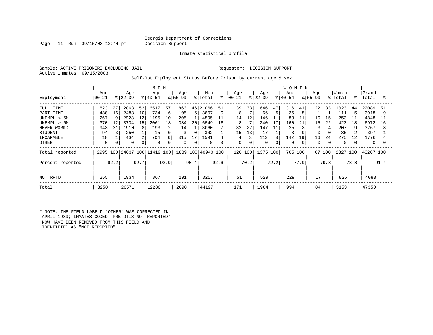Page 11 Run 09/15/03 12:44 pm Decision Support

Inmate statistical profile

Sample: ACTIVE PRISONERS EXCLUDING JAIL **Requestor: DECISION SUPPORT** Active inmates 09/15/2003

Self-Rpt Employment Status Before Prison by current age & sex

|                                                                                                             |                                                         |                           |                                                          |                           | M E N                                                          |                                          |                                                              |                               |                                                           |                                 |                                          |                           |                                                  |                                            | <b>WOMEN</b>                                         |                      |                                       |                                |                                                    |                                            |                                                           |                           |
|-------------------------------------------------------------------------------------------------------------|---------------------------------------------------------|---------------------------|----------------------------------------------------------|---------------------------|----------------------------------------------------------------|------------------------------------------|--------------------------------------------------------------|-------------------------------|-----------------------------------------------------------|---------------------------------|------------------------------------------|---------------------------|--------------------------------------------------|--------------------------------------------|------------------------------------------------------|----------------------|---------------------------------------|--------------------------------|----------------------------------------------------|--------------------------------------------|-----------------------------------------------------------|---------------------------|
| Employment                                                                                                  | Age<br>$00 - 21$                                        |                           | Age<br>$ 22-39 $                                         |                           | Age<br>$ 40-54 $                                               |                                          | Age<br>$8155 - 99$                                           |                               | Men<br>% Total                                            | နွ                              | Age<br>  00-21                           |                           | Age<br>$ 22-39 $                                 |                                            | Age<br>$8 40-54$                                     |                      | Age<br>$8155 - 99$                    |                                | Women<br>% Total                                   | $\approx$ 1                                | Grand<br>Total                                            | °                         |
| FULL TIME<br>PART TIME<br>UNEMPL < 6M<br>UNEMPL > 6M<br>NEVER WORKD<br><b>STUDENT</b><br>INCAPABLE<br>OTHER | 823<br>480<br>267<br>370<br>943<br>94<br>18<br>$\Omega$ | 27<br>16<br>9<br>12<br>31 | 12863<br>2488<br>2928<br>3734<br>1910<br>250<br>464<br>0 | 52<br>10<br>12<br>15<br>8 | 6517<br>734<br>1195<br>2061<br>193<br>15<br>704<br>$\mathbf 0$ | 57<br>6<br>10<br>18<br>2<br>0<br>б.<br>0 | 863<br>105<br>205<br>384<br>14<br>3<br>315<br>$\overline{0}$ | 46<br>6<br>11<br>20<br>0<br>0 | 21066<br>3807<br>4595<br>6549<br>3060<br>362<br>1501<br>0 | 51<br>9<br>11<br>16<br>$\Omega$ | 39<br>8<br>14<br>8<br>32<br>15<br>4<br>0 | 33<br>12<br>27<br>13<br>0 | 646<br>66<br>146<br>240<br>147<br>17<br>113<br>0 | 47<br>5<br>11<br>17<br>11<br>8<br>$\Omega$ | 316<br>36<br>83<br>160<br>25<br>3<br>142<br>$\Omega$ | 41<br>11<br>21<br>19 | 22<br>10<br>15<br>3<br>16<br>$\Omega$ | 33<br>15<br>22<br>4<br>24<br>0 | 1023<br>111<br>253<br>423<br>207<br>35<br>275<br>0 | 44<br>$\mathcal{P}$<br>11<br>18<br>9<br>12 | 22089<br>3918<br>4848<br>6972<br>3267<br>397<br>1776<br>0 | -51<br>9<br>11<br>16<br>8 |
| Total reported                                                                                              | 2995                                                    |                           |                                                          |                           | 100 24637 100 11419 100                                        |                                          |                                                              |                               | 1889 100 40940 100                                        |                                 | 120 100                                  |                           | 1375 100                                         |                                            | 765                                                  | 100                  |                                       | 67 100                         | 2327                                               | 100                                        | 43267 100                                                 |                           |
| Percent reported                                                                                            |                                                         | 92.2                      |                                                          | 92.7                      |                                                                | 92.9                                     |                                                              | 90.4                          |                                                           | 92.6                            |                                          | 70.2                      |                                                  | 72.2                                       |                                                      | 77.0                 |                                       | 79.8                           |                                                    | 73.8                                       |                                                           | 91.4                      |
| NOT RPTD                                                                                                    | 255                                                     |                           | 1934                                                     |                           | 867                                                            |                                          | 201                                                          |                               | 3257                                                      |                                 | 51                                       |                           | 529                                              |                                            | 229                                                  |                      | 17                                    |                                | 826                                                |                                            | 4083                                                      |                           |
| Total                                                                                                       | 3250                                                    |                           | 26571                                                    |                           | 12286                                                          |                                          | 2090                                                         |                               | 44197                                                     |                                 | 171                                      |                           | 1904                                             |                                            | 994                                                  |                      | 84                                    |                                | 3153                                               |                                            | 47350                                                     |                           |

\* NOTE: THE FIELD LABELD "OTHER" WAS CORRECTED IN APRIL 1989; INMATES CODED "PRE-OTIS NOT REPORTED" NOW HAVE BEEN REMOVED FROM THIS FIELD AND IDENTIFIED AS "NOT REPORTED".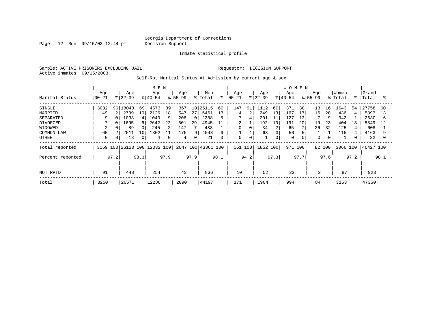Page 12 Run 09/15/03 12:44 pm Decision Support

Inmate statistical profile

Sample: ACTIVE PRISONERS EXCLUDING JAIL **Requestor: DECISION SUPPORT** Active inmates 09/15/2003

Self-Rpt Marital Status At Admission by current age & sex

|                  |           |      |           |      | M E N                   |      |             |      |           |      |           |             |           |      | <b>WOMEN</b> |      |             |      |          |      |           |      |
|------------------|-----------|------|-----------|------|-------------------------|------|-------------|------|-----------|------|-----------|-------------|-----------|------|--------------|------|-------------|------|----------|------|-----------|------|
|                  | Age       |      | Age       |      | Age                     |      | Age         |      | Men       |      | Age       |             | Age       |      | Age          |      | Age         |      | Women    |      | Grand     |      |
| Marital Status   | $00 - 21$ |      | $8 22-39$ |      | $8 40-54$               |      | $8155 - 99$ |      | % Total   | ⊱    | $ 00-21 $ |             | $8 22-39$ |      | $8 40-54$    |      | $8155 - 99$ |      | % Total  | °≈   | Total     | °≈   |
| SINGLE           | 3032      | 96   | 18043     | 69   | 4673                    | 39   | 367         | 18   | 26115     | 60   | 147       | 91          | 1112      | 60   | 371          | 38   | 13          | 16   | 1643     | -54  | 27758     | 60   |
| MARRIED          | 49        |      | 2739      | 10   | 2126                    | 18   | 547         | 27   | 5461      | 13   | 4         | 2           | 249       | 13   | 167          | 17   | 16          | 20   | 436      | 14   | 5897      | 13   |
| SEPARATED        | 9         |      | 1033      |      | 1040                    | 9    | 206         | 10   | 2288      | 5    |           | 4           | 201       | 11   | 127          | 13   |             | 9    | 342      | 11   | 2630      | 6    |
| <b>DIVORCED</b>  | ⇁         | 0    | 1695      |      | 2642                    | 22   | 601         | 29   | 4945      | 11   | 2         |             | 192       | 10   | 191          | 20   | 19          | 23   | 404      | 13   | 5349      | 12   |
| WIDOWED          | 2         |      | 89        |      | 245                     | 2    | 147         |      | 483       |      | 0         |             | 34        | 2    | 65           |      | 26          | 32   | 125      |      | 608       |      |
| COMMON LAW       | 60        |      | 2511      | 10   | 1302                    | 11   | 175         | 9    | 4048      | 9    |           |             | 63        |      | 50           |      |             |      | 115      |      | 4163      |      |
| OTHER            | $\Omega$  | 0    | 13        |      | 4                       | 0    | 4           | 0    | 21        | 0    | 0         | $\mathbf 0$ |           | 0    | 0            |      | 0           | 0    |          |      | 22        |      |
| Total reported   | 3159      |      |           |      | 100 26123 100 12032 100 |      | 2047        |      | 100 43361 | 100  | 161       | 100         | 1852 100  |      | 971          | 100  | 82 100      |      | 3066 100 |      | 46427 100 |      |
| Percent reported |           | 97.2 |           | 98.3 |                         | 97.9 |             | 97.9 |           | 98.1 |           | 94.2        |           | 97.3 |              | 97.7 |             | 97.6 |          | 97.2 |           | 98.1 |
|                  |           |      |           |      |                         |      |             |      |           |      |           |             |           |      |              |      |             |      |          |      |           |      |
| NOT RPTD         | 91        |      | 448       |      | 254                     |      | 43          |      | 836       |      | 10        |             | 52        |      | 23           |      | 2           |      | 87       |      | 923       |      |
| Total            | 3250      |      | 26571     |      | 12286                   |      | 2090        |      | 44197     |      | 171       |             | 1904      |      | 994          |      | 84          |      | 3153     |      | 47350     |      |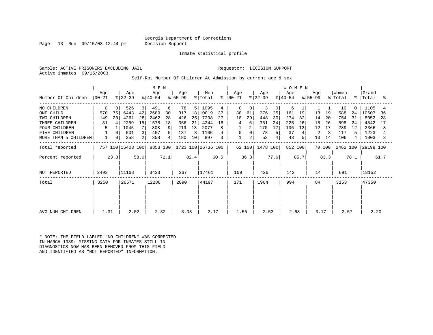Page 13 Run 09/15/03 12:44 pm Decision Support

Inmate statistical profile

Sample: ACTIVE PRISONERS EXCLUDING JAIL **Requestor: DECISION SUPPORT** Active inmates 09/15/2003

Self-Rpt Number Of Children At Admission by current age & sex

|                      |                  |      |                   |      | M E N            |      |                  |                |                    |      |                 |          |                  |             | WOMEN            |      |                  |        |                  |           |                |      |
|----------------------|------------------|------|-------------------|------|------------------|------|------------------|----------------|--------------------|------|-----------------|----------|------------------|-------------|------------------|------|------------------|--------|------------------|-----------|----------------|------|
| Number Of Children   | Age<br>$00 - 21$ |      | Age<br>$ 22-39 $  |      | Age<br>$ 40-54 $ |      | Age<br>$ 55-99 $ |                | Men<br>% Total     | ႜ    | Aqe<br>$ 00-21$ |          | Age<br>$ 22-39 $ |             | Age<br>$ 40-54 $ |      | Aqe<br>$ 55-99 $ |        | Women<br>% Total | $\approx$ | Grand<br>Total | ႜ    |
| NO CHILDREN          | 0                | 0    | 526               | 3    | 491              | 6    | 78               | 5 <sup>1</sup> | 1095               | 4    | 0               | $\Omega$ | 3                | $\mathbf 0$ | 6                |      |                  |        | 10               | $\Omega$  | 1105           |      |
| ONE CHILD            | 570              | 75   | 6443              | 42   | 2689             | 30   | 317              | 18             | 10019              | 37   | 38              | 61       | 376              | 25          | 161              | 19   | 13               | 19     | 588              | 24        | 10607          | 36   |
| TWO CHILDREN         | 149              | 20   | 4261              | 28   | 2462             | 28   | 426              | 25             | 7298               | 27   | 18              | 29       | 448              | 30          | 274              | 32   | 14               | 20     | 754              | 31        | 8052           | 28   |
| THREE CHILDREN       | 31               | 4    | 2269              | 15   | 1578             | 18   | 366              | 21             | 4244               | 16   | 4               | 6        | 351              | 24          | 225              | 26   | 18               | 26     | 598              | 24        | 4842           | 17   |
| <b>FOUR CHILDREN</b> | 5                |      | 1045              |      | 808              | 9    | 219              | 13             | 2077               |      |                 |          | 170              | 12          | 106              | 12   | 12               | 17     | 289              | 12        | 2366           | 8    |
| <b>FIVE CHILDREN</b> |                  |      | 501               | 3    | 467              | 5    | 137              | 8              | 1106               |      | 0               |          | 78               |             | 37               |      | 2                | 3      | 117              |           | 1223           |      |
| MORE THAN 5 CHILDREN |                  | 0    | 358               | 2    | 358              | 4    | 180              | 10             | 897                | 3    | $\mathbf{1}$    | 2        | 52               |             | 43               | 5    | 10               | 14     | 106              | 4         | 1003           |      |
| Total reported       |                  |      | 757 100 15403 100 |      | 8853 100         |      |                  |                | 1723 100 26736 100 |      |                 | 62 100   | 1478 100         |             | 852 100          |      |                  | 70 100 | 2462 100         |           | 29198 100      |      |
| Percent reported     |                  | 23.3 |                   | 58.0 |                  | 72.1 |                  | 82.4           |                    | 60.5 |                 | 36.3     |                  | 77.6        |                  | 85.7 |                  | 83.3   |                  | 78.1      |                | 61.7 |
| NOT REPORTED         | 2493             |      | 11168             |      | 3433             |      | 367              |                | 17461              |      | 109             |          | 426              |             | 142              |      | 14               |        | 691              |           | 18152          |      |
| Total                | 3250             |      | 26571             |      | 12286            |      | 2090             |                | 44197              |      | 171             |          | 1904             |             | 994              |      | 84               |        | 3153             |           | 47350          |      |
|                      |                  |      |                   |      |                  |      |                  |                |                    |      |                 |          |                  |             |                  |      |                  |        |                  |           |                |      |
| AVG NUM CHILDREN     | 1.31             |      | 2.02              |      | 2.32             |      | 3.03             |                | 2.17               |      | 1.55            |          | 2.53             |             | 2.68             |      | 3.17             |        | 2.57             |           | 2.20           |      |

\* NOTE: THE FIELD LABLED "NO CHILDREN" WAS CORRECTED IN MARCH 1989: MISSING DATA FOR INMATES STILL IN DIAGNOSTICS NOW HAS BEEN REMOVED FROM THIS FIELD AND IDENTIFIED AS "NOT REPORTED" INFORMATION.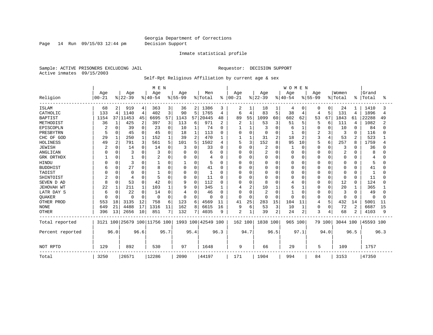Page 14 Run 09/15/03 12:44 pm Decision Support

#### Inmate statistical profile

Sample: ACTIVE PRISONERS EXCLUDING JAIL **Requestor: DECISION SUPPORT** Active inmates 09/15/2003

#### Self-Rpt Religious Affiliation by current age & sex

|                  |           |                |                              |                | M E N    |          |             |                |                    |          |               |                |                |                | WOMEN    |                |             |                |          |                |           |      |
|------------------|-----------|----------------|------------------------------|----------------|----------|----------|-------------|----------------|--------------------|----------|---------------|----------------|----------------|----------------|----------|----------------|-------------|----------------|----------|----------------|-----------|------|
|                  | Age       |                | Age                          |                | Age      |          | Age         |                | Men                |          | Age           |                | Age            |                | Age      |                | Age         |                | Women    |                | Grand     |      |
| Religion         | $00 - 21$ |                | $8 22-39$                    |                | $ 40-54$ |          | $8155 - 99$ |                | % Total            |          | $8   00 - 21$ |                | $8 22-39$      |                | $ 40-54$ |                | $8155 - 99$ |                | % Total  | ႜ              | Total     | ႜ    |
| <b>ISLAM</b>     | 68        | 2              | 919                          | 4              | 363      | 3        | 36          | $\overline{2}$ | 1386               | 3        | 2             | 1              | 18             | 1              | 4        | 0              | $\Omega$    | 0              | 24       |                | 1410      | 3    |
| CATHOLIC         | 133       | 4              | 1140                         | 4              | 402      | 3        | 90          | 5              | 1765               | 4        | 6             | $\overline{4}$ | 83             | 5              | 38       | 4              | 4           | 5              | 131      | $\overline{4}$ | 1896      | 4    |
| <b>BAPTIST</b>   | 1154      |                | 37 11453                     | 45             | 6695     | 57       | 1143        | 57             | 20445              | 48       | 89            | 55             | 1099           | 60             | 602      | 62             | 53          | 67             | 1843     | 61             | 22288     | 49   |
| METHODIST        | 36        | 1              | 425                          | $\overline{2}$ | 397      | 3        | 113         | 6              | 971                | 2        | 2             | $\mathbf{1}$   | 53             | 3              | 51       | 5              | 5           | 6              | 111      | 4              | 1082      | 2    |
| EPISCOPLN        |           | $\Omega$       | 39                           | $\Omega$       | 23       | 0        | 10          |                | 74                 | $\Omega$ |               | $\mathbf{1}$   |                | $\mathbf 0$    | 6        | $\mathbf{1}$   | $\Omega$    | $\Omega$       | 10       | 0              | 84        |      |
| PRESBYTRN        | 5         | $\Omega$       | 45                           | $\Omega$       | 45       | $\Omega$ | 18          |                | 113                | 0        | 0             | $\mathbf{0}$   |                | $\Omega$       |          | $\Omega$       | 2           | 3              | 3        | $\Omega$       | 116       |      |
| CHC OF GOD       | 29        |                | 250                          |                | 152      |          | 39          | $\overline{2}$ | 470                |          |               | $\mathbf{1}$   | 31             | $\overline{a}$ | 18       | $\overline{c}$ | 3           | $\overline{4}$ | 53       | $\mathbf{2}$   | 523       |      |
| HOLINESS         | 49        | $\overline{2}$ | 791                          | 3              | 561      | 5        | 101         | 5              | 1502               | 4        | 5             | 3              | 152            | 8              | 95       | 10             |             | 6              | 257      | $\mathsf{R}$   | 1759      |      |
| <b>JEWISH</b>    |           | $\Omega$       | 14                           | U              | 14       | 0        | 3           | $\cap$         | 33                 | 0        | $\Omega$      | $\mathbf 0$    | $\overline{c}$ | $\Omega$       |          | $\Omega$       | $\cap$      | $\Omega$       | 3        | U              | 36        |      |
| ANGLICAN         |           | $\Omega$       | 3                            |                |          | $\Omega$ | n           | $\Omega$       | 6                  | O        | <sup>0</sup>  | $\mathbf 0$    | $\overline{2}$ | 0              |          | $\Omega$       |             | $\Omega$       | 2        | U              | 8         |      |
| GRK ORTHDX       |           | $\Omega$       |                              |                |          | 0        | 0           | 0              | 4                  | 0        | O             | 0              |                | 0              |          | $\Omega$       |             | $\Omega$       | $\Omega$ | O              | 4         |      |
| <b>HINDU</b>     |           | $\Omega$       | 3                            |                |          | O        |             | $\Omega$       | 5                  | O        | <sup>0</sup>  | 0              |                | 0              |          | $\Omega$       |             | $\Omega$       | 0        | $\Omega$       | 5         |      |
| <b>BUDDHIST</b>  |           | $\Omega$       | 27                           | O              | 8        | $\Omega$ | 0           | $\Omega$       | 41                 | 0        | 0             | 0              |                | $\Omega$       |          | $\Omega$       |             | $\Omega$       | 0        | $\Omega$       | 41        |      |
| TAOIST           |           | $\Omega$       | $\Omega$                     |                |          | 0        | 0           | $\Omega$       |                    | 0        | 0             | 0              |                | $\Omega$       |          | $\Omega$       |             | $\cap$         | 0        | O              |           |      |
| SHINTOIST        | 2         | $\Omega$       | 4                            | O              |          | $\cap$   | $\Omega$    | $\Omega$       | 11                 | O        | U             | $\Omega$       | n              | $\cap$         |          | $\Omega$       | Λ           | $\Omega$       | $\Omega$ | $\Omega$       | 11        |      |
| SEVEN D AD       | 8         | $\Omega$       | 53                           | $\cap$         | 42       | $\Omega$ | 9           | $\mathbf 0$    | 112                | U        | O             | $\mathbf 0$    | 8              | $\Omega$       |          | $\Omega$       |             | $\Omega$       | 12       | $\Omega$       | 124       |      |
| JEHOVAH WT       | 22        |                | 211                          |                | 103      |          | 9           | $\Omega$       | 345                |          |               | 2              | 10             | 1              |          |                |             | $\Omega$       | 20       |                | 365       |      |
| LATR DAY S       | 6         | $\Omega$       | 22                           |                | 14       | O        | 4           | Ω              | 46                 | 0        | $\Omega$      | 0              | 2              | $\Omega$       |          | $\Omega$       |             | $\Omega$       | 3        | O              | 49        |      |
| <b>OUAKER</b>    |           | $\Omega$       | $\Omega$                     | <sup>0</sup>   | $\Omega$ | $\Omega$ | 0           | $\Omega$       | O                  | $\Omega$ | $\Omega$      | 0              | <sup>0</sup>   | $\Omega$       |          | $\Omega$       | O           | $\Omega$       | $\Omega$ | $\Omega$       | $\Omega$  |      |
| OTHER PROD       | 553       | 18             | 3135                         | 12             | 758      | 6        | 123         | 6              | 4569               | 11       | 41            | 25             | 283            | 15             | 104      | 11             | 4           | 5              | 432      | 14             | 5001      | 11   |
| <b>NONE</b>      | 649       | 21             | 4488                         | 17             | 1316     | 11       | 162         | 8              | 6615               | 16       | 9             | 6              | 53             | 3              | 10       | 1              | 0           | $\Omega$       | 72       | $\overline{2}$ | 6687      | 15   |
| <b>OTHER</b>     | 396       | 13             | 2656                         | 10             | 851      | 7        | 132         | $7\phantom{.}$ | 4035               | 9        | 2             | 1              | 39             | 2              | 24       | $\overline{2}$ | 3           | 4              | 68       | $\overline{c}$ | 4103      | 9    |
| Total reported   |           |                | 3121 100 25679 100 11756 100 |                |          |          |             |                | 1993 100 42549 100 |          | 162 100       |                | 1838 100       |                | 965 100  |                |             | 79 100         | 3044 100 |                | 45593 100 |      |
| Percent reported |           | 96.0           |                              | 96.6           |          | 95.7     |             | 95.4           |                    | 96.3     |               | 94.7           |                | 96.5           |          | 97.1           |             | 94.0           |          | 96.5           |           | 96.3 |
| NOT RPTD         | 129       |                | 892                          |                | 530      |          | 97          |                | 1648               |          | 9             |                | 66             |                | 29       |                | 5           |                | 109      |                | 1757      |      |
| Total            | 3250      |                | 26571                        |                | 12286    |          | 2090        |                | 44197              |          | 171           |                | 1904           |                | 994      |                | 84          |                | 3153     |                | 47350     |      |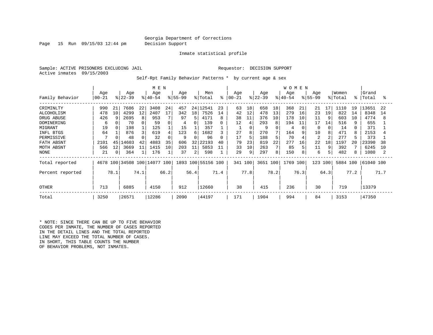Page 15 Run 09/15/03 12:44 pm Decision Support

Inmate statistical profile

Sample: ACTIVE PRISONERS EXCLUDING JAIL REGUESTOR: DECISION SUPPORT Active inmates 09/15/2003

Self-Rpt Family Behavior Patterns \* by current age & sex

|                                                                                                                       | M E N                                             |                           |                                                                |                                          |                                                               |                                |                                                       |                                |                                                                       |                                          |                                              |                                                        |                                                           |                                          | <b>WOMEN</b>                                            |                                 |                                                          |                                |                                                              |                      |                                                                     |                      |
|-----------------------------------------------------------------------------------------------------------------------|---------------------------------------------------|---------------------------|----------------------------------------------------------------|------------------------------------------|---------------------------------------------------------------|--------------------------------|-------------------------------------------------------|--------------------------------|-----------------------------------------------------------------------|------------------------------------------|----------------------------------------------|--------------------------------------------------------|-----------------------------------------------------------|------------------------------------------|---------------------------------------------------------|---------------------------------|----------------------------------------------------------|--------------------------------|--------------------------------------------------------------|----------------------|---------------------------------------------------------------------|----------------------|
| Family Behavior                                                                                                       | Age<br>$00 - 21$                                  |                           | Age<br>$ 22 - 39 $                                             |                                          | Age<br>$ 40-54 $                                              |                                | Age<br>$8155 - 99$                                    |                                | Men<br>% Total                                                        | ៖                                        | Age<br>$ 00 - 21 $                           |                                                        | Age<br>$ 22-39 $                                          |                                          | Age<br>$ 40-54 $                                        |                                 | Age<br>$8155 - 99$                                       |                                | Women<br>% Total                                             | $\approx$            | Grand<br>Total                                                      | ႜ                    |
| CRIMINLTY<br>ALCOHOLISM<br>DRUG ABUSE<br>DOMINERING<br>MIGRANT<br>INFL BTGS<br>PERMISSIVE<br>FATH ABSNT<br>MOTH ABSNT | 990<br>478<br>426<br>6<br>19<br>64<br>2101<br>566 | 21<br>10<br>9<br>45<br>12 | 7686<br>4299<br>2695<br>70<br>198<br>876<br>48<br>4603<br>3669 | 22<br>$12 \overline{ }$<br>8<br>42<br>11 | 3408<br>2407<br>953<br>59<br>125<br>619<br>32<br>4883<br>1415 | 24<br>17<br>4<br>0<br>35<br>10 | 457<br>342<br>97<br>4<br>15<br>123<br>9<br>606<br>203 | 18<br>5.<br>6<br>0<br>32<br>11 | 24 12541<br>7526<br>4171<br>139<br>357<br>1682<br>96<br>22193<br>5853 | 23<br>14<br>8<br>0<br>3<br>0<br>40<br>11 | 63<br>42<br>38<br>12<br>27<br>17<br>79<br>33 | 18<br>12<br>11<br>4<br>8 <sup>1</sup><br>5<br>23<br>10 | 658<br>478<br>376<br>293<br>9<br>270<br>188<br>819<br>263 | 18<br>13<br>10<br>8<br>7<br>5<br>22<br>7 | 368<br>279<br>178<br>194<br>4<br>164<br>70<br>277<br>85 | 21<br>16<br>10<br>11<br>9<br>16 | 21<br>23<br>11<br>17<br>10<br>$\overline{2}$<br>22<br>11 | 17<br>19<br>14<br>8<br>18<br>9 | 1110<br>822<br>603<br>516<br>14<br>471<br>277<br>1197<br>392 | 19<br>14<br>10<br>2C | 13651<br>8348<br>4774<br>655<br>371<br>2153<br>373<br>23390<br>6245 | 22<br>14<br>38<br>10 |
| NONE<br>Total reported<br>Percent reported<br><b>OTHER</b>                                                            | 21<br>713                                         | $\overline{0}$<br>78.1    | 364<br>6885                                                    | 74.1                                     | 176<br>4678 100 34508 100 14077 100<br>4150                   | 66.2                           | 37<br>912                                             | 2<br>56.4                      | 598<br>1893 100 55156 100<br>12660                                    | 71.4                                     | 29<br>341 100<br>38                          | 9 <sup>1</sup><br>77.8                                 | 297<br>3651 100<br>415                                    | 8 <sup>1</sup><br>78.2                   | 150<br>1769 100<br>236                                  | 76.3                            | 6<br>123<br>30                                           | 100<br>64.3                    | 482<br>5884 100<br>719                                       | 77.2                 | 1080<br>61040 100<br>13379                                          | 71.7                 |
| Total                                                                                                                 | 3250                                              |                           | 26571                                                          |                                          | 12286                                                         |                                | 2090                                                  |                                | 44197                                                                 |                                          | 171                                          |                                                        | 1904                                                      |                                          | 994                                                     |                                 | 84                                                       |                                | 3153                                                         |                      | 47350                                                               |                      |

\* NOTE: SINCE THERE CAN BE UP TO FIVE BEHAVIOR CODES PER INMATE, THE NUMBER OF CASES REPORTED IN THE DETAIL LINES AND THE TOTAL REPORTED LINE MAY EXCEED THE TOTAL NUMBER OF CASES. IN SHORT, THIS TABLE COUNTS THE NUMBER OF BEHAVIOR PROBLEMS, NOT INMATES.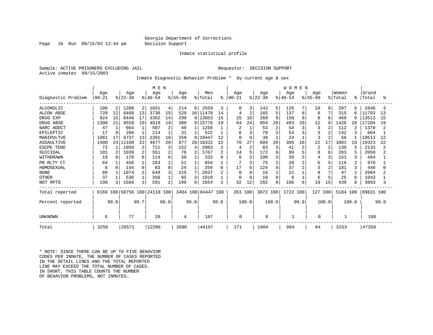Page 16 Run 09/15/03 12:44 pm Decision Support

#### Inmate statistical profile

Sample: ACTIVE PRISONERS EXCLUDING JAIL **Requestor: DECISION SUPPORT** Active inmates 09/15/2003

Inmate Diagnostic Behavior Problem \* by current age & sex

|                    |           |              |          |      | M E N                   |                |          |      |                    |          |            |                |          |                | <b>WOMEN</b> |                |             |                |          |          |           |      |
|--------------------|-----------|--------------|----------|------|-------------------------|----------------|----------|------|--------------------|----------|------------|----------------|----------|----------------|--------------|----------------|-------------|----------------|----------|----------|-----------|------|
|                    | Age       |              | Age      |      | Age                     |                | Age      |      | Men                |          | Age        |                | Age      |                | Age          |                | Age         |                | Women    |          | Grand     |      |
| Diagnostic Problem | $00 - 21$ |              | $ 22-39$ |      | $ 40-54$                |                | $ 55-99$ |      | % Total            | ႜ        | $100 - 21$ |                | $ 22-39$ |                | $ 40-54$     |                | $8155 - 99$ |                | % Total  | န္       | Total     | ႜ    |
| <b>ALCOHOLIC</b>   | 106       |              | 1208     | 2    | 1031                    | 4              | 214      | 6 I  | 2559               | 3        | 8          | 3              | 143      | 5              | 126          |                | 10          | 8              | 287      | 6        | 2846      |      |
| <b>ALCOH ABSE</b>  | 720       | 12           | 6499     | 13   | 3730                    | 15             | 529      |      | 16 11478           | 14       | 4          | $\overline{2}$ | 165      | 5              | 137          | 8              | 9           | 7              | 315      | 6        | 11793     | 13   |
| DRUG EXP           | 924       | 15           | 8448     | 17   | 3382                    | 14             | 299      |      | 9 13053            | 15       | 25         | 10             | 269      | 9              | 158          | 9              | 8           | 6              | 460      | -9       | 13513     | 15   |
| DRUG ABSE          | 1300      | 21           | 9558     | 19   | 4618                    | 19             | 300      |      | 9 15776            | 19       | 64         | 24             | 859      | 28             | 493          | 29             | 12          | 9              | 1428     | 28       | 17204     | 19   |
| NARC ADDCT         | 47        |              | 664      |      | 507                     | $\overline{2}$ | 40       |      | 1258               |          | 2          | $\mathbf{1}$   | 53       | $\overline{c}$ | 54           | 3              | 3           |                | 112      |          | 1370      |      |
| EPILEPTIC          | 17        | $\Omega$     | 260      |      | 214                     |                | 31       |      | 522                |          | 8          | 3              | 78       | 3              | 53           |                |             | $\overline{c}$ | 142      | 3        | 664       |      |
| MANIPULTVE         | 1061      | 17           | 6737     | 13   | 2391                    | 10             | 258      | 8    | 10447              | 12       |            | $\Omega$       | 39       |                | 24           |                | ζ           |                | 66       |          | 10513     | 12   |
| <b>ASSAULTIVE</b>  | 1400      | 23           | 11168    | 22   | 4877                    | 20             | 877      | 26   | 18322<br>1         | 2.2.     | 70         | 27             | 604      | 20             | 305          | 18             | 22          | 17             | 1001     | 19       | 19323     | 22   |
| ESCPE TEND         | 72        |              | 1058     | 2    | 721                     | 3              | 152      | 4    | 2003               | 2        | 4          | $\overline{a}$ | 83       | 3              | 41           | $\overline{c}$ | 2           | $\overline{c}$ | 130      | 3        | 2133      |      |
| SUICIDAL           | 101       | 2            | 1039     |      | 551                     | 2              | 76       | 2    | 1767               | 2        | 14         | 5              | 172      | 6              | 89           |                | 8           | 6              | 283      | 5        | 2050      |      |
| WITHDRAWN          | 19        | <sup>n</sup> | 170      |      | 114                     | $\Omega$       | 30       |      | 333                | 0        | 8          | 3              | 100      | 3              | 39           |                | 4           | 3              | 151      | 3        | 484       |      |
| PR RLTY CT         | 64        |              | 456      |      | 283                     |                | 51       |      | 854                |          |            | 3              | 75       | 2              | 28           | 2              | 6           | 5              | 116      | 2        | 970       |      |
| HOMOSEXUAL         | 8         | $\Omega$     | 144      |      | 83                      | $\Omega$       | 24       |      | 259                | $\Omega$ | 17         | 6              | 124      | $\overline{4}$ | 37           |                | 3           | 2              | 181      | ζ        | 440       |      |
| <b>NONE</b>        | 89        |              | 1074     |      | 649                     | 3              | 225      |      | 2037               | 2        | $\Omega$   | $\Omega$       | 16       |                | 22           |                | 9           |                | 47       |          | 2084      |      |
| <b>OTHER</b>       | 37        |              | 530      |      | 356                     |                | 95       |      | 1018               |          | $\Omega$   | $\mathbf{0}$   | 10       | $\Omega$       | 9            |                | 6           |                | 25       | $\Omega$ | 1043      |      |
| NOT RPTD           | 198       |              | 1666     |      | 591                     | 2              | 199      | б.   | 2654               | 3        | 32         | 12             | 282      | 9              | 106          | 6              | 19          | 15             | 439      | 8        | 3093      |      |
| Total reported     | 6169      |              |          |      | 100 50756 100 24118 100 |                |          |      | 3404 100 84447 100 |          | 263 100    |                | 3072 100 |                | 1722 100     |                | 127 100     |                | 5184 100 |          | 89631 100 |      |
| Percent reported   |           | 99.8         |          | 99.7 |                         | 99.8           |          | 99.8 |                    | 99.8     |            | 100.0          |          | 100.0          |              | 99.9           |             | 100.0          |          | 100.0    |           | 99.8 |
|                    |           |              |          |      |                         |                |          |      |                    |          |            |                |          |                |              |                |             |                |          |          |           |      |
| UNKNOWN            | 6         |              | 77       |      | 20                      |                | 4        |      | 107                |          | 0          |                | U        |                |              |                | O           |                |          |          | 108       |      |
| Total              | 3250      |              | 26571    |      | 12286                   |                | 2090     |      | 44197              |          | 171        |                | 1904     |                | 994          |                | 84          |                | 3153     |          | 47350     |      |

\* NOTE: SINCE THERE CAN BE UP TO FIVE BEHAVIOR CODES PER INMATE, THE NUMBER OF CASES REPORTED IN THE DETAIL LINES AND THE TOTAL REPORTED LINE MAY EXCEED THE TOTAL NUMBER OF CASES. IN SHORT, THIS TABLE COUNTS THE NUMBER OF BEHAVIOR PROBLEMS, NOT INMATES.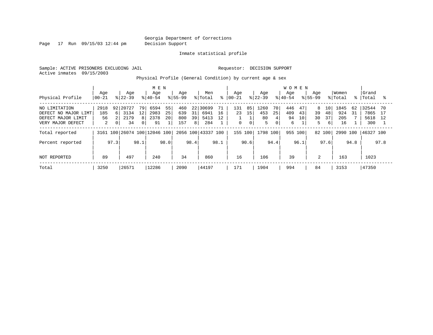Page 17 Run 09/15/03 12:44 pm Decision Support

Inmate statistical profile

Sample: ACTIVE PRISONERS EXCLUDING JAIL **Requestor: DECISION SUPPORT** Active inmates 09/15/2003

Physical Profile (General Condition) by current age & sex

|                                                                                  |                        |                            |                             |               |                            | M E N          |                          |                      |                              |                |                          |                     |                        |                              | <b>WOMEN</b>          |                |                    |                                  |                          |          |                              |                |
|----------------------------------------------------------------------------------|------------------------|----------------------------|-----------------------------|---------------|----------------------------|----------------|--------------------------|----------------------|------------------------------|----------------|--------------------------|---------------------|------------------------|------------------------------|-----------------------|----------------|--------------------|----------------------------------|--------------------------|----------|------------------------------|----------------|
| Physical Profile                                                                 | Age<br>$00 - 21$       |                            | Age<br>$ 22-39 $            |               | Age<br>$8 40-54$           |                | Age<br>$8155 - 99$       |                      | Men<br>% Total               | °              | Age<br>$ 00-21 $         |                     | Age<br>$ 22-39 $       |                              | Age<br>$8 40-54$      |                | Age<br>$ 55 - 99 $ |                                  | Women<br>% Total         |          | Grand<br>%   Total           |                |
| NO LIMITATION<br>DEFECT NO MAJOR LIMT<br>DEFECT MAJOR LIMIT<br>VERY MAJOR DEFECT | 2918<br>185<br>56<br>2 | 92<br><u>б</u><br>$\Omega$ | 20727<br>3134<br>2179<br>34 | 79<br>12<br>0 | 6594<br>2983<br>2378<br>91 | 55<br>25<br>20 | 460<br>639<br>800<br>157 | 221<br>31<br>39<br>8 | 30699<br>6941<br>5413<br>284 | 71<br>16<br>12 | 131<br>23<br>$\mathbf 0$ | 85<br>15<br>$\circ$ | 1260<br>453<br>80<br>5 | 70<br>25<br>4<br>$\mathbf 0$ | 446<br>409<br>94<br>6 | 47<br>43<br>10 | 8<br>39<br>30<br>5 | 10<br>48<br>37<br>6 <sup>1</sup> | 1845<br>924<br>205<br>16 | 62<br>31 | 32544<br>7865<br>5618<br>300 | 70<br>17<br>12 |
| Total reported                                                                   | 3161                   |                            |                             |               | 100 26074 100 12046 100    |                |                          |                      | 2056 100 43337 100           |                | 155 100                  |                     | 1798 100               |                              | 955 100               |                | 82 100             |                                  | 2990                     | 100      | 46327 100                    |                |
| Percent reported                                                                 |                        | 97.3                       |                             | 98.1          |                            | 98.0           |                          | 98.4                 |                              | 98.1           |                          | 90.6                |                        | 94.4                         |                       | 96.1           |                    | 97.6                             |                          | 94.8     |                              | 97.8           |
| NOT REPORTED                                                                     | 89                     |                            | 497                         |               | 240                        |                | 34                       |                      | 860                          |                | 16                       |                     | 106                    |                              | 39                    |                | 2                  |                                  | 163                      |          | 1023                         |                |
| Total                                                                            | 3250                   |                            | 26571                       |               | 12286                      |                | 2090                     |                      | 44197                        |                | 171                      |                     | 1904                   |                              | 994                   |                | 84                 |                                  | 3153                     |          | 47350                        |                |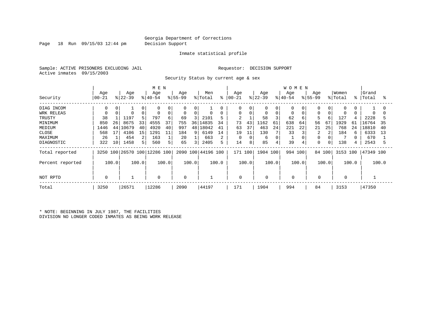Page 18 Run 09/15/03 12:44 pm Decision Support

#### Inmate statistical profile

Sample: ACTIVE PRISONERS EXCLUDING JAIL **Requestor: DECISION SUPPORT** Active inmates 09/15/2003

Security Status by current age & sex

|                  |                |       |                  |       | M E N                        |       |                 |       |                    |       |                   |       |                  |             | <b>WOMEN</b>     |       |                    |          |                  |       |                |       |
|------------------|----------------|-------|------------------|-------|------------------------------|-------|-----------------|-------|--------------------|-------|-------------------|-------|------------------|-------------|------------------|-------|--------------------|----------|------------------|-------|----------------|-------|
| Security         | Age<br>  00-21 |       | Age<br>$ 22-39 $ |       | Age<br>$ 40-54$              |       | Age<br>$ 55-99$ |       | Men<br>% Total     | ႜ     | Age<br>$ 00 - 21$ |       | Age<br>$ 22-39 $ |             | Age<br>$ 40-54 $ |       | Age<br>$8155 - 99$ |          | Women<br>% Total | °≈    | Grand<br>Total | °     |
| DIAG INCOM       | 0              |       |                  | 0     | 0                            | 0     | 0               | 0     |                    |       | 0                 |       | 0                | 0           | 0                |       |                    |          | 0                |       |                |       |
| WRK RELEAS       |                |       |                  |       | $\mathbf 0$                  | 0     | $\mathbf 0$     | 0     | $\mathbf 0$        |       | 0                 | 0     | 0                | $\mathbf 0$ | 0                |       | $\Omega$           |          | $\Omega$         |       |                |       |
| TRUSTY           | 38             |       | 1197             |       | 797                          | 6     | 69              |       | 2101               |       | $\overline{2}$    |       | 58               |             | 62               | 6     | 5                  | 6        | 127              |       | 2228           |       |
| MINIMUM          | 850            | 26    | 8675             | 33    | 4555                         | 37    | 755             | 36    | 14835              | 34    | 73                | 43    | 162              | 61          | 638              | 64    | 56                 | 67       | 1929             | 61    | 16764          | 35    |
| MEDIUM           | 1446           | 44    | 10679            | 40    | 4920                         | 40    | 997             |       | 48   18042         | 41    | 63                | 37    | 463              | 24          | 221              | 22    | 21                 | 25       | 768              | 24    | 18810          | 40    |
| CLOSE            | 568            |       | 4106             | 15    | 1291                         | 11    | 184             | 9     | 6149               | 14    | 19                | 11    | 130              |             | 33               |       | 2                  |          | 184              |       | 6333           | 13    |
| MAXIMUM          | 26             |       | 454              | 2     | 163                          |       | 20              |       | 663                |       | 0                 |       | 6                | 0           |                  |       |                    |          |                  |       | 670            |       |
| DIAGNOSTIC       | 322            | 10    | 1458             |       | 560                          | 5     | 65              | 3     | 2405               | 5     | 14                | 8     | 85               |             | 39               | 4     | $\Omega$           | $\Omega$ | 138              |       | 2543           |       |
| Total reported   |                |       |                  |       | 3250 100 26570 100 12286 100 |       |                 |       | 2090 100 44196 100 |       | 171 100           |       | 1904 100         |             | 994              | 100   |                    | 84 100   | 3153 100         |       | 47349 100      |       |
| Percent reported |                | 100.0 |                  | 100.0 |                              | 100.0 |                 | 100.0 |                    | 100.0 |                   | 100.0 |                  | 100.0       |                  | 100.0 |                    | 100.0    |                  | 100.0 |                | 100.0 |
| NOT RPTD         | $\Omega$       |       |                  |       | 0                            |       | 0               |       |                    |       | 0                 |       | 0                |             |                  |       | $\mathbf 0$        |          |                  |       |                |       |
| Total            | 3250           |       | 26571            |       | 12286                        |       | 2090            |       | 44197              |       | 171               |       | 1904             |             | 994              |       | 84                 |          | 3153             |       | 47350          |       |

\* NOTE: BEGINNING IN JULY 1987, THE FACILITIES DIVISION NO LONGER CODED INMATES AS BEING WORK RELEASE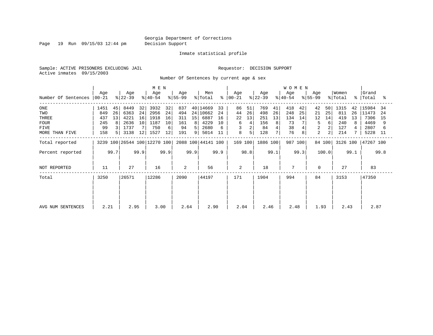Page 19 Run 09/15/03 12:44 pm Decision Support

#### Inmate statistical profile

Sample: ACTIVE PRISONERS EXCLUDING JAIL **Requestor: DECISION SUPPORT** Active inmates 09/15/2003

Number Of Sentences by current age & sex

|                     |                  |      |                  |      | M E N                        |      |                  |                |                    |      |                |      |                  |      | W O M E N          |      |                  |        |                  |      |                    |      |
|---------------------|------------------|------|------------------|------|------------------------------|------|------------------|----------------|--------------------|------|----------------|------|------------------|------|--------------------|------|------------------|--------|------------------|------|--------------------|------|
| Number Of Sentences | Age<br>$ 00-21 $ |      | Age<br>$ 22-39 $ |      | Age<br>$ 40-54 $             |      | Age<br>$8 55-99$ |                | Men<br>% Total     | ៖    | Age<br>  00-21 |      | Age<br>$ 22-39 $ |      | Age<br>$8140 - 54$ |      | Age<br>$ 55-99 $ |        | Women<br>% Total |      | Grand<br>%   Total | °≈   |
| ONE                 | 1451             | 45   | 8449             | 32   | 3932                         | 32   | 837              |                | 40 14669           | 33   | 86             | 51   | 769              | 41   | 418                | 42   | 42               | 50     | 1315             | 42   | 15984              | 34   |
| TWO                 | 849              | 26   | 6363             | 24   | 2956                         | 24   | 494              |                | 24 10662           | 24   | 44             | 26   | 498              | 26   | 248                | 25   | 21               | 25     | 811              | 26   | 11473              | -24  |
| THREE               | 437              | 13   | 4221             | 16   | 1918                         | 16   | 311              | 15             | 6887               | 16   | 22             | 13   | 251              | 13   | 134                | 14   | 12               | 14     | 419              | 13   | 7306               | 15   |
| <b>FOUR</b>         | 245              | -8   | 2636             | 10   | 1187                         | 10   | 161              | 8              | 4229               | 10   | 6              |      | 156              | 8    | 73                 |      | 5                | 6      | 240              |      | 4469               |      |
| FIVE                | 99               |      | 1737             |      | 750                          | 6    | 94               | 5              | 2680               |      | 3              |      | 84               |      | 38                 |      | $\overline{2}$   |        | 127              |      | 2807               |      |
| MORE THAN FIVE      | 158              |      | 3138             | 12   | 1527                         | 12   | 191              | 9 <sup>1</sup> | 5014               | 11   | 8              | 5    | 128              | 7    | 76                 | 8    | $\overline{2}$   |        | 214              |      | 5228               | 11   |
| Total reported      |                  |      |                  |      | 3239 100 26544 100 12270 100 |      |                  |                | 2088 100 44141 100 |      | 169 100        |      | 1886 100         |      | 987                | 100  |                  | 84 100 | 3126 100         |      | 47267 100          |      |
| Percent reported    |                  | 99.7 |                  | 99.9 |                              | 99.9 |                  | 99.9           |                    | 99.9 |                | 98.8 |                  | 99.1 |                    | 99.3 |                  | 100.0  |                  | 99.1 |                    | 99.8 |
| NOT REPORTED        | 11               |      | 27               |      | 16                           |      | 2                |                | 56                 |      | 2              |      | 18               |      | 7                  |      | $\mathbf 0$      |        | 27               |      | 83                 |      |
| Total               | 3250             |      | 26571            |      | 12286                        |      | 2090             |                | 44197              |      | 171            |      | 1904             |      | 994                |      | 84               |        | 3153             |      | 47350              |      |
|                     |                  |      |                  |      |                              |      |                  |                |                    |      |                |      |                  |      |                    |      |                  |        |                  |      |                    |      |
| AVG NUM SENTENCES   | 2.21             |      | 2.95             |      | 3.00                         |      | 2.64             |                | 2.90               |      | 2.04           |      | 2.46             |      | 2.48               |      | 1.93             |        | 2.43             |      | 2.87               |      |
|                     |                  |      |                  |      |                              |      |                  |                |                    |      |                |      |                  |      |                    |      |                  |        |                  |      |                    |      |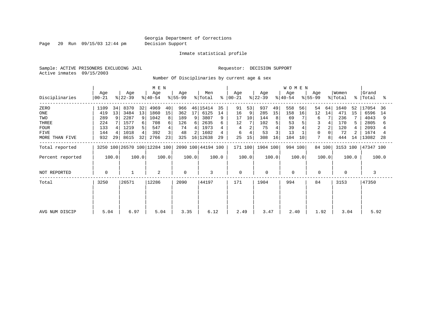Page 20 Run 09/15/03 12:44 pm Decision Support

Inmate statistical profile

Sample: ACTIVE PRISONERS EXCLUDING JAIL **Requestor: DECISION SUPPORT** Active inmates 09/15/2003

Number Of Disciplinaries by current age & sex

|                  | M E N            |       |                  |       |                              |       |                  |       |                    |       |                  |       |                  | <b>WOMEN</b> |                  |       |                  |       |                  |       |                    |       |
|------------------|------------------|-------|------------------|-------|------------------------------|-------|------------------|-------|--------------------|-------|------------------|-------|------------------|--------------|------------------|-------|------------------|-------|------------------|-------|--------------------|-------|
| Disciplinaries   | Age<br>$00 - 21$ |       | Age<br>$ 22-39 $ |       | Age<br>$ 40-54 $             |       | Age<br>$ 55-99 $ |       | Men<br>% Total     | ႜ     | Age<br>$ 00-21 $ |       | Age<br>$ 22-39 $ |              | Age<br>$ 40-54 $ |       | Age<br>$ 55-99 $ |       | Women<br>% Total |       | Grand<br>%   Total | ႜ     |
| ZERO             | 1109             | 34    | 8370             | 32    | 4969                         | 40    | 966              |       | 46 15414           | 35    | 91               | 53    | 937              | 49           | 558              | 56    | 54               | 64    | 1640             | 52    | 17054              | -36   |
| ONE              | 419              | 13    | 3484             | 13    | 1860                         | 15    | 362              | 17    | 6125               | 14    | 16               | 9     | 285              | 15           | 158              | 16    | 12               | 14    | 471              | 15    | 6596               | 14    |
| TWO              | 289              | 9     | 2287             |       | 1042                         | 8     | 189              |       | 3807               |       | 17               | 10    | 144              | 8            | 69               |       | 6                |       | 236              |       | 4043               |       |
| THREE            | 224              |       | 1577             | 6     | 708                          | 6     | 126              | 6     | 2635               |       | 12               |       | 102              |              | 53               |       | 3                |       | 170              |       | 2805               |       |
| <b>FOUR</b>      | 133              |       | 1219             |       | 547                          | 4     | 74               | 4     | 1973               |       | 4                |       | 75               |              | 39               |       | $\overline{2}$   |       | 120              |       | 2093               |       |
| FIVE             | 144              |       | 1018             |       | 392                          | 3     | 48               |       | 1602               |       | 6                |       | 53               |              | 13               |       | 0                |       | 72               |       | 1674               |       |
| MORE THAN FIVE   | 932              | 29    | 8615             | 32    | 2766                         | 23    | 325              | 16    | 12638              | 29    | 25               | 15    | 308              | 16           | 104              | 10    | 7                | 8     | 444              | 14    | 13082              | 28    |
| Total reported   |                  |       |                  |       | 3250 100 26570 100 12284 100 |       |                  |       | 2090 100 44194 100 |       | 171 100          |       | 1904 100         |              | 994 100          |       | 84 100           |       | 3153 100         |       | 47347 100          |       |
| Percent reported |                  | 100.0 |                  | 100.0 |                              | 100.0 |                  | 100.0 |                    | 100.0 |                  | 100.0 |                  | 100.0        |                  | 100.0 |                  | 100.0 |                  | 100.0 |                    | 100.0 |
| NOT REPORTED     | 0                |       |                  |       | 2                            |       | 0                |       | 3                  |       | $\mathbf 0$      |       | 0                |              | $\mathbf 0$      |       | $\mathbf 0$      |       | 0                |       | 3                  |       |
| Total            | 3250             |       | 26571            |       | 12286                        |       | 2090             |       | 44197              |       | 171              |       | 1904             |              | 994              |       | 84               |       | 3153             |       | 47350              |       |
|                  |                  |       |                  |       |                              |       |                  |       |                    |       |                  |       |                  |              |                  |       |                  |       |                  |       |                    |       |
|                  |                  |       |                  |       |                              |       |                  |       |                    |       |                  |       |                  |              |                  |       |                  |       |                  |       |                    |       |
| AVG NUM DISCIP   | 5.04             |       | 6.97             |       | 5.04                         |       | 3.35             |       | 6.12               |       | 2.49             |       | 3.47             |              | 2.40             |       | 1.92             |       | 3.04             |       | 5.92               |       |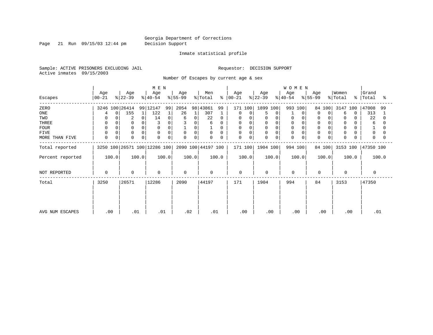Page 21 Run 09/15/03 12:44 pm Decision Support

#### Inmate statistical profile

Sample: ACTIVE PRISONERS EXCLUDING JAIL **Requestor: DECISION SUPPORT** Active inmates 09/15/2003

Number Of Escapes by current age & sex

|                  |                  |                         | M E N                        |                  |                    |                         |                  | <b>WOMEN</b>     |                         |                              |                         |
|------------------|------------------|-------------------------|------------------------------|------------------|--------------------|-------------------------|------------------|------------------|-------------------------|------------------------------|-------------------------|
| Escapes          | Age<br>$00 - 21$ | Age<br>$ 22-39 $        | Age<br>$ 40-54 $             | Age<br>$ 55-99 $ | Men<br>% Total     | Age<br>$8   00 - 21$    | Age<br>$ 22-39 $ | Age<br>$ 40-54 $ | Age<br>$ 55-99 $        | Women<br>$\frac{1}{2}$ Total | Grand<br>%   Total<br>ႜ |
| ZERO             | 3246 100 26414   |                         | 99 12147<br>99               | 2054             | 98 43861<br>99     | 171 100                 | 1899 100         | 993<br>100       | 84 100                  | 3147 100                     | 47008<br>99             |
| ONE              |                  | 155<br>0                | 122<br>1                     | 26               | 307                | 0<br>0                  | $\Omega$<br>5    | 0                | 0<br>$\Omega$           | 6<br>$\Omega$                | 313                     |
| TWO              | 0                | 2                       | 14<br>0                      | 0<br>6           | 22<br>$\Omega$     | $\Omega$<br>$\Omega$    | 0<br>$\Omega$    | $\Omega$         |                         | 0                            | 22                      |
| THREE            | 0                |                         |                              | 0                | 6                  | 0                       | 0                | $\Omega$         |                         | 0                            | 6                       |
| <b>FOUR</b>      | $\Omega$         | $\Omega$                | $\Omega$                     | 0                |                    | 0                       |                  |                  |                         | 0                            |                         |
| FIVE             | $\Omega$         | $\Omega$<br>$\Omega$    | 0<br>$\Omega$                | 0<br>$\Omega$    | $\mathbf 0$<br>0   | $\mathbf 0$<br>$\Omega$ | 0<br>$\Omega$    | $\Omega$         |                         | $\mathbf 0$                  | $\Omega$                |
| MORE THAN FIVE   | $\mathbf 0$      | $\mathbf 0$<br>$\Omega$ | $\mathbf 0$<br>$\mathbf 0$   | $\mathbf 0$<br>0 | $\mathbf 0$<br>0   | $\mathbf 0$<br>0        | $\Omega$<br>0    | $\mathbf 0$      | $\mathbf 0$<br>$\Omega$ | $\mathbf 0$                  | 0                       |
| Total reported   |                  |                         | 3250 100 26571 100 12286 100 |                  | 2090 100 44197 100 | 171 100                 | 1904 100         | 994 100          | 84 100                  | 3153 100                     | 47350 100               |
| Percent reported | 100.0            | 100.0                   | 100.0                        | 100.0            | 100.0              | 100.0                   | 100.0            | 100.0            | 100.0                   | 100.0                        | 100.0                   |
| NOT REPORTED     | 0                | $\mathbf 0$             | $\mathbf 0$                  | $\Omega$         | $\Omega$           | $\mathbf 0$             | 0                | $\mathbf 0$      | $\mathbf 0$             | $\Omega$                     | $\Omega$                |
| Total            | 3250             | 26571                   | 12286                        | 2090             | 44197              | 171                     | 1904             | 994              | 84                      | 3153                         | 47350                   |
|                  |                  |                         |                              |                  |                    |                         |                  |                  |                         |                              |                         |
|                  |                  |                         |                              |                  |                    |                         |                  |                  |                         |                              |                         |
| AVG NUM ESCAPES  | .00              | .01                     | .01                          | .02              | .01                | .00                     | .00              | .00.             | .00                     | .00                          | .01                     |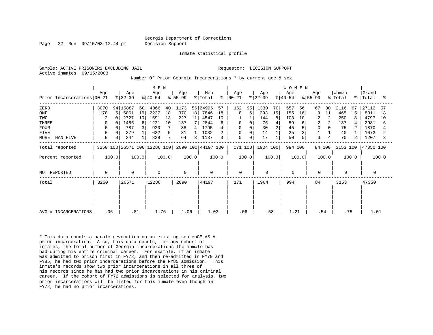Page 22 Run 09/15/03 12:44 pm Decision Support

Inmate statistical profile

Active inmates 09/15/2003

Sample: ACTIVE PRISONERS EXCLUDING JAIL RESOLUTION SUPPORT Requestor: DECISION SUPPORT

Number Of Prior Georgia Incarcerations \* by current age & sex

| M E N                        |             |       |                  |       |                              |       |                  |       |                            |       |                      |       |                  | W O M E N |                  |       |                  |        |                  |       |                    |       |
|------------------------------|-------------|-------|------------------|-------|------------------------------|-------|------------------|-------|----------------------------|-------|----------------------|-------|------------------|-----------|------------------|-------|------------------|--------|------------------|-------|--------------------|-------|
| Prior Incarcerations   00-21 | Age         |       | Age<br>$ 22-39 $ |       | Age<br>$ 40-54 $             |       | Age<br>$ 55-99 $ |       | Men<br>$\frac{1}{2}$ Total |       | Age<br>$8   00 - 21$ |       | Age<br>$ 22-39 $ |           | Age<br>$ 40-54 $ |       | Age<br>$ 55-99 $ |        | Women<br>% Total |       | Grand<br>%   Total | ႜ     |
|                              |             |       |                  |       |                              |       |                  |       |                            |       |                      |       |                  |           |                  |       |                  |        |                  |       |                    |       |
| ZERO                         | 3070        |       | 94 15887         | 60    | 4866                         | 40    | 1173             |       | 56 24996                   | 57    | 162                  | 95    | 1330             | 70        | 557              | 56    | 67               | 80     | 2116             | 67    | 27112              | 57    |
| ONE                          | 178         | 5     | 5061             | 19    | 2237                         | 18    | 370              | 18    | 7846                       | 18    | 8                    | 5     | 293              | 15        | 155              | 16    | 9                | 11     | 465              | 15    | 8311               | 18    |
| TWO                          | 2           |       | 2727             | 10    | 1591                         | 13    | 227              | 11    | 4547                       | 10    |                      |       | 144              | 8         | 103              | 10    | 2                | 2      | 250              | 8     | 4797               | 10    |
| THREE                        | 0           |       | 1486             | 6     | 1221                         | 10    | 137              |       | 2844                       | 6     | 0                    |       | 76               |           | 59               | 6     | $\overline{2}$   | 2      | 137              |       | 2981               | 6     |
| <b>FOUR</b>                  | 0           |       | 787              | 3     | 920                          |       | 88               | 4     | 1795                       |       | 0                    |       | 30               |           | 45               |       | 0                |        | 75               |       | 1870               |       |
| <b>FIVE</b>                  | 0           |       | 379              |       | 622                          | 5     | 31               |       | 1032                       |       | 0                    |       | 14               |           | 25               | 3     |                  |        | 40               |       | 1072               |       |
| MORE THAN FIVE               | 0           | 0     | 244              |       | 829                          | 7     | 64               | 3     | 1137                       | 3     | 0                    | 0     | 17               |           | 50               | 5     | 3                |        | 70               | 2     | 1207               | 3     |
| Total reported               |             |       |                  |       | 3250 100 26571 100 12286 100 |       |                  |       | 2090 100 44197 100         |       | 171 100              |       | 1904 100         |           | 994 100          |       |                  | 84 100 | 3153 100         |       | 47350 100          |       |
| Percent reported             |             | 100.0 |                  | 100.0 |                              | 100.0 |                  | 100.0 |                            | 100.0 |                      | 100.0 |                  | 100.0     |                  | 100.0 |                  | 100.0  |                  | 100.0 |                    | 100.0 |
| NOT REPORTED                 | $\mathbf 0$ |       | 0                |       | $\mathbf 0$                  |       | $\Omega$         |       | 0                          |       | $\mathbf 0$          |       | $\mathbf 0$      |           | $\mathbf 0$      |       | $\mathbf 0$      |        | $\Omega$         |       | 0                  |       |
| Total                        | 3250        |       | 26571            |       | 12286                        |       | 2090             |       | 44197                      |       | 171                  |       | 1904             |           | 994              |       | 84               |        | 3153             |       | 47350              |       |
|                              |             |       |                  |       |                              |       |                  |       |                            |       |                      |       |                  |           |                  |       |                  |        |                  |       |                    |       |
|                              |             |       |                  |       |                              |       |                  |       |                            |       |                      |       |                  |           |                  |       |                  |        |                  |       |                    |       |
|                              |             |       |                  |       |                              |       |                  |       |                            |       |                      |       |                  |           |                  |       |                  |        |                  |       |                    |       |
| AVG # INCARCERATIONS         | .06         |       | .81              |       | 1.76                         |       | 1.06             |       | 1.03                       |       | .06                  |       | .58              |           | 1.21             |       | .54              |        |                  | .75   | 1.01               |       |

\* This data counts a parole revocation on an existing sentenCE AS A prior incarceration. Also, this data counts, for any cohort of inmates, the total number of Georgia incarcerations the inmate has had during his entire criminal career. For example, if an inmate was admitted to prison first in FY72, and then re-admitted in FY79 and FY85, he had two prior incarcerations before the FY85 admission. This inmate's records show two prior incarcerations in all three of his records since he has had two prior incarcerations in his criminal career. If the cohort of FY72 admissions is selected for analysis, two prior incarcerations will be listed for this inmate even though in FY72, he had no prior incarcerations.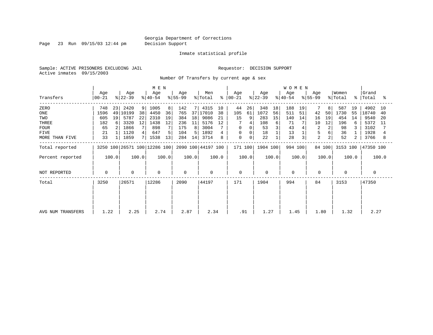Page 23 Run 09/15/03 12:44 pm Decision Support

#### Inmate statistical profile

Sample: ACTIVE PRISONERS EXCLUDING JAIL **Requestor: DECISION SUPPORT** Active inmates 09/15/2003

Number Of Transfers by current age & sex

|                   | M E N            |                |                  |                |                              |       |                  |       |                    |       |                      |       |                  | <b>WOMEN</b> |                  |       |                  |        |                  |       |                    |       |
|-------------------|------------------|----------------|------------------|----------------|------------------------------|-------|------------------|-------|--------------------|-------|----------------------|-------|------------------|--------------|------------------|-------|------------------|--------|------------------|-------|--------------------|-------|
| Transfers         | Age<br>$ 00-21 $ |                | Age<br>$ 22-39 $ |                | Age<br>$ 40-54 $             |       | Age<br>$ 55-99 $ |       | Men<br>% Total     |       | Age<br>$8   00 - 21$ |       | Age<br>$ 22-39 $ |              | Age<br>$8 40-54$ |       | Age<br>$ 55-99 $ |        | Women<br>% Total |       | Grand<br>%   Total | °≈    |
| ZERO              | 748              | 23             | 2420             | 9 <sup>1</sup> | 1005                         | 8     | 142              | 71    | 4315               | 10    | 44                   | 26    | 348              | 18           | 188              | 19    |                  | 8      | 587              | 19    | 4902               | 10    |
| ONE               | 1596             | 49             | 10199            | 38             | 4450                         | 36    | 765              |       | 37 17010           | 38    | 105                  | 61    | 1072             | 56           | 511              | 51    | 42               | 50     | 1730             | 55    | 18740              | 40    |
| TWO               | 605              | 19             | 5787             | 22             | 2310                         | 19    | 384              | 18    | 9086               | 21    | 15                   | 9     | 283              | 15           | 140              | 14    | 16               | 19     | 454              | 14    | 9540               | 20    |
| THREE             | 182              | 6 <sup>1</sup> | 3320             | 12             | 1438                         | 12    | 236              | 11    | 5176               | 12    |                      |       | 108              | 6            | 71               |       | 10               | 12     | 196              | 6     | 5372               | 11    |
| <b>FOUR</b>       | 65               |                | 1866             |                | 898                          |       | 175              | 81    | 3004               |       | $\Omega$             |       | 53               |              | 43               |       | 2                | 2      | 98               |       | 3102               |       |
| <b>FIVE</b>       | 21               |                | 1120             |                | 647                          | 5     | 104              | 51    | 1892               |       | 0                    | 0     | 18               |              | 13               |       |                  |        | 36               |       | 1928               |       |
| MORE THAN FIVE    | 33               |                | 1859             |                | 1538                         | 13    | 284              | 14    | 3714               | 8     | 0                    | 0     | 22               |              | 28               | 3     | $\overline{2}$   |        | 52               |       | 3766               | 8     |
| Total reported    |                  |                |                  |                | 3250 100 26571 100 12286 100 |       |                  |       | 2090 100 44197 100 |       | 171 100              |       | 1904 100         |              | 994 100          |       |                  | 84 100 | 3153 100         |       | 47350 100          |       |
| Percent reported  |                  | 100.0          |                  | 100.0          |                              | 100.0 |                  | 100.0 |                    | 100.0 |                      | 100.0 |                  | 100.0        |                  | 100.0 |                  | 100.0  |                  | 100.0 |                    | 100.0 |
| NOT REPORTED      | 0                |                | $\mathbf 0$      |                | $\mathbf 0$                  |       | $\Omega$         |       | $\mathbf 0$        |       | $\mathbf 0$          |       | 0                |              | $\mathbf 0$      |       | $\mathbf 0$      |        | $\mathbf{0}$     |       | 0                  |       |
| Total             | 3250             |                | 26571            |                | 12286                        |       | 2090             |       | 44197              |       | 171                  |       | 1904             |              | 994              |       | 84               |        | 3153             |       | 47350              |       |
|                   |                  |                |                  |                |                              |       |                  |       |                    |       |                      |       |                  |              |                  |       |                  |        |                  |       |                    |       |
|                   |                  |                |                  |                |                              |       |                  |       |                    |       |                      |       |                  |              |                  |       |                  |        |                  |       |                    |       |
| AVG NUM TRANSFERS | 1.22             |                | 2.25             |                | 2.74                         |       | 2.87             |       | 2.34               |       | .91                  |       | 1.27             |              | 1.45             |       | 1.80             |        | 1.32             |       | 2.27               |       |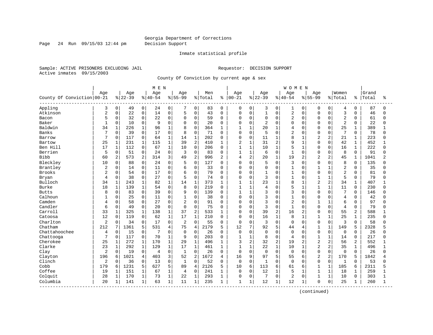Page 24 Run 09/15/03 12:44 pm Decision Support

#### Inmate statistical profile

Sample: ACTIVE PRISONERS EXCLUDING JAIL **Requestor: DECISION SUPPORT** Active inmates 09/15/2003

County Of Conviction by current age & sex

|                            |                |              |           |              | M E N     |              |                |                |         |                |                |                |                |                | <b>WOMEN</b>   |                |                |                |                 |              |       |              |
|----------------------------|----------------|--------------|-----------|--------------|-----------|--------------|----------------|----------------|---------|----------------|----------------|----------------|----------------|----------------|----------------|----------------|----------------|----------------|-----------------|--------------|-------|--------------|
|                            | Age            |              | Age       |              | Age       |              | Age            |                | Men     |                | Age            |                | Age            |                | Age            |                | Age            |                | Women           |              | Grand |              |
| County Of Conviction 00-21 |                |              | $8 22-39$ |              | $8 40-54$ |              | $8 55-99$      |                | % Total | ៖              | $00 - 21$      |                | $8 22-39$      |                | $8140 - 54$    |                | $8 55-99$      |                | % Total         | ႜ            | Total | ిక           |
| Appling                    | 3              | 0            | 49        | 0            | 24        | 0            |                | 0              | 83      | $\mathbf 0$    | 0              | 0              | 3              | $\mathbf 0$    | 1              | $\mathbf 0$    | 0              | $\Omega$       | 4               | $\Omega$     | 87    | 0            |
| Atkinson                   | 2              | 0            | 22        | 0            | 14        | $\mathbf 0$  | 5              | $\mathbf 0$    | 43      | $\mathbf 0$    | $\mathbf 0$    | 0              | $\mathbf{1}$   | $\mathbf 0$    | $\overline{c}$ | $\Omega$       | $\Omega$       | $\Omega$       | 3               | $\Omega$     | 46    | $\Omega$     |
| Bacon                      | 5              | 0            | 32        | $\mathbf 0$  | 22        | 0            | $\Omega$       | $\Omega$       | 59      | $\mathbf 0$    | $\mathbf 0$    | 0              | $\Omega$       | $\Omega$       | $\overline{2}$ | $\Omega$       | $\Omega$       | $\Omega$       | $\overline{2}$  | $\Omega$     | 61    | 0            |
| Baker                      | $\overline{1}$ | 0            | 10        | 0            | 9         | $\mathbf 0$  | $\Omega$       | $\Omega$       | 20      | $\mathbf 0$    | $\Omega$       | $\mathbf 0$    | $\overline{2}$ | $\Omega$       | $\Omega$       | $\cap$         | $\cap$         | $\Omega$       | $\overline{c}$  | $\Omega$     | 22    | U            |
| Baldwin                    | 34             | $\mathbf{1}$ | 226       | $\mathbf 1$  | 96        | $\mathbf{1}$ | 8              | $\Omega$       | 364     | 1              | $\mathbf{1}$   | $\mathbf{1}$   | 20             | $\mathbf{1}$   | $\overline{4}$ | $\cap$         | $\cap$         | $\Omega$       | 25              | $\mathbf 1$  | 389   |              |
| Banks                      | 7              | 0            | 39        | $\mathbf 0$  | 17        | $\Omega$     | 8              | $\Omega$       | 71      | $\Omega$       | $\mathbf 0$    | $\Omega$       | 5              | $\Omega$       | $\overline{c}$ | $\Omega$       | $\Omega$       | $\Omega$       | $7\phantom{.0}$ | $\Omega$     | 78    | $\Omega$     |
| Barrow                     | 7              | 0            | 117       | 0            | 64        | 1            | 14             | $1\,$          | 202     | 0              | 0              | 0              | 11             | $\mathbf{1}$   | 8              | 1              | $\overline{c}$ | $\overline{2}$ | 21              | 1            | 223   | $\Omega$     |
| Bartow                     | 25             | $\mathbf{1}$ | 231       | $\mathbf{1}$ | 115       | $\mathbf{1}$ | 39             | $\overline{2}$ | 410     | 1              | $\overline{2}$ | $\mathbf{1}$   | 31             | 2              | 9              | 1              | $\Omega$       | $\Omega$       | 42              | $\mathbf{1}$ | 452   | 1            |
| Ben Hill                   | 17             | $\mathbf{1}$ | 112       | $\mathbf 0$  | 67        | 1            | 10             | $\mathbf 0$    | 206     | 0              | $\mathbf{1}$   | $\mathbf{1}$   | 10             | 1              | 5              |                | $\Omega$       | $\Omega$       | 16              | 1            | 222   | $\Omega$     |
| Berrien                    | 5              | 0            | 51        | 0            | 24        | 0            | 3              | $\Omega$       | 83      | $\mathbf 0$    | $\mathbf{1}$   | $\mathbf{1}$   | 6              | 0              | $\mathbf{1}$   | $\Omega$       | $\Omega$       | $\Omega$       | 8               | $\Omega$     | 91    | U            |
| <b>Bibb</b>                | 60             | 2            | 573       | 2            | 314       | 3            | 49             | $\overline{2}$ | 996     | $\overline{2}$ | 4              | $\overline{2}$ | 20             | $\mathbf{1}$   | 19             | $\mathbf{2}$   | $\overline{2}$ | $\overline{a}$ | 45              | $\mathbf{1}$ | 1041  | 2            |
| Bleckley                   | 10             | $\Omega$     | 88        | $\mathbf 0$  | 24        | $\Omega$     | 5              | $\Omega$       | 127     | $\Omega$       | 0              | $\Omega$       | 5              | $\Omega$       | 3              | $\Omega$       | $\Omega$       | $\Omega$       | 8               | $\Omega$     | 135   | U            |
| Brantley                   | 2              | 0            | 14        | 0            | 11        | 0            | 6              | $\mathbf 0$    | 33      | 0              | 0              | 0              | 0              | 0              | $\mathbf{1}$   | $\Omega$       |                |                | $\overline{2}$  | 0            | 35    | <sup>0</sup> |
| <b>Brooks</b>              | 2              | 0            | 54        | 0            | 17        | $\Omega$     | 6              | $\Omega$       | 79      | $\Omega$       | 0              | $\Omega$       | 1              | O              | $\mathbf{1}$   | $\Omega$       | $\cap$         | $\Omega$       | 2               | $\Omega$     | 81    | <sup>0</sup> |
| Bryan                      | 4              | 0            | 38        | $\mathbf 0$  | 27        | 0            | 5              | $\mathbf 0$    | 74      | $\mathbf 0$    | $\mathbf 0$    | $\Omega$       | 3              | $\Omega$       |                | $\Omega$       | $\mathbf{1}$   |                | 5               | $\mathbf 0$  | 79    | <sup>0</sup> |
| Bulloch                    | 34             | $\mathbf{1}$ | 243       | $\mathbf{1}$ | 82        | $\mathbf{1}$ | 14             | $\mathbf 1$    | 373     | 1              | $\mathbf{1}$   | $\mathbf{1}$   | 23             | $\mathbf{1}$   | 8              | 1              | $\overline{2}$ | $\overline{a}$ | 34              | 1            | 407   |              |
| Burke                      | 18             | $\mathbf{1}$ | 139       | $\mathbf{1}$ | 54        | $\Omega$     | 8              | $\Omega$       | 219     | $\Omega$       | $\mathbf{1}$   | $\mathbf{1}$   | 4              | $\Omega$       | 5              | $\mathbf{1}$   | $\mathbf{1}$   | $\mathbf{1}$   | 11              | $\Omega$     | 230   | $\Omega$     |
| <b>Butts</b>               | 8              | $\Omega$     | 83        | $\mathbf 0$  | 39        | $\Omega$     | 9              | $\Omega$       | 139     | $\mathbf 0$    | $\mathbf{1}$   | $\mathbf{1}$   | 3              | $\Omega$       | 3              | $\Omega$       | $\Omega$       | $\Omega$       | 7               | 0            | 146   | U            |
| Calhoun                    | $\mathbf{1}$   | 0            | 25        | 0            | 11        | 0            | $\mathbf{1}$   | $\Omega$       | 38      | $\Omega$       | $\mathbf 0$    | $\Omega$       | 3              | $\Omega$       | $\mathbf{1}$   | $\Omega$       | $\Omega$       | $\Omega$       | $\overline{4}$  | $\Omega$     | 42    | <sup>0</sup> |
| Camden                     | 4              | 0            | 58        | $\mathbf 0$  | 27        | $\Omega$     | $\overline{2}$ | $\Omega$       | 91      | $\Omega$       | $\mathbf 0$    | $\Omega$       | 3              | $\Omega$       | $\overline{2}$ | $\Omega$       | $\mathbf{1}$   |                | 6               | $\Omega$     | 97    | $\Omega$     |
| Candler                    | 6              | 0            | 49        | $\mathsf 0$  | 20        | 0            | $\mathbf 0$    | $\Omega$       | 75      | $\mathbf 0$    | 0              | $\Omega$       | 3              | $\Omega$       |                | $\Omega$       | $\cap$         | $\Omega$       | $\overline{4}$  | $\Omega$     | 79    | <sup>0</sup> |
| Carroll                    | 33             | $\mathbf{1}$ | 325       | $\mathbf{1}$ | 138       | $\mathbf{1}$ | 37             | $\overline{2}$ | 533     | 1              | $\Omega$       | $\Omega$       | 39             | $\overline{2}$ | 16             | $\overline{c}$ | $\Omega$       | $\Omega$       | 55              | 2            | 588   |              |
| Catoosa                    | 12             | 0            | 119       | $\mathbf 0$  | 62        | $\mathbf{1}$ | 17             | $\mathbf{1}$   | 210     | 0              | $\mathbf 0$    | $\Omega$       | 16             | $\mathbf{1}$   | 8              | 1              | $\mathbf{1}$   | $\mathbf{1}$   | 25              | 1            | 235   | $\Omega$     |
| Charlton                   | 2              | 0            | 34        | 0            | 17        | $\Omega$     | 2              | $\Omega$       | 55      | $\mathbf 0$    | $\mathbf 0$    | $\Omega$       | 3              | $\Omega$       | $\Omega$       | $\Omega$       | $\Omega$       | $\Omega$       | $\overline{3}$  | $\Omega$     | 58    | <sup>0</sup> |
| Chatham                    | 212            | 7            | 1361      | 5            | 531       | 4            | 75             | $\overline{4}$ | 2179    | 5              | 12             | 7              | 92             | 5              | 44             | 4              | $\mathbf{1}$   | $\mathbf{1}$   | 149             | 5            | 2328  | 5            |
| Chattahoochee              | 4              | 0            | 15        | $\mathbf 0$  | 7         | $\Omega$     | $\mathbf 0$    | $\Omega$       | 26      | $\Omega$       | $\mathbf 0$    | $\Omega$       | $\mathbf 0$    | 0              | $\Omega$       | $\Omega$       | $\Omega$       | $\Omega$       | $\mathbf 0$     | $\Omega$     | 26    | $\Omega$     |
| Chattooga                  | 7              | 0            | 117       | 0            | 70        | $\mathbf{1}$ | 9              | $\mathbf 0$    | 203     | $\mathbf 0$    | $\mathbf{1}$   | $\mathbf{1}$   | 8              | $\Omega$       | $\overline{4}$ | $\Omega$       | $\mathbf{1}$   |                | 14              | $\Omega$     | 217   | $\Omega$     |
| Cherokee                   | 25             | $\mathbf{1}$ | 272       | $\mathbf{1}$ | 170       | $\mathbf{1}$ | 29             | $\mathbf{1}$   | 496     | 1              | 3              | $\overline{2}$ | 32             | 2              | 19             | $\overline{2}$ | $\overline{c}$ | $\overline{a}$ | 56              | 2            | 552   |              |
| Clarke                     | 23             | $\mathbf{1}$ | 292       | $\mathbf 1$  | 129       | $\mathbf{1}$ | 17             | $\mathbf{1}$   | 461     | 1              | $\mathbf{1}$   | $\mathbf{1}$   | 22             | $\mathbf{1}$   | 10             | 1              | $\overline{2}$ | $\overline{a}$ | 35              | 1            | 496   |              |
| Clay                       | $\overline{2}$ | 0            | 19        | $\mathsf 0$  | 4         | $\mathbf 0$  | $\mathbf{1}$   | $\Omega$       | 26      | $\mathbf 0$    | $\mathbf 0$    | $\mathbf 0$    | $\mathbf 0$    | $\mathbf 0$    | $\mathbf 0$    | $\Omega$       | $\mathbf 0$    | $\mathbf 0$    | $\mathbf 0$     | $\Omega$     | 26    | 0            |
| Clayton                    | 196            | 6            | 1021      | 4            | 403       | 3            | 52             | $\overline{2}$ | 1672    | $\overline{4}$ | 16             | 9              | 97             | 5              | 55             | 6              | $\overline{c}$ | $\overline{2}$ | 170             | 5            | 1842  | 4            |
| Clinch                     | $\overline{2}$ | 0            | 36        | 0            | 13        | 0            | $\mathbf{1}$   | $\Omega$       | 52      | 0              | $\mathbf 0$    | $\Omega$       | 1              | $\Omega$       | $\Omega$       | $\Omega$       | $\Omega$       | $\Omega$       | 1               | $\Omega$     | 53    | <sup>0</sup> |
| Cobb                       | 179            | 6            | 1231      | 5            | 627       | 5            | 89             | $\overline{4}$ | 2126    | 5              | 10             | 6              | 113            | 6              | 61             | 6              | 1              | $\mathbf{1}$   | 185             | 6            | 2311  | 5            |
| Coffee                     | 19             | $\mathbf{1}$ | 151       | $\mathbf{1}$ | 67        | $\mathbf{1}$ | $\overline{4}$ | $\Omega$       | 241     | $\mathbf{1}$   | $\Omega$       | $\Omega$       | 12             | $\mathbf{1}$   | 5              | $\mathbf{1}$   | $\mathbf{1}$   | $\mathbf{1}$   | 18              | $\mathbf 1$  | 259   | 1            |
| Colquit                    | 28             | $\mathbf{1}$ | 170       | $\mathbf{1}$ | 73        | $\mathbf 1$  | 22             | $\mathbf{1}$   | 293     | 1              | $\mathbf 0$    | $\Omega$       | 7              | $\Omega$       | 2              | $\Omega$       | $\mathbf{1}$   | $\mathbf{1}$   | 10              | $\Omega$     | 303   | 1            |
| Columbia                   | 20             | $\mathbf 1$  | 141       | $\mathbf{1}$ | 63        | $\mathbf{1}$ | 11             | $\mathbf{1}$   | 235     | 1              | $\mathbf{1}$   | 1              | 12             | 1              | 12             | 1              | $\mathbf 0$    | $\mathsf 0$    | 25              | 1            | 260   | 1.           |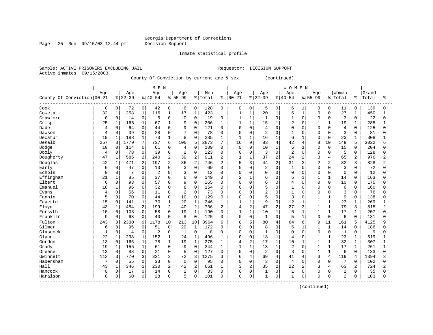Page 25 Run 09/15/03 12:44 pm Decision Support

Inmate statistical profile

Active inmates 09/15/2003

Sample: ACTIVE PRISONERS EXCLUDING JAIL **Requestor: DECISION SUPPORT** 

County Of Conviction by current age & sex (continued)

|                            |                |              |                |              | M E N          |                |                |                |         |                |                |                |                |                | <b>WOMEN</b>   |              |                |              |                |                |       |                |
|----------------------------|----------------|--------------|----------------|--------------|----------------|----------------|----------------|----------------|---------|----------------|----------------|----------------|----------------|----------------|----------------|--------------|----------------|--------------|----------------|----------------|-------|----------------|
|                            | Age            |              | Age            |              | Age            |                | Age            |                | Men     |                | Age            |                | Age            |                | Age            |              | Age            |              | Women          |                | Grand |                |
| County Of Conviction 00-21 |                |              | $ 22-39$       |              | $8 40-54$      |                | $8 55-99$      |                | % Total | ႜ              | $ 00 - 21$     |                | $8 22-39$      |                | $8140 - 54$    |              | $8155 - 99$    |              | % Total        | ႜ              | Total | ႜ              |
| Cook                       | 8              | 0            | 72             | $\mathbf 0$  | 42             | $\mathbf 0$    | 6              | $\mathbf 0$    | 128     | $\mathbf 0$    | $\mathbf 0$    | 0              | 5              | 0              | 6              | 1            | 0              | 0            | 11             | $\mathbf 0$    | 139   | $\Omega$       |
| Coweta                     | 32             | $1\,$        | 258            | 1            | 116            | $\mathbf{1}$   | 17             | $\mathbf{1}$   | 423     | $\mathbf{1}$   | $\mathbf{1}$   | $\mathbf{1}$   | 20             | $\mathbf{1}$   | 6              | $\mathbf{1}$ | $\Omega$       | $\Omega$     | 27             | 1              | 450   |                |
| Crawford                   | 0              | 0            | 14             | $\mathbf 0$  | 5              | $\mathbf 0$    | $\mathbf 0$    | $\mathbf 0$    | 19      | 0              | 1              | $\mathbf{1}$   | $\mathbf{1}$   | $\Omega$       | 1              | $\Omega$     | $\Omega$       | $\Omega$     | 3              | $\mathbf 0$    | 22    | $\Omega$       |
| Crisp                      | 25             | $\mathbf{1}$ | 165            | $\mathbf{1}$ | 67             | $\mathbf{1}$   | 9              | $\mathbf 0$    | 266     | 1              | $\mathbf{1}$   | $\mathbf{1}$   | 15             | $\mathbf{1}$   | $\overline{a}$ | $\Omega$     | $\mathbf{1}$   | $\mathbf{1}$ | 19             | $\mathbf{1}$   | 285   |                |
| Dade                       | 4              | 0            | 64             | $\mathbf 0$  | 44             | $\Omega$       | 9              | $\mathbf 0$    | 121     | $\mathbf 0$    | $\mathbf 0$    | $\mathbf 0$    | $\overline{4}$ | $\Omega$       | $\Omega$       | 0            | $\Omega$       | $\Omega$     | $\overline{4}$ | $\Omega$       | 125   | $\Omega$       |
| Dawson                     | $\overline{4}$ | 0            | 39             | $\mathbf 0$  | 28             | $\mathbf{0}$   | 7              | $\Omega$       | 78      | $\mathbf 0$    | $\mathbf 0$    | $\mathbf 0$    | $\overline{2}$ | $\Omega$       | $\mathbf{1}$   | $\Omega$     | $\Omega$       | $\Omega$     | 3              | $\Omega$       | 81    | U              |
| Decatur                    | 19             | 1            | 188            | 1            | 70             | 1              | 8              | $\Omega$       | 285     | 1              | 1              | 1              | 16             | 1              | 6              |              | $\Omega$       | $\Omega$     | 23             |                | 308   |                |
| DeKalb                     | 257            | 8            | 1779           | 7            | 737            | 6              | 100            | 5              | 2873    | 7              | 16             | 9              | 83             | 4              | 42             | 4            | 8              | 10           | 149            | 5              | 3022  |                |
| Dodge                      | 10             | $\mathbf 0$  | 114            | 0            | 61             | $\mathbf 0$    | 4              | $\Omega$       | 189     | $\mathbf 0$    | $\mathbf 0$    | $\Omega$       | 10             | $\mathbf 1$    | 5              | 1            | $\Omega$       | $\Omega$     | 15             | $\Omega$       | 204   | ∩              |
| Dooly                      | 4              | 0            | 78             | $\mathbf 0$  | 39             | $\mathbf 0$    | 2              | $\mathbf 0$    | 123     | $\mathbf 0$    | $\mathbf 0$    | $\mathbf 0$    | 3              | $\Omega$       | $\overline{2}$ | $\Omega$     | $\Omega$       | $\Omega$     | 5              | $\mathbf 0$    | 128   | O              |
| Dougherty                  | 47             | 1            | 585            | 2            | 240            | $\overline{a}$ | 39             | 2              | 911     | $\overline{2}$ | $\mathbf{1}$   | 1              | 37             | 2              | 24             | 2            | 3              | 4            | 65             | $\overline{a}$ | 976   | $\overline{2}$ |
| Douglas                    | 42             | 1            | 471            | 2            | 197            | $\overline{2}$ | 36             | 2              | 746     | 2              | 5              | 3              | 44             | 2              | 31             | 3            | $\overline{c}$ | 2            | 82             | 3              | 828   | 2              |
| Early                      | 6              | 0            | 47             | $\mathbf 0$  | 13             | $\Omega$       | 3              | $\Omega$       | 69      | $\Omega$       | $\Omega$       | $\Omega$       | $\overline{2}$ | $\Omega$       | $\mathbf{1}$   | O            | $\Omega$       | $\Omega$     | 3              | $\Omega$       | 72    | Λ              |
| Echols                     | $\Omega$       | $\mathbf 0$  | 7              | $\mathbf 0$  | $\overline{2}$ | $\Omega$       | 3              | $\Omega$       | 12      | $\Omega$       | $\Omega$       | $\Omega$       | $\Omega$       | $\Omega$       | $\Omega$       | 0            | $\Omega$       | $\Omega$     | $\Omega$       | $\Omega$       | 12    | $\Omega$       |
| Effingham                  | 21             | 1            | 85             | $\mathbf 0$  | 37             | $\mathbf{0}$   | 6              | $\mathbf 0$    | 149     | 0              | $\overline{2}$ |                | 6              | $\Omega$       | 5              |              |                | 1            | 14             | 0              | 163   |                |
| Elbert                     | 6              | $\mathbf 0$  | 93             | $\mathbf 0$  | 57             | $\Omega$       | 9              | $\Omega$       | 165     | 0              | $\mathbf 0$    | $\Omega$       | 6              | $\Omega$       | 4              | $\Omega$     | $\Omega$       | $\Omega$     | 10             | $\Omega$       | 175   |                |
| Emanuel                    | 18             | 1            | 96             | $\mathbf 0$  | 32             | $\Omega$       | 8              | $\Omega$       | 154     | $\Omega$       | O              | $\Omega$       | 5              | $\Omega$       | $\mathbf{1}$   | $\Omega$     | $\Omega$       | $\Omega$     | 6              | $\Omega$       | 160   |                |
| Evans                      | 4              | $\Omega$     | 56             | $\Omega$     | 11             | $\Omega$       | $\overline{a}$ | $\Omega$       | 73      | $\Omega$       | 0              | $\Omega$       | $\overline{a}$ | $\Omega$       | $\mathbf{1}$   | $\Omega$     | $\Omega$       | $\Omega$     | 3              | $\Omega$       | 76    |                |
| Fannin                     | 5              | 0            | 70             | $\mathbf 0$  | 44             | $\mathbf 0$    | 10             | $\mathbf 0$    | 129     | 0              | 0              | $\mathbf{0}$   | 5              | 0              | 3              | 0            | $\mathbf{1}$   | $\mathbf{1}$ | 9              | $\mathbf 0$    | 138   |                |
| Fayette                    | 15             | $\mathbf 0$  | 141            | 1            | 70             | $\mathbf{1}$   | 20             | $\mathbf{1}$   | 246     | $\mathbf 1$    | $\mathbf{1}$   | $\mathbf{1}$   | 9              | 0              | 12             | $\mathbf{1}$ | $\mathbf{1}$   | $\mathbf{1}$ | 23             | $\mathbf{1}$   | 269   |                |
| Floyd                      | 43             | $\mathbf 1$  | 454            | 2            | 199            | $\overline{2}$ | 40             | $\overline{2}$ | 736     | 2              | 4              | 2              | 47             | 2              | 27             | 3            | $\mathbf{1}$   | $\mathbf{1}$ | 79             | 3              | 815   | 2              |
| Forsyth                    | 10             | $\mathbf 0$  | 103            | $\mathbf 0$  | 58             | $\mathbf{0}$   | 19             | $\mathbf{1}$   | 190     | 0              | 1              | $\mathbf{1}$   | 10             | 1              | 5              |              | $\mathbf{1}$   | $\mathbf{1}$ | 17             | 1              | 207   | O              |
| Franklin                   | 9              | $\mathbf 0$  | 68             | $\mathbf 0$  | 40             | $\mathbf 0$    | 8              | $\mathbf 0$    | 125     | 0              | $\mathbf 0$    | $\mathbf 0$    | $\mathbf{1}$   | 0              | 5              | $\mathbf{1}$ | $\Omega$       | $\mathbf 0$  | 6              | $\Omega$       | 131   |                |
| Fulton                     | 243            | 8            | 2330           | 9            | 1178           | 10             | 213            | 10             | 3964    | 9              | 8              | 5              | 80             | 4              | 64             | 6            | 9              | 11           | 161            | 5              | 4125  |                |
| Gilmer                     | 6              | $\mathbf 0$  | 95             | 0            | 51             | $\mathbf 0$    | 20             | 1              | 172     | $\Omega$       | $\Omega$       | $\Omega$       | 8              | $\Omega$       | 5              | 1            | $\mathbf{1}$   | $\mathbf{1}$ | 14             | $\Omega$       | 186   | U              |
| Glascock                   | $\mathbf{1}$   | $\mathbf 0$  | $\overline{4}$ | $\mathbf 0$  | 2              | $\mathbf 0$    | $\mathbf{1}$   | $\Omega$       | 8       | $\Omega$       | 0              | $\Omega$       | $\mathbf{1}$   | $\Omega$       | $\Omega$       | $\Omega$     | $\Omega$       | $\Omega$     | $\mathbf{1}$   | $\Omega$       | 9     | U              |
| Glynn                      | 22             | $1\,$        | 298            | 1            | 152            | 1              | 24             | $\mathbf 1$    | 496     | 1              | 0              | $\mathbf 0$    | 18             | $\mathbf{1}$   | 4              | 0            | 1              | 1            | 23             | 1              | 519   |                |
| Gordon                     | 13             | $\mathbf 0$  | 165            | $\mathbf{1}$ | 78             | $\mathbf{1}$   | 19             | $\mathbf{1}$   | 275     | 1              | 4              | $\overline{c}$ | 17             | $\mathbf{1}$   | 10             | $\mathbf 1$  | $\mathbf{1}$   | $\mathbf{1}$ | 32             | $\mathbf{1}$   | 307   |                |
| Grady                      | 19             | $\mathbf{1}$ | 155            | $\mathbf 1$  | 61             | $\mathbf 0$    | 9              | $\Omega$       | 244     | 1              | $\mathbf{1}$   | $\mathbf{1}$   | 13             | $\mathbf{1}$   | $\overline{2}$ | $\Omega$     | $\mathbf{1}$   | $\mathbf{1}$ | 17             | $\mathbf{1}$   | 261   |                |
| Greene                     | 13             | $\mathbf 0$  | 88             | $\mathbf 0$  | 21             | $\mathbf 0$    | 5              | $\Omega$       | 127     | 0              | $\mathbf 0$    | $\mathbf 0$    | $\overline{2}$ | $\Omega$       | 3              | $\Omega$     | $\mathbf{1}$   | $\mathbf{1}$ | 6              | $\Omega$       | 133   | U              |
| Gwinnett                   | 112            | 3            | 770            | 3            | 321            | 3              | 72             | 3              | 1275    | 3              | 6              | 4              | 69             | 4              | 41             | 4            | 3              | 4            | 119            | 4              | 1394  |                |
| Habersham                  | 7              | $\Omega$     | 55             | $\Omega$     | 33             | $\Omega$       | $\Omega$       | $\Omega$       | 95      | $\Omega$       | $\Omega$       | $\Omega$       | 3              | $\Omega$       | $\overline{4}$ | $\Omega$     | $\Omega$       | <sup>0</sup> | 7              | $\Omega$       | 102   |                |
| Hall                       | 43             | $\mathbf 1$  | 346            | $\mathbf{1}$ | 230            | $\overline{2}$ | 42             | $\overline{2}$ | 661     | 1              | 3              | $\overline{2}$ | 35             | $\overline{a}$ | 22             | 2            | 3              | 4            | 63             | 2              | 724   |                |
| Hancock                    | 0              | 0            | 17             | $\mathbf 0$  | 14             | $\mathbf 0$    | 2              | $\Omega$       | 33      | $\mathbf 0$    | 0              | $\mathbf 0$    | 1              | $\Omega$       | $\mathbf{1}$   | 0            | $\Omega$       | $\Omega$     | 2              | $\mathbf 0$    | 35    |                |
| Haralson                   | 8              | 0            | 60             | 0            | 28             | $\mathbf 0$    | 5              | $\mathbf 0$    | 101     | 0              | $\mathbf 0$    | $\Omega$       | $\mathbf{1}$   | 0              | $\mathbf{1}$   | 0            | $\Omega$       | 0            | $\overline{2}$ | 0              | 103   | O              |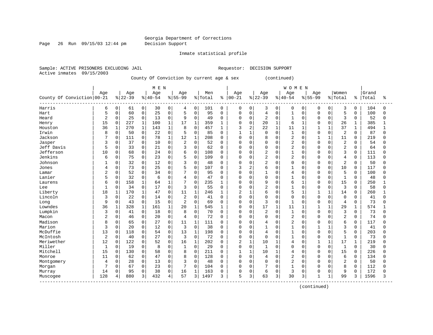Page 26 Run 09/15/03 12:44 pm Decision Support

Inmate statistical profile

Active inmates 09/15/2003

Sample: ACTIVE PRISONERS EXCLUDING JAIL **Requestor: DECISION SUPPORT** 

County Of Conviction by current age & sex (continued)

|                            |                |              |           |                | M E N     |              |                |              |         |          |                |                |                |              | <b>WOMEN</b>   |              |              |              |                |              |       |              |
|----------------------------|----------------|--------------|-----------|----------------|-----------|--------------|----------------|--------------|---------|----------|----------------|----------------|----------------|--------------|----------------|--------------|--------------|--------------|----------------|--------------|-------|--------------|
|                            | Age            |              | Age       |                | Age       |              | Age            |              | Men     |          | Age            |                | Age            |              | Age            |              | Age          |              | Women          |              | Grand |              |
| County Of Conviction 00-21 |                |              | $8 22-39$ |                | $8 40-54$ |              | $8155 - 99$    |              | % Total | ႜ        | $ 00-21$       |                | $8 22-39$      |              | $8 40-54$      |              | $8155 - 99$  |              | % Total        | ៖            | Total | ႜ            |
| Harris                     | 6              | 0            | 61        | $\overline{0}$ | 30        | 0            | 4              | 0            | 101     | 0        | 0              | 0              | 3              | 0            | 0              | 0            | $\Omega$     | 0            | 3              | 0            | 104   | 0            |
| Hart                       | 5              | 0            | 60        | 0              | 25        | $\mathbf 0$  | 5              | $\mathbf 0$  | 95      | $\Omega$ | 0              | $\mathbf 0$    | 4              | $\Omega$     | $\mathbf{1}$   | $\Omega$     | $\Omega$     | $\Omega$     | 5              | 0            | 100   | U            |
| Heard                      | 2              | 0            | 25        | 0              | 13        | $\mathbf 0$  | 9              | $\mathbf 0$  | 49      | $\Omega$ | 0              | $\mathbf 0$    | $\overline{2}$ | $\Omega$     | $\mathbf{1}$   | $\Omega$     | $\Omega$     | $\Omega$     | 3              | 0            | 52    | <sup>0</sup> |
| Henry                      | 15             | $\mathbf 0$  | 227       | $\mathbf{1}$   | 100       | $\mathbf{1}$ | 17             | $\mathbf{1}$ | 359     | 1        | 0              | $\mathbf 0$    | 20             | $\mathbf{1}$ | 6              | $\mathbf{1}$ | $\Omega$     | $\Omega$     | 26             | $\mathbf{1}$ | 385   |              |
| Houston                    | 36             | $\mathbf{1}$ | 270       | $\mathbf{1}$   | 143       | $\mathbf{1}$ | 8              | $\mathbf 0$  | 457     | 1        | 3              | $\overline{2}$ | 22             | $\mathbf{1}$ | 11             | $\mathbf{1}$ | $\mathbf{1}$ | $\mathbf{1}$ | 37             | $\mathbf{1}$ | 494   |              |
| Irwin                      | 8              | 0            | 50        | 0              | 22        | $\mathbf 0$  | 5              | $\mathbf 0$  | 85      | 0        | 1              | $\mathbf{1}$   | $\mathbf 0$    | 0            | 1              | $\mathbf 0$  | $\Omega$     | $\Omega$     | $\overline{2}$ | $\Omega$     | 87    | <sup>0</sup> |
| Jackson                    |                | $\Omega$     | 111       | 0              | 78        | 1            | 12             | $\mathbf{1}$ | 208     | $\Omega$ | $\Omega$       | $\Omega$       | 8              | $\Omega$     | $\overline{2}$ | O            |              | 1            | 11             | $\Omega$     | 219   | O            |
| Jasper                     | 3              | 0            | 37        | 0              | 10        | $\Omega$     | $\overline{2}$ | $\Omega$     | 52      | $\Omega$ | O              | $\Omega$       | $\Omega$       | $\Omega$     | $\overline{2}$ | $\Omega$     | $\Omega$     | $\Omega$     | $\overline{2}$ | $\Omega$     | 54    |              |
| Jeff Davis                 | 5              | 0            | 33        | 0              | 21        | $\Omega$     | 3              | $\Omega$     | 62      | $\Omega$ | O              | $\Omega$       | $\Omega$       | $\Omega$     | $\overline{2}$ | $\Omega$     | $\Omega$     | $\Omega$     | $\overline{2}$ | $\Omega$     | 64    | ∩            |
| Jefferson                  | 10             | 0            | 68        | 0              | 24        | $\mathbf 0$  | 6              | $\mathbf 0$  | 108     | 0        | 0              | $\Omega$       | $\overline{2}$ | $\Omega$     | $\mathbf{1}$   | $\Omega$     | $\Omega$     | $\Omega$     | 3              | 0            | 111   | U            |
| Jenkins                    | 6              | 0            | 75        | 0              | 23        | $\mathbf 0$  | 5              | $\mathbf 0$  | 109     | $\Omega$ | 0              | $\Omega$       | $\overline{2}$ | $\Omega$     | $\overline{2}$ | 0            | $\Omega$     | 0            | $\overline{4}$ | 0            | 113   | O            |
| Johnson                    |                | 0            | 32        | 0              | 12        | $\mathbf 0$  | 3              | $\mathbf 0$  | 48      | $\Omega$ | $\Omega$       | $\mathbf 0$    | 2              | $\Omega$     | $\Omega$       | $\mathbf 0$  | $\Omega$     | $\Omega$     | $\overline{2}$ | $\mathbf 0$  | 50    |              |
| Jones                      | 4              | 0            | 73        | 0              | 25        | $\Omega$     | 5              | $\mathbf 0$  | 107     | $\Omega$ | ζ              | 2              | 6              | $\Omega$     | $\mathbf{1}$   | $\Omega$     | $\Omega$     | $\Omega$     | 10             | $\Omega$     | 117   | U            |
| Lamar                      | 2              | 0            | 52        | 0              | 34        | $\Omega$     | 7              | $\Omega$     | 95      | $\Omega$ | $\Omega$       | $\Omega$       | $\mathbf{1}$   | $\Omega$     | 4              | $\Omega$     | $\Omega$     | $\Omega$     | 5              | $\Omega$     | 100   | O            |
| Lanier                     | 5              | 0            | 32        | 0              | 6         | $\mathbf 0$  | 4              | $\mathbf 0$  | 47      | O        | U              | 0              | $\mathbf 0$    | O            | 1              | 0            | $\Omega$     | $\Omega$     | 1              | 0            | 48    | Λ            |
| Laurens                    | 6              | $\mathbf 0$  | 158       | $\mathbf 1$    | 64        | $\mathbf{1}$ | 7              | $\Omega$     | 235     | -1       | $\Omega$       | $\Omega$       | 9              | $\Omega$     | 6              | $\mathbf{1}$ | $\Omega$     | $\Omega$     | 15             | $\Omega$     | 250   |              |
| Lee                        | -1             | 0            | 34        | 0              | 17        | $\Omega$     | 3              | $\Omega$     | 55      | $\Omega$ | O              | $\Omega$       | $\overline{2}$ | $\Omega$     | $\mathbf{1}$   | $\Omega$     | $\Omega$     | $\Omega$     | 3              | $\Omega$     | 58    | U            |
| Liberty                    | 18             | $\mathbf{1}$ | 170       | $\mathbf{1}$   | 47        | $\Omega$     | 11             | $\mathbf{1}$ | 246     | 1        | $\overline{a}$ | -1             | 6              | $\Omega$     | 5              | $\mathbf{1}$ |              | $\mathbf{1}$ | 14             | $\Omega$     | 260   |              |
| Lincoln                    | 3              | 0            | 22        | 0              | 14        | $\mathbf 0$  | $\overline{2}$ | $\mathbf 0$  | 41      | 0        | $\Omega$       | $\mathbf 0$    | $\mathbf 0$    | 0            | $\Omega$       | $\mathbf 0$  | $\Omega$     | $\Omega$     | $\mathbf 0$    | $\mathbf 0$  | 41    | U            |
| Long                       | 9              | 0            | 43        | 0              | 15        | $\mathbf 0$  | 2              | $\Omega$     | 69      | $\Omega$ | 0              | $\Omega$       | 3              | 0            | $\mathbf{1}$   | $\Omega$     | $\Omega$     | $\Omega$     | $\overline{4}$ | $\Omega$     | 73    | U            |
| Lowndes                    | 36             | 1            | 328       | $\mathbf{1}$   | 161       | 1            | 20             | $\mathbf{1}$ | 545     | 1        | O              | 0              | 17             | 1            | 11             | $\mathbf{1}$ | $\mathbf{1}$ | 1            | 29             | 1            | 574   | $\mathbf{1}$ |
| Lumpkin                    | 3              | $\Omega$     | 41        | 0              | 18        | $\mathbf 0$  | 8              | $\mathbf 0$  | 70      | $\Omega$ | 0              | 0              | $\overline{2}$ | $\Omega$     | 1              | $\Omega$     | $\Omega$     | $\Omega$     | 3              | $\Omega$     | 73    | <sup>0</sup> |
| Macon                      |                | $\Omega$     | 46        | 0              | 20        | $\mathbf 0$  | 4              | $\mathbf 0$  | 72      | $\Omega$ | $\Omega$       | $\Omega$       | $\mathbf 0$    | 0            | $\overline{2}$ | $\Omega$     | $\Omega$     | $\Omega$     | $\overline{2}$ | $\Omega$     | 74    | U            |
| Madison                    | 8              | $\Omega$     | 65        | 0              | 27        | $\Omega$     | 11             | $\mathbf{1}$ | 111     | $\Omega$ | $\Omega$       | $\Omega$       | 4              | $\Omega$     | $\overline{a}$ | $\Omega$     | $\Omega$     | O            | 6              | $\Omega$     | 117   |              |
| Marion                     | 3              | 0            | 20        | 0              | 12        | $\Omega$     | 3              | $\Omega$     | 38      | $\Omega$ | $\Omega$       | $\Omega$       | $\mathbf{1}$   | $\Omega$     | $\mathbf{1}$   | $\Omega$     | 1            | $\mathbf{1}$ | 3              | $\Omega$     | 41    | Λ            |
| McDuffie                   | 13             | $\mathbf 0$  | 118       | 0              | 54        | $\mathbf 0$  | 13             | $\mathbf{1}$ | 198     | 0        | $\Omega$       | $\Omega$       | $\overline{4}$ | $\Omega$     | $\mathbf{1}$   | $\Omega$     | $\Omega$     | $\Omega$     | 5              | 0            | 203   | U            |
| McIntosh                   | $\overline{2}$ | 0            | 40        | 0              | 27        | $\mathbf 0$  | 3              | $\Omega$     | 72      | $\Omega$ | 0              | $\mathbf 0$    | $\mathbf 0$    | $\Omega$     | $\mathbf{1}$   | $\Omega$     | $\Omega$     | $\Omega$     | $\mathbf{1}$   | $\Omega$     | 73    | Ω            |
| Meriwether                 | 12             | 0            | 122       | 0              | 52        | 0            | 16             | $\mathbf{1}$ | 202     | $\Omega$ | $\overline{2}$ | $\mathbf{1}$   | 10             | $\mathbf{1}$ | 4              | 0            | $\mathbf{1}$ | $\mathbf{1}$ | 17             | $\mathbf{1}$ | 219   | U            |
| Miller                     | $\mathbf{1}$   | 0            | 19        | 0              | 8         | $\mathbf 0$  | 1              | $\mathbf 0$  | 29      | $\Omega$ | 0              | $\mathbf 0$    | $\mathbf{1}$   | $\Omega$     | $\Omega$       | $\mathbf 0$  | $\Omega$     | $\Omega$     | $\mathbf 1$    | $\Omega$     | 30    | ∩            |
| Mitchell                   | 15             | 0            | 130       | 0              | 58        | $\mathbf 0$  | 8              | $\mathbf 0$  | 211     | 0        | $\mathbf{1}$   | $\mathbf{1}$   | 10             | 1            | $\overline{4}$ | $\mathbf 0$  | $\Omega$     | $\Omega$     | 15             | $\Omega$     | 226   | U            |
| Monroe                     | 11             | 0            | 62        | 0              | 47        | $\mathbf 0$  | 8              | $\Omega$     | 128     | 0        | $\Omega$       | $\mathbf 0$    | 4              | $\Omega$     | $\overline{2}$ | O            | $\Omega$     | <sup>0</sup> | 6              | $\Omega$     | 134   |              |
| Montgomery                 | 4              | 0            | 28        | $\Omega$       | 13        | $\Omega$     | 3              | $\Omega$     | 48      | $\Omega$ | $\Omega$       | $\Omega$       | $\Omega$       | $\Omega$     | $\overline{a}$ | $\Omega$     | $\Omega$     | $\cap$       | $\overline{2}$ | $\Omega$     | 50    | Λ            |
| Morgan                     | 7              | 0            | 67        | 0              | 23        | $\mathbf 0$  | 7              | $\mathbf 0$  | 104     | $\Omega$ | 0              | $\mathbf 0$    | 7              | $\Omega$     | $\mathbf{1}$   | 0            | $\Omega$     | $\Omega$     | 8              | 0            | 112   | U            |
| Murray                     | 14             | 0            | 95        | 0              | 38        | $\mathbf 0$  | 16             | $\mathbf{1}$ | 163     | 0        | 0              | $\mathbf 0$    | 6              | U            | 3              | 0            | $\Omega$     | $\Omega$     | 9              | $\mathbf 0$  | 172   |              |
| Muscogee<br>. <u>.</u>     | 128            | 4            | 880       | 3              | 432       | 4            | 57             | 3            | 1497    | 3        | 5              | 3              | 63             | 3            | 30             | 3            | $\mathbf{1}$ | $\mathbf{1}$ | 99             | 3            | 1596  | 3            |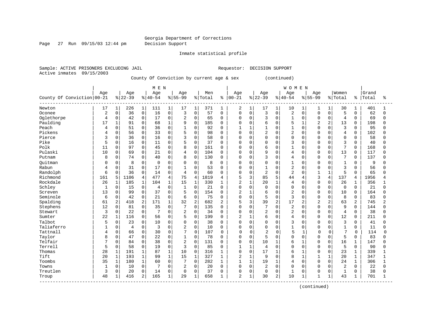Page 27 Run 09/15/03 12:44 pm Decision Support

Inmate statistical profile

Active inmates 09/15/2003

Sample: ACTIVE PRISONERS EXCLUDING JAIL **Requestor: DECISION SUPPORT** 

County Of Conviction by current age & sex (continued)

|                            |              |              |                |                | M E N       |              |                |                |         |             |                |              |                |              | <b>WOMEN</b>   |              |                |                |                |              |       |              |
|----------------------------|--------------|--------------|----------------|----------------|-------------|--------------|----------------|----------------|---------|-------------|----------------|--------------|----------------|--------------|----------------|--------------|----------------|----------------|----------------|--------------|-------|--------------|
|                            | Age          |              | Age            |                | Age         |              | Age            |                | Men     |             | Age            |              | Age            |              | Age            |              | Age            |                | Women          |              | Grand |              |
| County Of Conviction 00-21 |              |              | $ 22-39$       |                | $8140 - 54$ |              | $8155 - 99$    |                | % Total | ွေ          | $ 00-21$       |              | $8 22-39$      |              | $8140 - 54$    |              | $8155 - 99$    |                | %   Total      | ႜၟ           | Total | ÷            |
| Newton                     | 17           | $\mathbf 1$  | 226            | 1              | 111         | 1            | 17             | $\mathbf{1}$   | 371     | 1           | 2              | $\mathbf{1}$ | 17             | $\mathbf{1}$ | 10             |              | 1              | 1              | 30             | 1            | 401   |              |
| Oconee                     | 2            | $\mathbf 0$  | 36             | $\mathbf 0$    | 16          | $\mathbf 0$  | 3              | $\mathbf{0}$   | 57      | $\Omega$    | $\mathbf 0$    | $\Omega$     | 3              | $\Omega$     | $\overline{2}$ | $\Omega$     | $\Omega$       | $\Omega$       | 5              | $\Omega$     | 62    | $\Omega$     |
| Oglethorpe                 | 4            | $\mathbf 0$  | 42             | $\mathbf 0$    | 17          | $\Omega$     | $\overline{c}$ | $\mathbf 0$    | 65      | $\mathbf 0$ | $\mathbf 0$    | 0            | 3              | $\Omega$     | $\mathbf{1}$   | $\Omega$     | $\Omega$       | $\Omega$       | $\overline{4}$ | $\Omega$     | 69    | 0            |
| Paulding                   | 17           | $\mathbf{1}$ | 91             | $\mathbf 0$    | 68          | $\mathbf{1}$ | 9              | $\mathbf 0$    | 185     | $\Omega$    | $\Omega$       | $\Omega$     | 6              | $\Omega$     | 5              | $\mathbf{1}$ | $\overline{c}$ | $\overline{a}$ | 13             | $\Omega$     | 198   | $\Omega$     |
| Peach                      | 4            | $\mathbf 0$  | 51             | $\mathbf 0$    | 36          | $\Omega$     | $\mathbf{1}$   | $\mathbf 0$    | 92      | 0           | $\mathbf{1}$   | $\mathbf{1}$ | $\mathbf{1}$   | $\Omega$     | $\mathbf{1}$   | $\Omega$     | $\Omega$       | $\Omega$       | $\overline{3}$ | $\Omega$     | 95    | U            |
| Pickens                    | 4            | 0            | 56             | $\mathbf 0$    | 33          | $\Omega$     | 5              | $\Omega$       | 98      | $\mathbf 0$ | $\mathbf 0$    | 0            | $\overline{2}$ | $\Omega$     | $\overline{2}$ | $\Omega$     | $\cap$         | $\Omega$       | $\overline{4}$ | $\Omega$     | 102   | U            |
| Pierce                     | ζ            | $\Omega$     | 36             | $\mathbf 0$    | 16          | $\Omega$     | 3              | $\Omega$       | 58      | 0           | $\Omega$       | $\Omega$     | $\Omega$       | $\Omega$     | $\Omega$       | $\Omega$     | $\cap$         |                | $\mathbf 0$    | $\Omega$     | 58    | <sup>0</sup> |
| Pike                       | 5            | $\Omega$     | 16             | $\mathbf 0$    | 11          | $\Omega$     | 5              | $\Omega$       | 37      | $\Omega$    | $\Omega$       | $\Omega$     | $\Omega$       | $\Omega$     | 3              | $\cap$       | $\cap$         | $\Omega$       | 3              | $\Omega$     | 40    | U            |
| Polk                       | 11           | $\mathbf 0$  | 97             | $\mathbf 0$    | 45          | $\Omega$     | 8              | $\Omega$       | 161     | $\Omega$    | $\Omega$       | $\Omega$     | 6              | $\Omega$     | $\mathbf{1}$   | $\cap$       | $\Omega$       | $\Omega$       | 7              | $\Omega$     | 168   | U            |
| Pulaski                    | 10           | 0            | 69             | $\mathbf 0$    | 21          | $\Omega$     | $\overline{4}$ | $\Omega$       | 104     | 0           | $\Omega$       | $\Omega$     | 9              | $\Omega$     | $\overline{4}$ | $\Omega$     | $\Omega$       | $\Omega$       | 13             | $\Omega$     | 117   | $\Omega$     |
| Putnam                     | 8            | 0            | 74             | 0              | 40          | $\mathbf 0$  | 8              | $\mathbf 0$    | 130     | 0           | $\Omega$       | $\Omega$     | 3              | 0            | $\overline{4}$ | $\Omega$     | $\Omega$       | $\Omega$       | 7              | 0            | 137   | U            |
| Ouitman                    |              | 0            | 8              | $\mathbf 0$    | $\Omega$    | $\mathbf 0$  | $\mathbf 0$    | $\mathbf 0$    | 8       | 0           | $\Omega$       | 0            | $\mathbf 0$    | $\Omega$     | $\mathbf{1}$   | $\Omega$     | n              | $\Omega$       | $\mathbf{1}$   | $\Omega$     | 9     | O            |
| Rabun                      | 4            | 0            | 31             | $\mathbf 0$    | 17          | $\Omega$     | $\mathbf{1}$   | $\Omega$       | 53      | $\Omega$    | $\Omega$       | 0            | $\mathbf{1}$   | $\Omega$     | $\overline{2}$ | $\Omega$     | $\cap$         | $\Omega$       | 3              | 0            | 56    | <sup>0</sup> |
| Randolph                   | 6            | 0            | 36             | $\Omega$       | 14          | $\Omega$     | $\overline{4}$ | $\Omega$       | 60      | $\Omega$    | $\Omega$       | $\Omega$     | $\overline{c}$ | $\Omega$     | $\overline{c}$ | $\Omega$     | $\mathbf 1$    | $\mathbf{1}$   | 5              | $\Omega$     | 65    | <sup>0</sup> |
| Richmond                   | 161          | 5            | 1106           | $\overline{4}$ | 477         | 4            | 75             | $\overline{4}$ | 1819    | 4           | 5              | 3            | 85             | 5            | 44             | 4            | 3              | $\overline{4}$ | 137            | 4            | 1956  | 4            |
| Rockdale                   | 26           | $\mathbf 1$  | 185            | $\mathbf 1$    | 104         | $\mathbf{1}$ | 15             | $\mathbf{1}$   | 330     | 1           | $\overline{2}$ | $\mathbf{1}$ | 20             | $\mathbf{1}$ | $\overline{4}$ | $\Omega$     | $\Omega$       | $\Omega$       | 26             | 1            | 356   |              |
| Schley                     | 1            | $\Omega$     | 15             | $\mathbf 0$    | 4           | $\Omega$     | $\mathbf{1}$   | $\Omega$       | 21      | $\Omega$    | $\Omega$       | $\Omega$     | $\Omega$       | $\Omega$     | $\Omega$       | $\Omega$     | $\Omega$       | $\Omega$       | $\mathbf{0}$   | $\Omega$     | 21    | 0            |
| Screven                    | 13           | $\Omega$     | 99             | $\Omega$       | 37          | $\Omega$     | 5              | $\Omega$       | 154     | $\Omega$    | $\overline{a}$ | $\mathbf{1}$ | 6              | $\Omega$     | $\overline{2}$ | $\Omega$     | $\Omega$       | $\Omega$       | 10             | $\Omega$     | 164   | U            |
| Seminole                   | 6            | $\mathbf 0$  | 42             | $\mathbf 0$    | 21          | $\mathbf 0$  | 6              | $\mathbf 0$    | 75      | 0           | $\mathbf 0$    | 0            | 5              | $\mathbf 0$  | 3              | $\Omega$     | $\Omega$       | $\mathbf 0$    | 8              | 0            | 83    | $\Omega$     |
| Spalding                   | 61           | 2            | 418            | 2              | 171         | $\mathbf{1}$ | 32             | 2              | 682     | 2           | 5              | 3            | 39             | 2            | 17             | 2            | $\overline{c}$ | 2              | 63             | 2            | 745   | 2            |
| Stephens                   | 12           | 0            | 81             | $\mathbf 0$    | 35          | $\Omega$     | 7              | $\Omega$       | 135     | $\Omega$    | $\Omega$       | $\Omega$     | 7              | $\Omega$     | $\overline{2}$ | $\Omega$     | $\Omega$       | $\Omega$       | 9              | $\Omega$     | 144   | 0            |
| Stewart                    | 3            | 0            | 22             | $\mathbf 0$    |             | $\Omega$     | $\overline{2}$ | $\Omega$       | 34      | 0           | $\Omega$       | $\Omega$     | $\overline{2}$ | $\Omega$     | $\overline{c}$ | $\Omega$     | $\Omega$       | $\Omega$       | $\overline{4}$ | $\Omega$     | 38    | 0            |
| Sumter                     | 22           | $\mathbf{1}$ | 116            | $\mathbf 0$    | 56          | $\mathbf{0}$ | 5              | $\mathbf 0$    | 199     | $\Omega$    | $\overline{2}$ | $\mathbf{1}$ | 6              | $\mathbf 0$  | $\overline{4}$ | $\Omega$     | $\cap$         | $\Omega$       | 12             | $\Omega$     | 211   | U            |
| Talbot                     | 5            | $\Omega$     | 23             | $\Omega$       | 10          | $\Omega$     | $\mathbf 0$    | $\Omega$       | 38      | $\Omega$    | $\Omega$       | $\Omega$     | $\Omega$       | $\Omega$     | 3              | $\Omega$     | $\Omega$       | $\cap$         | 3              | $\Omega$     | 41    | O            |
| Taliaferro                 |              | $\Omega$     | $\overline{4}$ | $\mathbf 0$    | 3           | $\Omega$     | $\overline{a}$ | $\Omega$       | 10      | $\Omega$    | $\Omega$       | $\Omega$     | $\Omega$       | $\cap$       | $\mathbf{1}$   | $\cap$       | $\Omega$       | $\Omega$       | $\mathbf{1}$   | $\Omega$     | 11    | $\Omega$     |
| Tattnall                   | 4            | 0            | 66             | $\mathbf 0$    | 30          | $\Omega$     | 7              | $\mathbf 0$    | 107     | 0           | $\mathbf 0$    | $\Omega$     | $\overline{c}$ | $\mathbf 0$  | 5              | 1            | $\Omega$       | $\Omega$       | 7              | $\Omega$     | 114   | $\Omega$     |
| Taylor                     | 8            | $\mathbf 0$  | 47             | $\mathbf 0$    | 22          | $\Omega$     | $\mathbf{1}$   | $\Omega$       | 78      | $\Omega$    | $\Omega$       | 0            | 5              | $\Omega$     | $\Omega$       | $\Omega$     | $\Omega$       | $\Omega$       | 5              | $\Omega$     | 83    | <sup>0</sup> |
| Telfair                    | $\mathbf{r}$ | 0            | 84             | $\mathsf 0$    | 38          | $\Omega$     | $\overline{2}$ | $\Omega$       | 131     | $\Omega$    | $\Omega$       | $\mathbf 0$  | 10             | $\mathbf{1}$ | 6              | $\mathbf{1}$ | $\Omega$       | $\Omega$       | 16             | $\mathbf{1}$ | 147   | $\Omega$     |
| Terrell                    | 5            | $\mathbf 0$  | 58             | $\mathbf 0$    | 19          | $\Omega$     | 3              | $\Omega$       | 85      | $\Omega$    | 1              | $\mathbf{1}$ | $\overline{4}$ | $\Omega$     | $\Omega$       | $\Omega$     | $\Omega$       | $\Omega$       | 5              | $\Omega$     | 90    | 0            |
| Thomas                     | 28           | $\mathbf 1$  | 191            | 1              | 87          | $\mathbf{1}$ | 10             | $\mathbf 0$    | 316     | 1           | $\mathbf 0$    | 0            | 17             | $\mathbf{1}$ | 6              |              | $\Omega$       | $\Omega$       | 23             | 1            | 339   |              |
| Tift                       | 20           | $\mathbf 1$  | 193            | 1              | 99          | $\mathbf{1}$ | 15             | $\mathbf{1}$   | 327     | 1           | $\overline{2}$ | $\mathbf{1}$ | 9              | $\Omega$     | 8              | 1            | -1             |                | 20             | 1            | 347   |              |
| Toombs                     | 35           | $\mathbf{1}$ | 180            | $\mathbf{1}$   | 60          | $\Omega$     | 7              | $\Omega$       | 282     | 1           | $\mathbf{1}$   | $\mathbf{1}$ | 19             | $\mathbf{1}$ | $\overline{4}$ | $\Omega$     | $\Omega$       | $\Omega$       | 24             | 1            | 306   | 1            |
| Towns                      | 1            | 0            | 10             | $\mathbf 0$    | 7           | $\mathbf 0$  | $\overline{2}$ | $\Omega$       | 20      | $\Omega$    | $\mathbf 0$    | $\Omega$     | $\overline{c}$ | $\Omega$     | $\Omega$       | $\Omega$     | $\Omega$       | $\Omega$       | 2              | $\Omega$     | 22    | 0            |
| Treutlen                   | 3            | 0            | 20             | $\mathbf 0$    | 14          | $\mathbf 0$  | 0              | $\mathbf 0$    | 37      | 0           | 0              | 0            | $\Omega$       | $\Omega$     | $\mathbf{1}$   | 0            | $\Omega$       | $\Omega$       | $\mathbf 1$    | $\Omega$     | 38    | 0            |
| Troup<br>----------------- | 48           | 1            | 416            | 2              | 165         | $\mathbf{1}$ | 29             | $\mathbf{1}$   | 658     |             | $\overline{a}$ | 1            | 30             | 2            | 10             | 1            | $\mathbf{1}$   | $\mathbf{1}$   | 43             |              | 701   | $\mathbf{1}$ |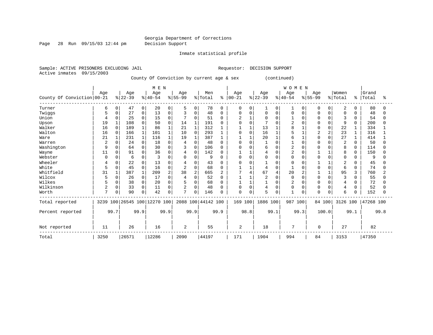Page 28 Run 09/15/03 12:44 pm Decision Support

Inmate statistical profile

Sample: ACTIVE PRISONERS EXCLUDING JAIL **Requestor: DECISION SUPPORT** Active inmates 09/15/2003 County Of Conviction by current age & sex (continued)

|                            |                |              |          |              | M E N                        |                |                |                |                |              |                |          |                |             | WOMEN          |             |                |             |                |              |           |      |
|----------------------------|----------------|--------------|----------|--------------|------------------------------|----------------|----------------|----------------|----------------|--------------|----------------|----------|----------------|-------------|----------------|-------------|----------------|-------------|----------------|--------------|-----------|------|
|                            | Age            |              | Age      |              | Age                          |                | Age            |                | Men            |              | Age            |          | Age            |             | Age            |             | Age            |             | Women          |              | Grand     |      |
| County Of Conviction 00-21 |                |              | $ 22-39$ |              | $8 40-54$                    |                | $8155 - 99$    |                | % Total        | နွ           | $ 00 - 21$     |          | $ 22-39$       |             | $8 40-54$      |             | $8 55-99$      |             | %   Total      | န္           | Total     | °    |
| Turner                     | 6              | 0            | 47       | 0            | 20                           | $\mathbf{0}$   | 5              | 0              | 78             | $\Omega$     | 0              | O        |                | 0           |                | 0           | 0              | 0           | 2              | $\Omega$     | 80        | O    |
| Twiggs                     |                | $\mathbf 0$  | 27       | $\mathsf 0$  | 13                           | $\Omega$       | 3              | $\mathbf 0$    | 48             | $\Omega$     | 0              | O        | $\Omega$       | $\mathbf 0$ | $\Omega$       | $\mathbf 0$ | $\Omega$       | $\Omega$    | $\mathbf 0$    | <sup>0</sup> | 48        | 0    |
| Union                      |                | 0            | 25       | $\Omega$     | 15                           | $\Omega$       |                | 0              | 51             | $\Omega$     | $\overline{a}$ |          | $\Omega$       |             |                | $\Omega$    | ∩              |             | 3              | <sup>0</sup> | 54        | O    |
| Upson                      | 19             | $\mathbf{1}$ | 108      | $\Omega$     | 50                           | <sup>n</sup>   | 14             | $\mathbf 1$    | 191            |              | $\Omega$       | ∩        |                |             | 2              |             |                |             | 9              | <sup>n</sup> | 200       | U    |
| Walker                     | 16             | $\mathbf 0$  | 189      |              | 86                           |                | 21             | $\mathbf{1}$   | 312            |              |                |          | 13             |             |                |             |                | $\Omega$    | 22             |              | 334       |      |
| Walton                     | 16             | $\mathbf 0$  | 166      |              | 101                          |                | 10             | $\mathbf 0$    | 293            |              | $\Omega$       | $\Omega$ | 16             |             |                |             | $\overline{2}$ | 2           | 23             |              | 316       |      |
| Ware                       | 21             | $\mathbf{1}$ | 231      | $\mathbf{1}$ | 116                          |                | 19             | $1\,$          | 387            |              |                | -1       | 20             |             | 6              |             | $\Omega$       | $\Omega$    | 27             |              | 414       |      |
| Warren                     | 2              | 0            | 24       | $\mathbf 0$  | 18                           |                | 4              | $\Omega$       | 48             | O            | $\Omega$       | O        |                | $\Omega$    |                |             |                |             | $\overline{2}$ | 0            | 50        | U    |
| Washington                 | 9              | $\Omega$     | 64       | $\mathbf 0$  | 30                           |                | 3              | $\mathbf 0$    | 106            | <sup>0</sup> | $\Omega$       |          | 6              |             | $\overline{c}$ |             |                |             | 8              | <sup>0</sup> | 114       | U    |
| Wayne                      | 11             | $\Omega$     | 91       | $\mathbf 0$  | 36                           |                | 4              | $\mathbf 0$    | 142            |              |                |          | 4              | $\Omega$    | $\overline{2}$ |             |                |             | 8              | 0            | 150       |      |
| Webster                    | $\Omega$       | $\Omega$     | 6        | $\mathbf 0$  | 3                            |                | 0              | $\mathbf 0$    | 9              |              | 0              |          | $\Omega$       | $\Omega$    | $\Omega$       |             |                | $\cap$      | $\Omega$       |              | 9         |      |
| Wheeler                    | 4              | 0            | 22       | $\mathbf 0$  | 13                           |                |                | 0              | 43             |              | 0              |          |                |             | n              |             |                |             | $\overline{2}$ |              | 45        |      |
| White                      | 5              | 0            | 45       | $\mathbf 0$  | 16                           | $\Omega$       | $\overline{a}$ | $\mathbf 0$    | 68             | $\Omega$     |                |          | $\overline{4}$ | $\mathbf 0$ |                |             |                | $\Omega$    | 6              | 0            | 74        | O    |
| Whitfield                  | 31             | $\mathbf{1}$ | 387      | $\mathbf{1}$ | 209                          | $\overline{a}$ | 38             | $\overline{a}$ | 665            |              |                | 4        | 67             | 4           | 20             |             |                |             | 95             | 3            | 760       | 2    |
| Wilcox                     |                | $\Omega$     | 26       | $\mathbf 0$  | 17                           |                | 4              | $\mathbf 0$    | 52             | n            |                |          | 2              | $\Omega$    | $\Omega$       |             |                |             | 3              | U            | 55        | U    |
| Wilkes                     |                | 0            | 38       | $\mathbf 0$  | 20                           |                | 5              | $\mathbf 0$    | 68             | O            |                |          |                | $\Omega$    | 2              |             |                | $\Omega$    | 4              |              | 72        |      |
| Wilkinson                  | 2              | 0            | 33       | $\mathbf 0$  | 11                           | $\Omega$       | $\overline{2}$ | $\mathbf 0$    | 48             | O            | $\Omega$       | O        | $\overline{4}$ | $\Omega$    | $\Omega$       | $\Omega$    | $\Omega$       | $\Omega$    | $\overline{4}$ | O            | 52        |      |
| Worth                      | $\overline{7}$ | 0            | 90       | $\mathbf 0$  | 42                           | 0              | $\overline{7}$ | $\mathbf 0$    | 146            | O            | $\Omega$       |          | 5              | $\Omega$    |                | $\Omega$    | $\Omega$       | $\mathbf 0$ | 6              |              | 152       |      |
| Total reported             |                |              |          |              | 3239 100 26545 100 12270 100 |                |                |                | 2088 100 44142 | 100          | 169 100        |          | 1886 100       |             | 987            | 100         | 84 100         |             | 3126 100       |              | 47268 100 |      |
| Percent reported           |                | 99.7         |          | 99.9         |                              | 99.9           |                | 99.9           |                | 99.9         |                | 98.8     |                | 99.1        |                | 99.3        |                | 100.0       |                | 99.1         |           | 99.8 |
| Not reported               | 11             |              | 26       |              | 16                           |                | $\overline{2}$ |                | 55             |              | $\overline{2}$ |          | 18             |             | 7              |             | 0              |             | 27             |              | 82        |      |
| Total                      | 3250           |              | 26571    |              | 12286                        |                | 2090           |                | 44197          |              | 171            |          | 1904           |             | 994            |             | 84             |             | 3153           |              | 47350     |      |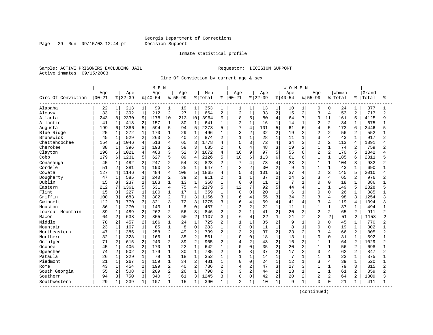Page 29 Run 09/15/03 12:44 pm Decision Support

#### Inmate statistical profile

Sample: ACTIVE PRISONERS EXCLUDING JAIL **Requestor: DECISION SUPPORT** Active inmates 09/15/2003

Circ Of Conviction by current age & sex

|                    |           |                |          |                | M E N     |                |           |                |         |                |                |                |          |                | WOMEN       |                |                |                |         |                |       |                |
|--------------------|-----------|----------------|----------|----------------|-----------|----------------|-----------|----------------|---------|----------------|----------------|----------------|----------|----------------|-------------|----------------|----------------|----------------|---------|----------------|-------|----------------|
|                    | Age       |                | Age      |                | Age       |                | Age       |                | Men     |                | Age            |                | Age      |                | Age         |                | Age            |                | Women   |                | Grand |                |
| Circ Of Conviction | $00 - 21$ |                | $ 22-39$ |                | $8 40-54$ |                | $8 55-99$ |                | % Total | ႜ              | $00 - 21$      |                | $ 22-39$ |                | $8140 - 54$ |                | $8 55-99$      |                | % Total | ႜ              | Total | °              |
| Alapaha            | 22        | $\mathbf{1}$   | 213      | 1              | 99        | $\mathbf{1}$   | 19        | $\mathbf{1}$   | 353     | 1              | 1              | 1              | 13       | $\mathbf{1}$   | 10          | 1              | 0              | 0              | 24      |                | 377   | 1              |
| Alcovy             | 33        | $\mathbf 1$    | 392      | $\mathbf{1}$   | 212       | $\sqrt{2}$     | 27        | $\mathbf{1}$   | 664     | $\overline{2}$ | 2              | $\mathbf{1}$   | 33       | 2              | 15          | 2              | $\mathbf{3}$   | 4              | 53      | 2              | 717   | $\overline{2}$ |
| Atlanta            | 243       | 8              | 2330     | 9              | 1178      | 10             | 213       | 10             | 3964    | 9              | 8              | 5              | 80       | 4              | 64          | 7              | 9              | 11             | 161     | 5              | 4125  | 9              |
| Atlantic           | 41        | 1              | 413      | 2              | 157       | $\mathbf{1}$   | 30        | $\mathbf{1}$   | 641     | 1              | 2              | $\mathbf{1}$   | 16       | $\mathbf{1}$   | 14          | $\mathbf{1}$   | $\overline{c}$ | $\overline{2}$ | 34      |                | 675   |                |
| Augusta            | 199       | 6              | 1386     | 5              | 594       | 5              | 94        | 5              | 2273    | 5              | 7              | $\overline{4}$ | 101      | 5              | 61          | б              | 4              | 5              | 173     | 6              | 2446  |                |
| Blue Ridge         | 25        | $\mathbf 1$    | 272      | $\mathbf{1}$   | 170       | $\mathbf{1}$   | 29        | $\mathbf{1}$   | 496     | -1             | 3              | $\overline{2}$ | 32       | 2              | 19          | $\overline{2}$ | $\overline{2}$ | $\overline{2}$ | 56      | 2              | 552   |                |
| Brunswick          | 45        | $\mathbf{1}$   | 529      | 2              | 260       | 2              | 40        | $\overline{2}$ | 874     | $\overline{2}$ | $\mathbf{1}$   | $\mathbf{1}$   | 28       | $\mathbf{1}$   | 11          | 1              | 3              | 4              | 43      | $\mathbf{1}$   | 917   | $\overline{2}$ |
| Chattahoochee      | 154       | 5              | 1046     | 4              | 513       | $\overline{4}$ | 65        | 3              | 1778    | 4              | 5              | 3              | 72       | 4              | 34          | 3              | $\overline{2}$ | 2              | 113     | 4              | 1891  |                |
| Cherokee           | 38        | 1              | 396      | $\mathbf 1$    | 193       | $\overline{2}$ | 58        | 3              | 685     | 2              | 6              | $\overline{4}$ | 48       | 3              | 19          | 2              |                | $\mathbf{1}$   | 74      | 2              | 759   | 2              |
| Clayton            | 196       | 6              | 1021     | 4              | 403       | 3              | 52        | 3              | 1672    | $\overline{4}$ | 16             | 9              | 97       | 5              | 55          | 6              | $\overline{c}$ | $\overline{2}$ | 170     |                | 1842  |                |
| Cobb               | 179       | 6              | 1231     | 5              | 627       | 5              | 89        | 4              | 2126    | 5              | 10             | 6              | 113      | 6              | 61          | 6              | 1              | $\mathbf{1}$   | 185     | 6              | 2311  |                |
| Conasauga          | 45        | $\mathbf{1}$   | 482      | $\overline{a}$ | 247       | 2              | 54        | 3              | 828     | $\overline{c}$ | 7              | 4              | 73       | 4              | 23          | $\overline{2}$ | 1              | $\mathbf{1}$   | 104     | 3              | 932   | 2              |
| Cordele            | 51        | 2              | 381      | $\mathbf{1}$   | 190       | 2              | 25        | $\mathbf{1}$   | 647     | 1              | 3              | 2              | 30       | 2              | 9           | $\mathbf 1$    | $\mathbf{1}$   | $1\,$          | 43      |                | 690   |                |
| Coweta             | 127       | 4              | 1146     | $\overline{4}$ | 484       | $\overline{4}$ | 108       | 5              | 1865    | 4              | 5              | 3              | 101      | 5              | 37          | 4              | $\overline{c}$ | $\overline{2}$ | 145     | 5              | 2010  |                |
| Dougherty          | 47        | 1              | 585      | $\overline{2}$ | 240       | $\overline{2}$ | 39        | $\overline{2}$ | 911     | $\overline{c}$ | 1              | $\mathbf{1}$   | 37       | 2              | 24          | 2              | 3              | $\overline{4}$ | 65      | 2              | 976   |                |
| Dublin             | 15        | 0              | 237      | $\mathbf 1$    | 103       | $\mathbf{1}$   | 13        | $\mathbf{1}$   | 368     | 1              | 0              | 0              | 11       | $\mathbf{1}$   | 7           | $\mathbf{1}$   | $\Omega$       | $\Omega$       | 18      |                | 386   |                |
| Eastern            | 212       | 7              | 1361     | 5              | 531       | 4              | 75        | $\overline{4}$ | 2179    | 5              | 12             | 7              | 92       | 5              | 44          | 4              | 1              | $\mathbf{1}$   | 149     | 5              | 2328  |                |
| Flint              | 15        | 0              | 227      | $\mathbf 1$    | 100       | $\mathbf 1$    | 17        | $\mathbf{1}$   | 359     | 1              | $\Omega$       | $\Omega$       | 20       | $\mathbf{1}$   | 6           |                | $\Omega$       | $\Omega$       | 26      |                | 385   |                |
| Griffin            | 100       | 3              | 683      | 3              | 302       | 2              | 71        | 3              | 1156    | $\mathbf{3}$   | 6              | 4              | 55       | 3              | 34          | 3              | 3              | 4              | 98      | 3              | 1254  | 3              |
| Gwinnett           | 112       | 3              | 770      | 3              | 321       | 3              | 72        | 3              | 1275    | 3              | 6              | 4              | 69       | $\overline{4}$ | 41          | 4              | $\mathbf{3}$   | $\overline{4}$ | 119     | 4              | 1394  | ζ              |
| Houston            | 36        | 1              | 270      | $\mathbf{1}$   | 143       | $\mathbf{1}$   | 8         | $\Omega$       | 457     |                | 3              | $\overline{2}$ | 22       | $\mathbf 1$    | 11          | $\mathbf{1}$   | $\mathbf{1}$   | $\mathbf{1}$   | 37      |                | 494   |                |
| Lookout Mountain   | 39        | $\mathbf 1$    | 489      | $\overline{a}$ | 262       | $\overline{2}$ | 56        | 3              | 846     | $\overline{c}$ | $\overline{a}$ | $\mathbf{1}$   | 41       | $\overline{a}$ | 20          | $\overline{2}$ | $\overline{2}$ | $\overline{a}$ | 65      | 2              | 911   | 2              |
| Macon              | 64        | 2              | 638      | 2              | 355       | 3              | 50        | $\overline{2}$ | 1107    | ζ              | 6              | $\overline{4}$ | 22       | $\mathbf{1}$   | 21          | $\overline{2}$ | $\overline{a}$ | $\overline{a}$ | 51      | 2              | 1158  | $\overline{a}$ |
| Middle             | 78        | 2              | 457      | $\overline{2}$ | 166       | $\mathbf{1}$   | 24        | $\mathbf{1}$   | 725     | $\overline{c}$ | $\mathbf{1}$   | $\mathbf{1}$   | 35       | $\overline{a}$ | 9           | $\mathbf{1}$   | $\Omega$       | $\Omega$       | 45      | 1              | 770   | 2              |
| Mountain           | 23        | $\mathbf 1$    | 167      | $\mathbf{1}$   | 85        | $1\,$          | 8         | 0              | 283     | $\mathbf{1}$   | 0              | $\mathbf 0$    | 11       | $\mathbf{1}$   | 8           | $\mathbf{1}$   | $\Omega$       | $\Omega$       | 19      | $\mathbf{1}$   | 302   |                |
| Northeastern       | 47        | $\mathbf 1$    | 385      | $\mathbf{1}$   | 258       | $\overline{a}$ | 49        | $\overline{2}$ | 739     | $\overline{2}$ | 3              | $\overline{c}$ | 37       | $\overline{a}$ | 23          | $\overline{a}$ | $\mathbf{3}$   | 4              | 66      | $\overline{2}$ | 805   | $\overline{a}$ |
| Northern           | 32        | $\mathbf{1}$   | 328      | $\mathbf{1}$   | 166       | $\mathbf 1$    | 35        | $\overline{2}$ | 561     | 1              | 0              | $\Omega$       | 18       | $\mathbf{1}$   | 13          | 1              | $\Omega$       | $\Omega$       | 31      |                | 592   |                |
| Ocmulgee           | 71        | $\overline{2}$ | 615      | 2              | 240       | $\overline{2}$ | 39        | $\overline{2}$ | 965     | $\overline{2}$ | 4              | $\overline{2}$ | 43       | $\overline{2}$ | 16          | 2              | $\mathbf{1}$   | $\mathbf{1}$   | 64      | $\overline{2}$ | 1029  | 2              |
| Oconee             | 45        | $\mathbf 1$    | 405      | $\overline{2}$ | 170       | $\mathbf{1}$   | 22        | $\mathbf{1}$   | 642     | 1              | $\Omega$       | $\Omega$       | 35       | $\overline{a}$ | 20          | $\overline{2}$ | $\mathbf{1}$   | $\mathbf{1}$   | 56      | 2              | 698   |                |
| Ogeechee           | 74        | 2              | 502      | $\overline{c}$ | 179       | $1\,$          | 30        | $\mathbf 1$    | 785     | $\overline{2}$ | 5              | 3              | 37       | 2              | 17          | 2              | 3              | 4              | 62      | 2              | 847   | $\overline{2}$ |
| Pataula            | 26        | $\mathbf{1}$   | 229      | $\mathbf{1}$   | 79        | $\mathbf{1}$   | 18        | $\mathbf{1}$   | 352     | 1              | $\mathbf{1}$   | $\mathbf{1}$   | 14       | $\mathbf{1}$   | 7           | 1              | $\mathbf{1}$   | $\mathbf 1$    | 23      | $\mathbf{1}$   | 375   |                |
| Piedmont           | 21        | $\mathbf 1$    | 267      | $\mathbf{1}$   | 159       | $\mathbf{1}$   | 34        | $\overline{2}$ | 481     | 1              | 0              | $\mathbf 0$    | 24       | 1              | 12          | 1              | 3              | 4              | 39      | 1              | 520   |                |
| Rome               | 43        | 1              | 454      | $\overline{2}$ | 199       | $\overline{2}$ | 40        | $\overline{2}$ | 736     | $\overline{2}$ | 4              | $\overline{2}$ | 47       | 3              | 27          | 3              | 1              | $\mathbf{1}$   | 79      | 3              | 815   | $\overline{a}$ |
| South Georgia      | 55        | 2              | 508      | $\overline{a}$ | 209       | $\overline{2}$ | 26        | $\mathbf{1}$   | 798     | $\overline{2}$ | 3              | 2              | 44       | 2              | 13          | $\mathbf{1}$   | $\mathbf{1}$   | $\mathbf{1}$   | 61      | 2              | 859   | $\overline{2}$ |
| Southern           | 94        | 3              | 750      | 3              | 340       | 3              | 61        | 3              | 1245    | 3              | 0              | $\Omega$       | 42       | 2              | 20          | 2              | $\overline{2}$ | $\overline{a}$ | 64      | 2              | 1309  | 3              |
| Southwestern       | 29        | 1              | 239      | $\mathbf{1}$   | 107       | $\mathbf{1}$   | 15        | $\mathbf{1}$   | 390     | 1              | 2              | $\mathbf{1}$   | 10       | $\mathbf{1}$   | 9           | $\mathbf{1}$   | $\Omega$       | $\mathbf 0$    | 21      |                | 411   |                |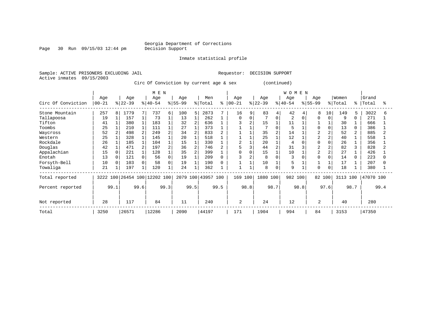#### Georgia Department of Corrections<br>Decision Support

Page 30 Run 09/15/03 12:44 pm

Inmate statistical profile

Sample: ACTIVE PRISONERS EXCLUDING JAIL Requestor: DECISION SUPPORT Active inmates 09/15/2003

Circ Of Conviction by current age & sex (continued)

|                    |           |          |           |      | M E N                        |      |           |                |           |      |                |      |              |          | WOMEN          |      |                |                |          |                |           |      |
|--------------------|-----------|----------|-----------|------|------------------------------|------|-----------|----------------|-----------|------|----------------|------|--------------|----------|----------------|------|----------------|----------------|----------|----------------|-----------|------|
|                    | Age       |          | Age       |      | Age                          |      | Age       |                | Men       |      | Age            |      | Age          |          | Age            |      | Age            |                | Women    |                | Grand     |      |
| Circ Of Conviction | $00 - 21$ |          | $ 22-39 $ |      | $8 40-54$                    |      | $8 55-99$ |                | % Total   | °    | $00 - 21$      |      | $ 22-39 $    |          | $8 40-54$      |      | $ 55-99$       |                | % Total  | $\approx$ 1    | Total     | °    |
| Stone Mountain     | 257       | 8        | 1779      | 7    | 737                          | 6    | 100       | 5              | 2873      |      | 16             | 9    | 83           | 4        | 42             | 4    | 8              | 10             | 149      | 5              | 3022      | 6    |
| Tallapoosa         | 19        |          | 157       |      | 73                           |      | 13        |                | 262       |      | $\Omega$       |      | $\mathbf{r}$ | $\Omega$ | $\overline{c}$ |      |                | $\Omega$       | 9        | 0              | 271       |      |
| Tifton             | 41        |          | 380       |      | 183                          |      | 32        | $\overline{a}$ | 636       |      |                |      | 15           |          | 11             |      |                |                | 30       |                | 666       |      |
| Toombs             | 25        |          | 210       |      | 111                          |      | 27        |                | 373       |      |                |      | $\mathbf{r}$ |          |                |      | $\Omega$       |                | 13       | 0              | 386       |      |
| Waycross           | 52        |          | 498       | 2    | 249                          |      | 34        | $\overline{a}$ | 833       |      |                |      | 35           |          | 14             |      |                | 2              | 52       | $\overline{a}$ | 885       |      |
| Western            | 25        |          | 328       |      | 145                          |      | 20        |                | 518       |      |                |      | 25           |          | 12             |      | $\overline{a}$ | $\overline{a}$ | 40       |                | 558       |      |
| Rockdale           | 26        |          | 185       |      | 104                          |      | 15        |                | 330       |      | 2              |      | 20           |          |                |      |                |                | 26       |                | 356       |      |
| Douglas            | 42        |          | 471       |      | 197                          |      | 36        | $\overline{2}$ | 746       |      |                |      | 44           |          | 31             |      |                |                | 82       |                | 828       |      |
| Appalachian        | 15        |          | 221       |      | 128                          |      | 35        |                | 399       |      |                |      | 15           |          | 10             |      |                |                | 27       |                | 426       |      |
| Enotah             | 13        | $\Omega$ | 121       | 0    | 56                           |      | 19        |                | 209       |      |                |      | 8            |          | 3              |      | $\Omega$       |                | 14       |                | 223       |      |
| Forsyth-Bell       | 10        | $\Omega$ | 103       | 0    | 58                           | 0    | 19        |                | 190       |      |                |      | 10           |          | 5              |      |                |                | 17       |                | 207       |      |
| Towaliga           | 21        |          | 197       |      | 120                          |      | 24        |                | 362       |      |                |      | 8            | $\Omega$ | 9              |      | $\mathbf 0$    | $\Omega$       | 18       |                | 380       |      |
| Total reported     |           |          |           |      | 3222 100 26454 100 12202 100 |      | 2079 100  |                | 43957 100 |      | 169            | 100  | 1880 100     |          | 982            | 100  | 82 100         |                | 3113 100 |                | 47070 100 |      |
| Percent reported   |           | 99.1     |           | 99.6 |                              | 99.3 |           | 99.5           |           | 99.5 |                | 98.8 |              | 98.7     |                | 98.8 |                | 97.6           |          | 98.7           |           | 99.4 |
| Not reported       | 28        |          | 117       |      | 84                           |      | 11        |                | 240       |      | $\overline{2}$ |      | 24           |          | 12             |      | 2              |                | 40       |                | 280       |      |
| Total              | 3250      |          | 26571     |      | 12286                        |      | 2090      |                | 44197     |      | 171            |      | 1904         |          | 994            |      | 84             |                | 3153     |                | 47350     |      |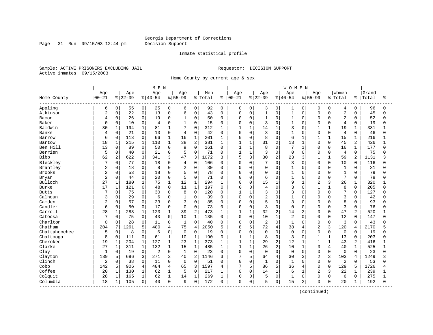Page 31 Run 09/15/03 12:44 pm Decision Support

#### Inmate statistical profile

Sample: ACTIVE PRISONERS EXCLUDING JAIL **Requestor: DECISION SUPPORT** Active inmates 09/15/2003

Home County by current age & sex

|                        |                |               |            |              | MEN      |                |                |                |         |             |              |              |              |                | <b>WOMEN</b>   |                |                |              |                |                |       |              |
|------------------------|----------------|---------------|------------|--------------|----------|----------------|----------------|----------------|---------|-------------|--------------|--------------|--------------|----------------|----------------|----------------|----------------|--------------|----------------|----------------|-------|--------------|
|                        | Age            |               | Age        |              | Age      |                | Age            |                | Men     |             | Age          |              | Age          |                | Age            |                | Age            |              | Women          |                | Grand |              |
| Home County<br>------- | $00 - 21$      | $\frac{8}{3}$ | $ 22 - 39$ |              | $ 40-54$ |                | $8 55-99$      |                | % Total | ႜ           | $00 - 21$    |              | $ 22-39$     |                | $8 40-54$      |                | $8 55-99$      |              | %   Total      | ៖              | Total | ႜ            |
| Appling                | 6              | $\mathbf 0$   | 55         | 0            | 25       | 0              | 6              | 0              | 92      | $\mathbf 0$ | 0            | $\mathbf 0$  | 3            | 0              | 1              | 0              | 0              | 0            | 4              | $\mathbf 0$    | 96    | $\Omega$     |
| Atkinson               | $\overline{2}$ | $\mathbf 0$   | 22         | $\mathsf 0$  | 13       | 0              | 6              | $\mathbf 0$    | 43      | $\Omega$    | 0            | $\mathbf 0$  | $\mathbf{1}$ | $\mathbf 0$    | $\mathbf{1}$   | 0              | $\Omega$       | $\Omega$     | $\sqrt{2}$     | $\Omega$       | 45    | $\Omega$     |
| Bacon                  | $\overline{4}$ | 0             | 26         | $\mathbf 0$  | 19       | 0              | $\mathbf{1}$   | $\mathbf 0$    | 50      | 0           | 0            | $\mathbf 0$  | 1            | $\Omega$       | $\mathbf{1}$   | $\Omega$       | $\Omega$       | $\Omega$     | $\overline{2}$ | $\Omega$       | 52    | $\Omega$     |
| Baker                  | $\Omega$       | $\Omega$      | 10         | $\mathbf 0$  | 4        | 0              |                | $\mathbf 0$    | 15      | $\Omega$    | O            | $\mathbf 0$  | 3            | $\Omega$       | $\mathbf{1}$   | $\Omega$       | $\Omega$       | $\Omega$     | $\overline{4}$ | $\Omega$       | 19    |              |
| Baldwin                | 30             | $\mathbf{1}$  | 194        | $\mathbf 1$  | 81       | $\mathbf 1$    | 7              | $\Omega$       | 312     | 1           | 1            | $\mathbf{1}$ | 14           | $\mathbf{1}$   | 3              | $\cap$         | $\mathbf{1}$   | $\mathbf{1}$ | 19             | $\mathbf 1$    | 331   |              |
| Banks                  | 4              | $\mathbf 0$   | 21         | 0            | 13       | 0              | 4              | $\mathbf 0$    | 42      | $\Omega$    | 0            | $\mathbf 0$  | 3            | $\Omega$       | $\mathbf{1}$   | $\Omega$       | $\mathbf 0$    | $\Omega$     | $\overline{4}$ | $\Omega$       | 46    | U            |
| Barrow                 | 6              | 0             | 113        | $\mathbf 0$  | 66       | $\mathbf{1}$   | 16             | $1\,$          | 201     | 1           | 0            | $\mathbf 0$  | 8            | $\mathbf 0$    | 6              | $\mathbf{1}$   | 1              | $\mathbf{1}$ | 15             | $\mathbf{1}$   | 216   |              |
| Bartow                 | 18             | $\mathbf 1$   | 215        | 1            | 110      | $\mathbf{1}$   | 38             | $\overline{2}$ | 381     | 1           | 1            | $\mathbf{1}$ | 31           | $\overline{a}$ | 13             | $\mathbf{1}$   | $\Omega$       | $\Omega$     | 45             | $\overline{a}$ | 426   | $\mathbf{1}$ |
| Ben Hill               | 13             | 0             | 89         | $\mathbf 0$  | 50       | 0              | 9              | $\mathbf 0$    | 161     | 0           | 1            | $\mathbf{1}$ | 8            | $\mathbf 0$    | 7              |                | $\Omega$       | $\Omega$     | 16             | 1              | 177   | U            |
| Berrien                | 5              | $\mathbf 0$   | 40         | 0            | 21       | 0              | 5              | $\mathbf 0$    | 71      | 0           | $\mathbf{1}$ | $\mathbf{1}$ | 3            | $\mathbf 0$    | $\mathbf 0$    | $\Omega$       | $\mathbf 0$    | 0            | 4              | $\mathbf 0$    | 75    |              |
| <b>Bibb</b>            | 62             | 2             | 622        | 3            | 341      | 3              | 47             | 3              | 1072    | 3           | 5            | 3            | 30           | 2              | 23             | 3              | $\mathbf{1}$   | $\mathbf{1}$ | 59             | 2              | 1131  |              |
| Bleckley               | 7              | 0             | 77         | $\mathbf 0$  | 18       | 0              | 4              | $\mathbf 0$    | 106     | $\Omega$    | 0            | $\mathbf 0$  | 7            | $\Omega$       | $\overline{3}$ | $\Omega$       | $\Omega$       | $\Omega$     | 10             | $\Omega$       | 116   |              |
| Brantley               | 2              | 0             | 18         | 0            | 8        | 0              | $\overline{2}$ | $\mathsf 0$    | 30      | 0           | 0            | $\mathbf 0$  | 0            | 0              | $\mathbf{1}$   | $\Omega$       | $\Omega$       | 0            | $\mathbf{1}$   | $\Omega$       | 31    |              |
| <b>Brooks</b>          | $\overline{2}$ | 0             | 53         | $\mathbf 0$  | 18       | 0              | 5              | $\mathbf 0$    | 78      | $\Omega$    | 0            | $\mathbf 0$  | 0            | $\Omega$       | $\mathbf{1}$   | $\Omega$       | $\Omega$       | O            | $\mathbf 1$    | $\Omega$       | 79    |              |
| Bryan                  | $\overline{2}$ | 0             | 44         | $\mathbf 0$  | 20       | 0              | 5              | $\mathbf 0$    | 71      | 0           | 0            | $\mathbf 0$  | 6            | $\Omega$       | $\mathbf{1}$   | 0              | $\Omega$       | O            | 7              | $\Omega$       | 78    |              |
| Bulloch                | 27             | 1             | 180        | $\mathbf{1}$ | 75       | $\mathbf{1}$   | 12             | $\mathbf 1$    | 294     | 1           | 0            | $\mathbf 0$  | 15           | $\mathbf{1}$   | 9              | $\mathbf{1}$   | $\overline{2}$ | 3            | 26             | 1              | 320   |              |
| Burke                  | 17             | $\mathbf{1}$  | 121        | $\Omega$     | 48       | $\Omega$       | 11             | $\mathbf{1}$   | 197     | $\Omega$    | $\Omega$     | $\Omega$     | 4            | $\Omega$       | 3              | $\Omega$       | $\mathbf{1}$   | $\mathbf{1}$ | 8              | $\Omega$       | 205   |              |
| <b>Butts</b>           |                | $\Omega$      | 75         | 0            | 30       | $\Omega$       | 8              | $\mathbf 0$    | 120     | $\Omega$    | 1            | $\mathbf{1}$ | 3            | $\Omega$       | 3              | $\Omega$       | $\Omega$       | $\Omega$     | 7              | $\Omega$       | 127   |              |
| Calhoun                | 3              | $\mathbf 0$   | 29         | $\mathbf 0$  | 6        | 0              | $\mathbf{1}$   | $\mathbf 0$    | 39      | $\Omega$    | $\Omega$     | $\mathbf 0$  | 2            | $\Omega$       | $\mathbf{1}$   | $\Omega$       | $\Omega$       | 0            | 3              | $\Omega$       | 42    |              |
| Camden                 | $\overline{a}$ | $\Omega$      | 57         | $\mathbf 0$  | 23       | $\Omega$       | 3              | $\mathbf 0$    | 85      | $\Omega$    | $\Omega$     | $\mathbf 0$  | 5            | $\Omega$       | 3              | $\Omega$       | $\Omega$       | $\Omega$     | 8              | $\Omega$       | 93    | $\Omega$     |
| Candler                | 6              | $\mathbf 0$   | 50         | $\mathbf 0$  | 17       | 0              | $\Omega$       | $\mathbf 0$    | 73      | $\Omega$    | 0            | $\mathbf 0$  | 3            | $\Omega$       | $\Omega$       | $\Omega$       | $\Omega$       | $\Omega$     | 3              | $\Omega$       | 76    |              |
| Carroll                | 28             | $\mathbf{1}$  | 283        | $\mathbf 1$  | 123      | $\mathbf 1$    | 39             | $\overline{2}$ | 473     | 1           | $\mathbf{1}$ | $\mathbf{1}$ | 32           | $\overline{a}$ | 14             | 2              | $\Omega$       | $\Omega$     | 47             | $\overline{2}$ | 520   |              |
| Catoosa                | 7              | 0             | 75         | 0            | 43       | 0              | 10             | $\mathbf{1}$   | 135     | 0           | 0            | $\mathbf 0$  | 10           | $\mathbf 1$    | $\overline{2}$ | $\cap$         | $\mathbf 0$    | $\Omega$     | 12             | $\Omega$       | 147   |              |
| Charlton               | $\mathbf 0$    | $\Omega$      | 28         | 0            | 11       | 0              | $\mathbf{1}$   | $\Omega$       | 40      | $\Omega$    | 0            | $\mathbf 0$  | 2            | $\Omega$       | $\mathbf{1}$   | $\Omega$       | $\Omega$       | $\Omega$     | 3              | $\Omega$       | 43    |              |
| Chatham                | 204            | 7             | 1291       | 5            | 480      | $\overline{4}$ | 75             | $\overline{4}$ | 2050    | 5           | 8            | 6            | 72           | $\overline{4}$ | 38             | 4              | $\overline{2}$ | 3            | 120            | 4              | 2170  |              |
| Chattahoochee          | 5              | $\mathbf 0$   | 8          | $\mathbf 0$  | 6        | 0              | $\mathbf 0$    | $\mathbf 0$    | 19      | $\Omega$    | 0            | $\mathbf 0$  | 0            | $\Omega$       | $\Omega$       | $\Omega$       | $\Omega$       | $\Omega$     | $\mathbf 0$    | $\Omega$       | 19    | U            |
| Chattooga              | 8              | $\mathbf 0$   | 111        | 0            | 61       | 1              | 10             | $\mathbf 1$    | 190     | 0           | 1            | $\mathbf{1}$ | 8            | $\Omega$       | 3              | $\Omega$       | $\mathbf{1}$   | 1            | 13             | $\Omega$       | 203   |              |
| Cherokee               | 19             | 1             | 204        | $\mathbf{1}$ | 127      | $\mathbf{1}$   | 23             | $\mathbf{1}$   | 373     | 1           | $\mathbf{1}$ | $\mathbf{1}$ | 29           | 2              | 12             | $\overline{1}$ | 1              | $\mathbf{1}$ | 43             | 2              | 416   |              |
| Clarke                 | 27             | $\mathbf 1$   | 311        | $\mathbf 1$  | 132      | $\mathbf 1$    | 15             | $\mathbf 1$    | 485     | 1           | $\mathbf{1}$ | $\mathbf{1}$ | 26           | 2              | 10             | $\mathbf{1}$   | 3              | 4            | 40             | $\mathbf 1$    | 525   |              |
| Clay                   | $\mathbf{1}$   | 0             | 19         | $\mathsf 0$  | 2        | 0              | $\mathbf{1}$   | $\mathbf 0$    | 23      | $\Omega$    | 0            | $\mathbf 0$  | 0            | $\mathbf 0$    | $\mathbf 0$    | $\Omega$       | $\mathbf 0$    | 0            | $\mathbf 0$    | $\Omega$       | 23    |              |
| Clayton                | 139            | 5             | 696        | 3            | 271      | 2              | 40             | $\overline{2}$ | 1146    | 3           | 7            | 5            | 64           | 4              | 30             | 3              | $\overline{2}$ | 3            | 103            | 4              | 1249  |              |
| Clinch                 | $\overline{2}$ | 0             | 38         | $\mathbf 0$  | 11       | 0              | 0              | $\mathbf 0$    | 51      | 0           | 0            | $\mathbf 0$  | $\mathbf{1}$ | $\Omega$       | $\mathbf{1}$   | $\Omega$       | $\mathbf 0$    | 0            | 2              | $\Omega$       | 53    | Λ            |
| Cobb                   | 142            | 5             | 906        | 4            | 484      | 4              | 65             | 3              | 1597    | 4           | 7            | 5            | 86           | 5              | 36             | 4              | $\mathbf 0$    | $\Omega$     | 129            | 5              | 1726  |              |
| Coffee                 | 20             | $\mathbf 1$   | 130        | $\mathbf{1}$ | 62       | $\mathbf 1$    | 5              | $\Omega$       | 217     | 1           | 0            | $\Omega$     | 14           | $\mathbf{1}$   | 6              | $\mathbf{1}$   | $\overline{2}$ | 3            | 22             | $\mathbf 1$    | 239   |              |
| Colquit                | 28             | $\mathbf 1$   | 165        | $\mathbf 1$  | 62       | $\mathbf{1}$   | 14             | $\mathbf 1$    | 269     | 1           | 0            | $\Omega$     | 5            | $\Omega$       | $\mathbf{1}$   | $\Omega$       | $\Omega$       | $\Omega$     | 6              | $\Omega$       | 275   |              |
| Columbia               | 18             | $\mathbf 1$   | 105        | 0            | 40       | 0              | 9              | 0              | 172     | 0           | 0            | 0            | 5            | 0              | 15             | 2              | $\Omega$       | 0            | 20             | 1              | 192   | U            |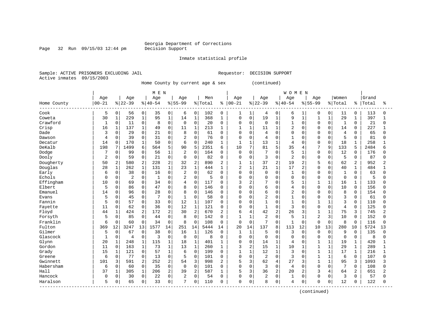#### Georgia Department of Corrections<br>Decision Support

Page 32 Run 09/15/03 12:44 pm

Inmate statistical profile

Sample: ACTIVE PRISONERS EXCLUDING JAIL Requestor: DECISION SUPPORT Active inmates 09/15/2003

Home County by current age & sex (continued)

|             |                |                |                |              | M E N       |                |                |              |         |              |                |              |                |              | <b>WOMEN</b>   |                |                |                |                |              |       |              |
|-------------|----------------|----------------|----------------|--------------|-------------|----------------|----------------|--------------|---------|--------------|----------------|--------------|----------------|--------------|----------------|----------------|----------------|----------------|----------------|--------------|-------|--------------|
|             | Age            |                | Age            |              | Age         |                | Age            |              | Men     |              | Age            |              | Age            |              | Age            |                | Aqe            |                | Women          |              | Grand |              |
| Home County | $00 - 21$      |                | $ 22-39$       |              | $8140 - 54$ |                | $8155 - 99$    |              | % Total |              | $8   00 - 21$  |              | $ 22-39$       |              | $8140 - 54$    |                | $8 55-99$      |                | % Total        | ႜ            | Total | ిన           |
| Cook        | 5              | 0              | 56             | $\mathbf 0$  | 35          | 0              | 6              | 0            | 102     | $\mathbf 0$  | 1              | $\mathbf{1}$ | 4              | $\mathbf 0$  | 6              | 1              | 0              | 0              | 11             | 0            | 113   | $\Omega$     |
| Coweta      | 30             | $\mathbf 1$    | 229            | $1\,$        | 95          | $\mathbf{1}$   | 14             | $\mathbf{1}$ | 368     | $\mathbf 1$  | 0              | 0            | 19             | $\mathbf{1}$ | 9              |                | $\mathbf{1}$   | 1              | 29             | 1            | 397   | 1            |
| Crawford    | $\mathbf{1}$   | 0              | 11             | $\mathbf 0$  | 8           | $\mathbf 0$    | $\mathbf 0$    | $\mathbf 0$  | 20      | $\Omega$     | $\Omega$       | $\mathbf 0$  | $\mathbf 0$    | $\mathbf 0$  | $\mathbf{1}$   | $\Omega$       | $\Omega$       | $\Omega$       | $\mathbf{1}$   | $\Omega$     | 21    | 0            |
| Crisp       | 16             | 1              | 137            | $1\,$        | 49          | $\Omega$       | 11             | $\mathbf{1}$ | 213     | 1            | $\mathbf{1}$   | $\mathbf{1}$ | 11             | $\mathbf{1}$ | $\overline{2}$ | $\Omega$       | $\Omega$       | $\Omega$       | 14             | $\Omega$     | 227   | $\mathbf{1}$ |
| Dade        | 3              | 0              | 29             | $\mathbf 0$  | 21          | 0              | 8              | $\mathbf 0$  | 61      | O            | $\Omega$       | $\mathbf 0$  | $\overline{4}$ | $\Omega$     | $\Omega$       | $\Omega$       | $\Omega$       | $\cap$         | $\overline{4}$ | 0            | 65    | <sup>0</sup> |
| Dawson      | 4              | $\mathbf 0$    | 39             | $\mathbf 0$  | 31          | $\Omega$       | 2              | $\mathbf 0$  | 76      | $\Omega$     | $\Omega$       | $\mathbf 0$  | $\overline{4}$ | $\Omega$     |                | $\Omega$       | $\Omega$       | $\Omega$       | 5              | $\Omega$     | 81    | <sup>0</sup> |
| Decatur     | 14             | $\mathbf 0$    | 170            | $\mathbf{1}$ | 50          | $\Omega$       | 6              | $\mathbf 0$  | 240     | 1            | $\mathbf{1}$   | $\mathbf{1}$ | 13             | $\mathbf{1}$ | $\overline{4}$ | $\cap$         | $\Omega$       | $\Omega$       | 18             | $\mathbf{1}$ | 258   |              |
| DeKalb      | 198            | 7              | 1499           | 6            | 564         | 5              | 90             | 5            | 2351    | 6            | 10             | 7            | 81             | 5            | 35             | $\overline{4}$ | 7              | 9              | 133            | 5            | 2484  | б            |
| Dodge       |                | 0              | 99             | $\mathbf 0$  | 56          | $\mathbf{1}$   | $\overline{2}$ | $\mathbf 0$  | 164     | 0            | $\Omega$       | $\Omega$     | 7              | $\Omega$     | 5              |                | 0              | $\Omega$       | 12             | $\Omega$     | 176   | 0            |
| Dooly       | $\overline{2}$ | 0              | 59             | $\mathbf 0$  | 21          | $\mathbf 0$    | $\mathbf 0$    | $\mathbf 0$  | 82      | $\Omega$     | $\Omega$       | 0            | 3              | $\mathbf 0$  | $\overline{c}$ | $\mathbf 0$    | $\mathbf 0$    | $\mathbf 0$    | 5              | 0            | 87    | <sup>0</sup> |
| Dougherty   | 50             | $\overline{2}$ | 580            | 2            | 228         | 2              | 32             | $\sqrt{2}$   | 890     | 2            | 1              | $\mathbf{1}$ | 37             | 2            | 19             | 2              | 5              | 6              | 62             | 2            | 952   | 2            |
| Douglas     | 28             | $\mathbf{1}$   | 262            | $\mathbf{1}$ | 131         | $\mathbf{1}$   | 23             | $\mathbf{1}$ | 444     | $\mathbf{1}$ | $\overline{2}$ | $\mathbf{1}$ | 21             | $\mathbf{1}$ | 17             | 2              | $\Omega$       | $\Omega$       | 40             | $\mathbf{1}$ | 484   | $\mathbf{1}$ |
| Early       | 6              | 0              | 38             | $\mathbf 0$  | 16          | $\Omega$       | $\overline{2}$ | $\mathbf 0$  | 62      | 0            | $\Omega$       | $\mathbf 0$  | $\Omega$       | $\Omega$     | $\mathbf{1}$   | $\Omega$       | $\Omega$       | $\Omega$       | $\mathbf 1$    | $\Omega$     | 63    | $\Omega$     |
| Echols      | $\Omega$       | $\mathbf 0$    | $\overline{2}$ | $\mathbf 0$  | 1           | $\Omega$       | 2              | $\mathbf 0$  | 5       | 0            | $\Omega$       | 0            | $\Omega$       | $\Omega$     | $\Omega$       | $\Omega$       | $\Omega$       | $\Omega$       | $\mathbf 0$    | $\Omega$     | 5     | $\Omega$     |
| Effingham   | 10             | $\mathbf 0$    | 69             | $\mathbf 0$  | 34          | $\Omega$       | 4              | $\mathbf 0$  | 117     | O            | 3              | 2            |                | $\Omega$     | 5              |                | -1             |                | 16             | $\mathbf{1}$ | 133   | O            |
| Elbert      | 5              | $\Omega$       | 86             | $\Omega$     | 47          | $\Omega$       | 8              | $\mathbf 0$  | 146     | $\Omega$     | $\Omega$       | $\Omega$     | 6              | $\cap$       | $\overline{4}$ | $\Omega$       | $\Omega$       | $\Omega$       | 10             | $\Omega$     | 156   | O            |
| Emanuel     | 14             | $\Omega$       | 96             | $\Omega$     | 28          | $\Omega$       | 8              | $\Omega$     | 146     | 0            | $\Omega$       | $\Omega$     | 6              | $\Omega$     | $\overline{2}$ | $\Omega$       | $\Omega$       | $\Omega$       | 8              | $\Omega$     | 154   | <sup>0</sup> |
| Evans       | 5              | 0              | 45             | $\mathbf 0$  |             | $\Omega$       | $\mathbf{1}$   | $\mathbf 0$  | 58      | $\Omega$     | $\Omega$       | $\mathbf 0$  | $\overline{2}$ | $\Omega$     | $\mathbf{1}$   | $\Omega$       | $\Omega$       | $\Omega$       | 3              | 0            | 61    | <sup>0</sup> |
| Fannin      | 5              | $\mathbf 0$    | 57             | $\mathbf 0$  | 33          | $\mathbf 0$    | 12             | $1\,$        | 107     | 0            | $\Omega$       | $\mathbf 0$  | $\mathbf{1}$   | $\Omega$     | $\mathbf{1}$   | $\Omega$       | $\mathbf{1}$   |                | 3              | $\Omega$     | 110   | <sup>0</sup> |
| Fayette     | 11             | $\mathbf 0$    | 62             | $\mathbf 0$  | 36          | $\Omega$       | 12             | $\mathbf{1}$ | 121     | $\Omega$     | $\Omega$       | $\mathbf 0$  | $\mathbf{1}$   | $\Omega$     | 3              | $\Omega$       | $\Omega$       | $\Omega$       | $\overline{4}$ | $\Omega$     | 125   | U            |
| Floyd       | 44             | 1              | 424            | 2            | 172         | 2              | 30             | 2            | 670     | 2            | 6              | 4            | 42             | 2            | 26             | 3              | $\mathbf{1}$   |                | 75             | 3            | 745   | 2            |
| Forsyth     | 5              | $\mathbf 0$    | 85             | $\Omega$     | 44          | $\mathbf 0$    | 8              | $\Omega$     | 142     | $\Omega$     | $\mathbf{1}$   | $\mathbf{1}$ | $\overline{c}$ | $\Omega$     | 5              |                | $\overline{2}$ | 3              | 10             | $\Omega$     | 152   | O            |
| Franklin    | 6              | 0              | 60             | $\Omega$     | 34          | $\mathbf 0$    | 8              | $\mathbf 0$  | 108     | 0            | $\Omega$       | $\mathbf 0$  | 7              | $\Omega$     |                | $\Omega$       | $\Omega$       | $\Omega$       | 8              | $\Omega$     | 116   | $\Omega$     |
| Fulton      | 369            | 12             | 3247           | 13           | 1577        | 14             | 251            | 14           | 5444    | 14           | 20             | 14           | 137            | 8            | 113            | 12             | 10             | 13             | 280            | 10           | 5724  | 13           |
| Gilmer      | 5              | $\Omega$       | 67             | $\Omega$     | 38          | $\Omega$       | 16             | $\mathbf{1}$ | 126     | 0            | $\mathbf{1}$   | $\mathbf{1}$ | 5              | $\Omega$     | 3              | $\Omega$       | $\Omega$       | $\Omega$       | 9              | $\Omega$     | 135   | 0            |
| Glascock    |                | $\mathbf 0$    | 4              | $\mathbf 0$  | 3           | $\mathbf 0$    | $\mathbf 0$    | $\mathbf 0$  | 8       | 0            | $\mathbf 0$    | $\mathbf 0$  | $\mathbf 0$    | $\Omega$     | $\Omega$       | $\Omega$       | 0              | $\Omega$       | $\mathbf 0$    | 0            | 8     | 0            |
| Glynn       | 20             | $\mathbf 1$    | 248            | $1\,$        | 115         | $\mathbf{1}$   | 18             | $\mathbf{1}$ | 401     | 1            | $\Omega$       | $\mathbf{0}$ | 14             | $\mathbf{1}$ | $\overline{4}$ | $\mathbf 0$    | 1              | $\mathbf{1}$   | 19             | $\mathbf 1$  | 420   | 1            |
| Gordon      | 11             | $\mathbf 0$    | 163            | $\mathbf{1}$ | 73          | $\mathbf{1}$   | 13             | $\mathbf{1}$ | 260     | $\mathbf{1}$ | 3              | 2            | 15             | $\mathbf{1}$ | 10             | $\mathbf{1}$   | $\mathbf{1}$   | $\mathbf{1}$   | 29             | $\mathbf 1$  | 289   | $\mathbf{1}$ |
| Grady       | 15             | 1              | 121            | $\mathbf 0$  | 57          | 1              | 6              | $\mathbf 0$  | 199     | $\Omega$     | 1              | 1            | 12             | 1            | 3              | $\Omega$       | -1             | $\mathbf{1}$   | 17             | 1            | 216   | 1            |
| Greene      | 6              | 0              | 77             | $\Omega$     | 13          | $\Omega$       | 5              | $\mathbf 0$  | 101     | $\Omega$     | $\Omega$       | $\mathbf 0$  | $\overline{c}$ | $\Omega$     | 3              | $\Omega$       |                |                | 6              | $\Omega$     | 107   | $\Omega$     |
| Gwinnett    | 101            | 3              | 591            | 2            | 252         | $\overline{2}$ | 54             | 3            | 998     | 2            | 5              | 3            | 62             | 4            | 27             | 3              | $\mathbf{1}$   | $\mathbf{1}$   | 95             | 3            | 1093  | 3            |
| Habersham   | 6              | $\mathbf 0$    | 60             | $\Omega$     | 35          | $\Omega$       | $\Omega$       | $\mathbf 0$  | 101     | $\Omega$     | $\Omega$       | $\Omega$     | 3              | $\Omega$     | $\overline{4}$ | $\Omega$       | $\Omega$       | $\Omega$       | 7              | $\Omega$     | 108   | U            |
| Hall        | 37             | $\mathbf 1$    | 305            | $\mathbf{1}$ | 206         | 2              | 39             | 2            | 587     | -1           | 5              | 3            | 36             | 2            | 20             | 2              | 3              | $\overline{4}$ | 64             | 2            | 651   | 2            |
| Hancock     | $\Omega$       | 0              | 30             | $\mathbf 0$  | 22          | $\mathbf 0$    | 2              | $\mathbf 0$  | 54      | $\Omega$     | $\Omega$       | $\Omega$     | 2              | $\Omega$     | $\mathbf{1}$   | $\mathbf 0$    | $\mathbf 0$    | $\Omega$       | 3              | $\Omega$     | 57    | $\Omega$     |
| Haralson    | 5              | 0              | 65             | 0            | 33          | 0              | 7              | $\mathsf{O}$ | 110     | O            | $\Omega$       | 0            | 8              | $\mathbf 0$  | $\overline{4}$ | 0              | $\Omega$       | $\mathbf 0$    | 12             | 0            | 122   | $\Omega$     |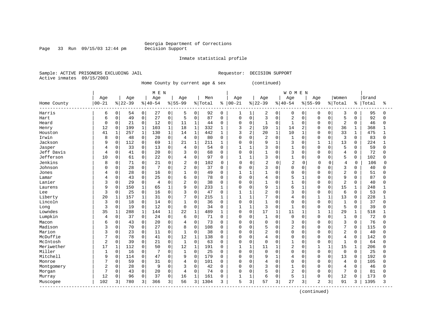#### Georgia Department of Corrections<br>Decision Support

Page 33 Run 09/15/03 12:44 pm

Inmate statistical profile

Sample: ACTIVE PRISONERS EXCLUDING JAIL Requestor: DECISION SUPPORT Active inmates 09/15/2003

Home County by current age & sex (continued)

|                          |              |              |           |                | M E N          |              |                |              |         |             |              |                |                |              | <b>WOMEN</b>   |             |                |             |                |              |       |          |
|--------------------------|--------------|--------------|-----------|----------------|----------------|--------------|----------------|--------------|---------|-------------|--------------|----------------|----------------|--------------|----------------|-------------|----------------|-------------|----------------|--------------|-------|----------|
|                          | Age          |              | Age       |                | Age            |              | Age            |              | Men     |             | Age          |                | Age            |              | Age            |             | Age            |             | Women          |              | Grand |          |
| Home County              | $00 - 21$    |              | $8 22-39$ |                | $8140 - 54$    |              | $8 55-99$      |              | % Total | ႜ           | $ 00 - 21$   |                | $ 22-39$       |              | $8140 - 54$    |             | $8 55-99$      |             | % Total        | ႜ            | Total | ÷        |
| Harris                   | 6            | 0            | 54        | $\overline{0}$ | 27             | $\mathbf 0$  | 5              | $\mathbf 0$  | 92      | 0           | 1            | 1              | 2              | $\mathbf 0$  | 0              | 0           | 0              | 0           | 3              | 0            | 95    | 0        |
| Hart                     | 6            | $\mathbf 0$  | 49        | 0              | 27             | $\mathbf 0$  | 5              | $\mathbf 0$  | 87      | $\mathbf 0$ | 0            | 0              | 3              | $\mathbf 0$  | $\overline{2}$ | $\Omega$    | 0              | $\Omega$    | 5              | 0            | 92    | O        |
| Heard                    | 0            | 0            | 21        | 0              | 12             | 0            | 11             | $\mathbf 1$  | 44      | 0           | $\Omega$     | 0              | 1              | $\mathbf 0$  | $\mathbf{1}$   | $\Omega$    | $\Omega$       | $\Omega$    | $\overline{2}$ | $\Omega$     | 46    | U        |
| Henry                    | 12           | $\Omega$     | 199       | $\mathbf{1}$   | 103            | $\mathbf{1}$ | 18             | $\mathbf{1}$ | 332     | 1           | 3            | 2              | 19             | $\mathbf{1}$ | 14             | 2           | $\Omega$       | $\Omega$    | 36             | $\mathbf{1}$ | 368   | 1        |
| Houston                  | 41           | $\mathbf{1}$ | 257       | $\mathbf{1}$   | 130            | $\mathbf{1}$ | 14             | $\mathbf{1}$ | 442     | 1           | 3            | $\overline{a}$ | 20             | $\mathbf{1}$ | 10             | 1           | $\Omega$       | $\Omega$    | 33             | 1            | 475   | 1        |
| Irwin                    | 8            | 0            | 48        | 0              | 20             | $\mathbf 0$  | $\overline{4}$ | $\mathbf 0$  | 80      | 0           | $\mathbf 0$  | $\Omega$       | $\overline{2}$ | $\mathbf 0$  | $\mathbf{1}$   | $\Omega$    | $\Omega$       | $\Omega$    | 3              | $\mathbf 0$  | 83    | U        |
| Jackson                  | q            | $\Omega$     | 112       | 0              | 69             | $\mathbf{1}$ | 21             | $\mathbf{1}$ | 211     | 1           | $\mathbf 0$  | $\Omega$       | 9              | $\mathbf{1}$ | 3              | $\cap$      |                |             | 13             | $\Omega$     | 224   |          |
| Jasper                   | 4            | 0            | 33        | 0              | 13             | $\Omega$     | $\overline{4}$ | $\Omega$     | 54      | $\Omega$    | $\mathbf{1}$ | $\mathbf{1}$   | 3              | $\Omega$     | $\mathbf{1}$   | $\Omega$    | $\Omega$       | $\Omega$    | 5              | $\Omega$     | 59    | U        |
| Jeff Davis               | 4            | 0            | 41        | 0              | 20             | $\Omega$     | 3              | $\Omega$     | 68      | $\Omega$    | $\mathbf 0$  | $\Omega$       | $\mathbf{1}$   | $\Omega$     | 3              | $\Omega$    | $\Omega$       | $\Omega$    | $\overline{4}$ | $\Omega$     | 72    | U        |
| Jefferson                | 10           | 0            | 61        | 0              | 22             | $\mathbf 0$  | 4              | $\mathbf 0$  | 97      | 0           | 1            | 1              | 3              | $\mathbf 0$  |                | 0           | 0              | 0           | 5              | 0            | 102   | U        |
| Jenkins                  | 8            | 0            | 71        | 0              | 21             | $\mathbf 0$  | 2              | $\mathbf 0$  | 102     | $\Omega$    | $\Omega$     | $\Omega$       | $\overline{c}$ | 0            | $\overline{a}$ | $\mathbf 0$ | 0              | $\Omega$    | 4              | $\mathbf 0$  | 106   | $\Omega$ |
| Johnson                  |              | 0            | 28        | 0              |                | $\Omega$     | 2              | $\mathbf 0$  | 37      | $\Omega$    | 0            | $\Omega$       | 3              | $\Omega$     | $\Omega$       | $\Omega$    | $\Omega$       | $\Omega$    | 3              | $\Omega$     | 40    | U        |
| Jones                    |              | 0            | 28        | 0              | 16             | 0            | 1              | $\Omega$     | 49      | 0           | $\mathbf{1}$ | 1              | $\mathbf{1}$   | $\Omega$     | $\Omega$       | $\Omega$    | $\Omega$       | $\Omega$    | $\overline{2}$ | 0            | 51    | U        |
| Lamar                    |              | 0            | 43        | 0              | 25             | $\mathbf 0$  | 6              | $\Omega$     | 78      | 0           | $\mathbf 0$  | 0              | $\overline{4}$ | $\Omega$     | 5              |             | $\Omega$       | $\cap$      | 9              | 0            | 87    | U        |
| Lanier                   | ς            | 0            | 29        | 0              | $\overline{4}$ | $\mathbf 0$  | $\overline{c}$ | $\Omega$     | 38      | 0           | $\Omega$     | $\Omega$       | 1              | $\Omega$     | $\mathbf{1}$   | $\Omega$    | $\Omega$       | $\Omega$    | $\overline{2}$ | $\Omega$     | 40    | U        |
| Laurens                  | 9            | $\Omega$     | 150       | $\mathbf 1$    | 65             | $\mathbf{1}$ | 9              | $\Omega$     | 233     | 1           | $\Omega$     | $\Omega$       | 9              | $\mathbf{1}$ | 6              |             | $\Omega$       | $\Omega$    | 15             | 1            | 248   |          |
| Lee                      | 3            | 0            | 25        | $\Omega$       | 16             | $\Omega$     | 3              | $\Omega$     | 47      | $\Omega$    | $\mathbf{1}$ | -1             | $\overline{c}$ | $\Omega$     | 3              | $\Omega$    | $\Omega$       | $\Omega$    | 6              | $\Omega$     | 53    | U        |
| Liberty                  | 20           | $\mathbf 1$  | 157       | $\mathbf{1}$   | 31             | 0            |                | $\mathbf 0$  | 215     | 1           | $\mathbf{1}$ | $\mathbf{1}$   | 7              | $\mathbf 0$  | $\overline{4}$ | $\Omega$    | 1              |             | 13             | 0            | 228   |          |
| Lincoln                  | 3            | 0            | 18        | 0              | 14             | 0            |                | $\Omega$     | 36      | $\mathbf 0$ | 0            | 0              | 1              | $\Omega$     | $\Omega$       | $\Omega$    | $\Omega$       | $\mathbf 0$ | $\mathbf{1}$   | $\Omega$     | 37    | U        |
| Long                     | 3            | 0            | 19        | 0              | 12             | $\Omega$     | $\Omega$       | $\Omega$     | 34      | $\Omega$    | $\mathbf{1}$ | $\mathbf{1}$   | 3              | $\mathbf 0$  | $\mathbf{1}$   | $\cap$      | $\Omega$       | $\Omega$    | 5              | $\Omega$     | 39    | U        |
| Lowndes                  | 35           | $\mathbf{1}$ | 288       | 1              | 144            | 1            | 22             | $\mathbf{1}$ | 489     | 1           | $\mathbf 0$  | 0              | 17             | $\mathbf{1}$ | 11             |             | 1              |             | 29             | 1            | 518   |          |
| Lumpkin                  | 4            | 0            | 37        | 0              | 24             | 0            | 6              | $\Omega$     | 71      | 0           | $\mathbf 0$  | $\Omega$       | 1              | $\Omega$     | $\Omega$       | $\Omega$    | $\Omega$       | $\Omega$    | $\mathbf{1}$   | 0            | 72    | U        |
| Macon                    | 6            | 0            | 43        | 0              | 20             | $\mathbf 0$  | 4              | $\Omega$     | 73      | 0           | 0            | 0              | $\Omega$       | $\Omega$     | 3              | $\Omega$    | $\Omega$       | $\Omega$    | 3              | 0            | 76    | U        |
| Madison                  |              | U            | 70        | 0              | 27             | $\Omega$     | 8              | $\Omega$     | 108     | $\Omega$    | $\Omega$     | $\Omega$       | 5              | $\Omega$     | $\overline{c}$ | $\Omega$    | $\Omega$       | ∩           | 7              | $\Omega$     | 115   | O        |
| Marion                   | 3            | 0            | 23        | $\Omega$       | 11             | $\Omega$     | $\mathbf{1}$   | $\Omega$     | 38      | $\Omega$    | 0            | $\Omega$       | $\overline{a}$ | $\Omega$     | $\Omega$       | $\Omega$    | $\Omega$       | $\cap$      | $\overline{2}$ | 0            | 40    | U        |
| McDuffie                 |              | 0            | 78        | 0              | 41             | $\mathbf 0$  | 12             | $\mathbf{1}$ | 138     | 0           | 0            | $\Omega$       | $\overline{4}$ | $\Omega$     | $\Omega$       | $\Omega$    | $\mathbf 0$    | $\Omega$    | $\overline{4}$ | 0            | 142   | U        |
| McIntosh                 | 2            | 0            | 39        | 0              | 21             | $\mathbf 0$  | $\mathbf{1}$   | $\mathbf 0$  | 63      | 0           | 0            | 0              | $\Omega$       | $\mathbf 0$  | $\mathbf{1}$   | $\Omega$    | $\Omega$       | $\Omega$    | $\mathbf{1}$   | $\Omega$     | 64    | U        |
| Meriwether               | 17           | $\mathbf{1}$ | 112       | 0              | 50             | 0            | 12             | $\mathbf{1}$ | 191     | 0           | 1            | $\mathbf{1}$   | 11             | $\mathbf{1}$ | $\overline{2}$ | $\Omega$    |                | 1           | 15             | 1            | 206   | $\cap$   |
| Miller                   | $\mathbf{1}$ | 0            | 16        | 0              | 7              | $\Omega$     | 1              | $\Omega$     | 25      | 0           | $\mathbf 0$  | $\Omega$       | $\Omega$       | $\Omega$     | $\Omega$       | $\Omega$    | $\Omega$       | $\Omega$    | $\mathbf 0$    | $\Omega$     | 25    | U        |
| Mitchell                 | 9            | 0            | 114       | 0              | 47             | $\Omega$     | 9              | $\mathbf 0$  | 179     | 0           | $\mathbf 0$  | $\Omega$       | 9              | $\mathbf{1}$ | 4              | $\Omega$    | $\Omega$       | $\Omega$    | 13             | $\Omega$     | 192   | O        |
| Monroe                   |              | 0            | 59        | 0              | 31             | $\mathbf 0$  | 4              | $\mathbf 0$  | 101     | 0           | $\mathbf 0$  | $\Omega$       | $\overline{4}$ | $\mathbf 0$  | $\Omega$       | $\Omega$    | $\Omega$       | O           | $\overline{4}$ | 0            | 105   | U        |
| Montgomery               | 2            | O            | 28        | 0              | 9              | $\Omega$     | 3              | $\Omega$     | 42      | $\Omega$    | O            | $\Omega$       | 3              | $\Omega$     | $\mathbf{1}$   | $\cap$      | $\Omega$       | $\Omega$    | $\overline{4}$ | $\Omega$     | 46    |          |
| Morgan                   | 7            | 0            | 43        | 0              | 20             | $\mathbf 0$  | $\overline{4}$ | $\Omega$     | 74      | 0           | $\mathbf 0$  | $\Omega$       | 5              | $\Omega$     | $\overline{2}$ | $\Omega$    | $\mathbf 0$    | $\Omega$    | 7              | 0            | 81    | U        |
| Murray                   | 12           | 0            | 96        | 0              | 37             | $\mathbf 0$  | 16             | $\mathbf{1}$ | 161     | 0           | 1            | $\mathbf{1}$   | 6              | $\Omega$     | 5              |             | $\mathbf 0$    | 0           | 12             | 0            | 173   |          |
| Muscogee<br>------------ | 102          | 3            | 780       | 3              | 366            | 3            | 56             | 3            | 1304    | 3           | 5            | 3              | 57             | 3            | 27             | 3           | $\overline{c}$ | 3           | 91             | 3            | 1395  | 3        |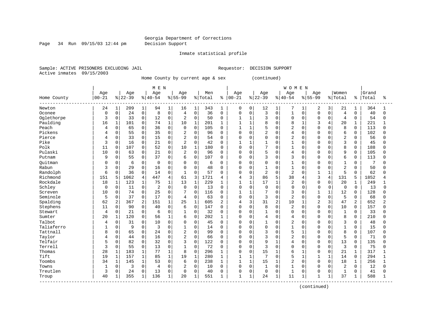Page 34 Run 09/15/03 12:44 pm Decision Support

Inmate statistical profile

Sample: ACTIVE PRISONERS EXCLUDING JAIL REGUESTOR: DECISION SUPPORT Active inmates 09/15/2003

Home County by current age & sex (continued)

|                         |              |                |          |                     | M E N          |              |                |              |         |                |              |              |                |                | <b>WOMEN</b>   |              |              |                |                |                |       |                |
|-------------------------|--------------|----------------|----------|---------------------|----------------|--------------|----------------|--------------|---------|----------------|--------------|--------------|----------------|----------------|----------------|--------------|--------------|----------------|----------------|----------------|-------|----------------|
|                         | Age          |                | Age      |                     | Age            |              | Age            |              | Men     |                | Age          |              | Age            |                | Age            |              | Age          |                | Women          |                | Grand |                |
| Home County<br>-------- | $00 - 21$    |                | $ 22-39$ |                     | $ 40-54$       |              | $8 55-99$      |              | % Total | နွ             | $ 00 - 21$   |              | $8 22-39$      |                | $8 40-54$      |              | $8 55-99$    |                | % Total        | ႜ              | Total | ႜ              |
| Newton                  | 24           | 1              | 209      | $\mathbf{1}$        | 94             | 1            | 16             | 1            | 343     | 1              | 0            | 0            | 12             | $\mathbf{1}$   | 7              | 1            | 2            | 3              | 21             | 1              | 364   | 1              |
| Oconee                  | 0            | 0              | 24       | $\mathbf 0$         | 8              | $\Omega$     | $\overline{4}$ | $\Omega$     | 36      | $\Omega$       | 0            | $\Omega$     | 3              | $\mathbf 0$    | $\mathbf{1}$   | $\Omega$     | $\Omega$     | $\Omega$       | $\overline{4}$ | 0              | 40    | $\Omega$       |
| Oglethorpe              | 3            | 0              | 33       | $\mathsf{O}\xspace$ | 12             | $\mathbf 0$  | $\overline{2}$ | $\Omega$     | 50      | 0              | 1            | 1            | 3              | $\Omega$       | $\mathbf 0$    | $\Omega$     | $\Omega$     | $\Omega$       | 4              | 0              | 54    | $\Omega$       |
| Paulding                | 16           | 1              | 101      | $\mathsf{O}\xspace$ | 74             | $\mathbf 1$  | 10             | $\mathbf{1}$ | 201     | 1              | 1            | $\mathbf{1}$ | 8              | $\Omega$       | 8              | $\mathbf{1}$ | 3            | 4              | 20             | $\mathbf 1$    | 221   | 1              |
| Peach                   | 4            | 0              | 65       | 0                   | 36             | $\mathbf 0$  | $\mathbf 0$    | $\mathbf 0$  | 105     | $\mathbf 0$    | $\mathbf{1}$ | $\mathbf{1}$ | 5              | $\Omega$       | $\overline{2}$ | $\Omega$     | $\Omega$     | $\Omega$       | 8              | $\Omega$       | 113   | $\Omega$       |
| Pickens                 |              | 0              | 55       | 0                   | 35             | 0            | 2              | $\Omega$     | 96      | $\Omega$       | $\Omega$     | $\mathbf 0$  | 2              | $\Omega$       | $\overline{4}$ | $\Omega$     | $\cap$       | $\Omega$       | 6              | 0              | 102   | $\Omega$       |
| Pierce                  | 4            | $\Omega$       | 33       | $\mathbf 0$         | 15             | 0            | $\overline{2}$ | $\Omega$     | 54      | 0              | $\Omega$     | 0            | $\Omega$       | $\Omega$       | $\overline{c}$ | $\Omega$     | $\cap$       | $\Omega$       | $\overline{2}$ | 0              | 56    | $\Omega$       |
| Pike                    | 3            | 0              | 16       | $\mathbf 0$         | 21             | 0            | $\overline{2}$ | $\mathbf 0$  | 42      | 0              | 1            | 1            |                | $\Omega$       | $\mathbf{1}$   | $\Omega$     | $\Omega$     | 0              | 3              | 0              | 45    | U              |
| Polk                    | 11           | $\Omega$       | 107      | $\mathbf 0$         | 52             | $\Omega$     | 10             | $\mathbf{1}$ | 180     | 0              | $\Omega$     | $\Omega$     | 7              | $\Omega$       | $\mathbf{1}$   | $\Omega$     | $\cap$       | $\Omega$       | 8              | $\Omega$       | 188   | U              |
| Pulaski                 | 10           | $\Omega$       | 63       | $\mathbf 0$         | 21             | $\Omega$     | $\overline{2}$ | $\Omega$     | 96      | $\Omega$       | $\Omega$     | $\Omega$     | 5              | $\Omega$       | $\overline{4}$ | $\Omega$     | $\Omega$     | $\Omega$       | 9              | $\Omega$       | 105   | U              |
| Putnam                  | 9            | $\Omega$       | 55       | $\mathbf 0$         | 37             | $\Omega$     | 6              | $\Omega$     | 107     | $\Omega$       | $\Omega$     | $\Omega$     | 3              | $\Omega$       | $\mathbf{3}$   | $\Omega$     | $\Omega$     | $\Omega$       | 6              | 0              | 113   | $\Omega$       |
| Ouitman                 |              | $\Omega$       | 6        | $\mathbf 0$         | $\Omega$       | $\Omega$     | 0              | $\Omega$     | 6       | $\Omega$       | 0            | $\Omega$     | $\mathbf 0$    | $\Omega$       | $\mathbf{1}$   | $\Omega$     | O            | $\Omega$       | 1              | 0              |       | U              |
| Rabun                   | 3            | 0              | 29       | $\mathbf 0$         | 16             | $\Omega$     | $\mathbf 0$    | $\Omega$     | 48      | $\Omega$       | $\Omega$     | $\Omega$     |                | $\Omega$       | $\mathbf{1}$   | $\Omega$     | $\Omega$     | $\Omega$       | $\overline{2}$ | 0              | 50    | <sup>0</sup>   |
| Randolph                | 6            | 0              | 36       | 0                   | 14             | 0            | $\mathbf{1}$   | $\Omega$     | 57      | $\Omega$       | $\Omega$     | 0            | $\overline{2}$ | $\Omega$       | $\overline{c}$ | $\Omega$     | $\mathbf{1}$ | $\mathbf 1$    | 5              | 0              | 62    | <sup>0</sup>   |
| Richmond                | 151          | 5              | 1062     | $\overline{4}$      | 447            | 4            | 61             | 3            | 1721    | 4              | 4            | 3            | 86             | 5              | 38             | 4            | 3            | $\overline{4}$ | 131            | 5              | 1852  |                |
| Rockdale                | 18           | 1              | 123      | $\mathbf{1}$        | 75             | 1            | 13             | $\mathbf{1}$ | 229     | 1              | $\mathbf{1}$ | 1            | 17             |                | $\overline{2}$ | $\Omega$     | $\Omega$     | 0              | 20             | 1              | 249   | 1              |
| Schley                  | 0            | $\mathbf 0$    | 11       | $\mathsf{O}\xspace$ | $\overline{2}$ | $\mathbf 0$  | $\mathbf 0$    | $\mathbf 0$  | 13      | 0              | $\Omega$     | $\mathbf 0$  | $\mathbf 0$    | $\Omega$       | $\Omega$       | 0            | $\Omega$     | 0              | $\mathbf 0$    | 0              | 13    | $\Omega$       |
| Screven                 | 10           | 0              | 74       | 0                   | 25             | 0            |                | $\mathbf 0$  | 116     | $\Omega$       | 1            | $\mathbf{1}$ |                | $\Omega$       | 3              | $\Omega$     | $\mathbf{1}$ | $\mathbf{1}$   | 12             | 0              | 128   | $\cap$         |
| Seminole                | 5            | 0              | 37       | $\mathbf 0$         | 17             | $\Omega$     | 4              | $\Omega$     | 63      | $\Omega$       | $\Omega$     | $\mathbf 0$  | 3              | $\Omega$       | $\overline{2}$ | $\cap$       | $\Omega$     | $\Omega$       | 5              | 0              | 68    | U              |
| Spalding                | 62           | $\overline{2}$ | 367      | $\overline{c}$      | 151            | 1            | 25             | $\mathbf{1}$ | 605     | $\overline{c}$ | 4            | 3            | 31             | $\overline{a}$ | 10             | -1           | 2            | 3              | 47             | $\overline{a}$ | 652   | $\overline{c}$ |
| Stephens                | 11           | $\Omega$       | 90       | $\mathbf 0$         | 40             | $\Omega$     | 6              | $\Omega$     | 147     | $\Omega$       | $\Omega$     | $\Omega$     | 8              | $\Omega$       | $\overline{c}$ | $\Omega$     | $\Omega$     | $\Omega$       | 10             | $\Omega$       | 157   | $\Omega$       |
| Stewart                 | 4            | 0              | 21       | 0                   | 6              | $\Omega$     | 1              | $\mathbf 0$  | 32      | $\Omega$       | $\Omega$     | $\Omega$     |                | $\Omega$       | $\mathbf 0$    | $\Omega$     | $\Omega$     | $\Omega$       | 1              | 0              | 33    | <sup>0</sup>   |
| Sumter                  | 20           | $\mathbf{1}$   | 120      | $\mathsf 0$         | 56             | 1            | 6              | 0            | 202     | $\mathbf{1}$   | $\Omega$     | 0            | 4              | $\Omega$       | $\overline{4}$ | $\Omega$     | $\Omega$     | 0              | 8              | 0              | 210   | $\Omega$       |
| Talbot                  | 4            | 0              | 31       | 0                   | 10             | 0            | $\Omega$       | $\Omega$     | 45      | $\Omega$       | $\Omega$     | 0            |                | $\Omega$       | $\overline{c}$ | $\Omega$     | C            | $\Omega$       | 3              | 0              | 48    | <sup>0</sup>   |
| Taliaferro              |              | 0              | 9        | $\mathbf 0$         | 3              | $\Omega$     | 1              | $\Omega$     | 14      | $\Omega$       | $\Omega$     | $\Omega$     | $\Omega$       | $\Omega$       | $\mathbf{1}$   | $\Omega$     | $\Omega$     | $\Omega$       | $\mathbf{1}$   | 0              | 15    | $\Omega$       |
| Tattnall                |              | 0              | 65       | 0                   | 24             | $\Omega$     | $\overline{2}$ | $\Omega$     | 99      | $\Omega$       | 0            | $\Omega$     | 3              | $\Omega$       | 5              |              | $\Omega$     | $\Omega$       | 8              | 0              | 107   | <sup>0</sup>   |
| Taylor                  | 4            | 0              | 44       | 0                   | 16             | $\Omega$     | 2              | $\Omega$     | 66      | 0              | $\Omega$     | 0            | 3              | $\Omega$       | $\overline{c}$ | $\Omega$     | $\Omega$     | $\Omega$       | 5              | 0              | 71    | U              |
| Telfair                 | 5            | $\Omega$       | 82       | 0                   | 32             | 0            | 3              | $\Omega$     | 122     | $\Omega$       | $\Omega$     | $\Omega$     | 9              |                | 4              | $\Omega$     | $\Omega$     | $\Omega$       | 13             | 0              | 135   | $\Omega$       |
| Terrell                 | 3            | $\Omega$       | 55       | $\mathbf 0$         | 13             | $\Omega$     | $\mathbf{1}$   | $\Omega$     | 72      | $\Omega$       | $\Omega$     | $\Omega$     | 3              | $\Omega$       | $\Omega$       | $\Omega$     | $\Omega$     | $\Omega$       | $\overline{3}$ | 0              | 75    | U              |
| Thomas                  | 28           | $\mathbf 1$    | 183      | $\mathbf{1}$        | 77             | 1            | 8              | $\Omega$     | 296     | 1              | $\Omega$     | $\Omega$     | 15             |                | 6              |              | $\Omega$     | $\Omega$       | 21             | 1              | 317   |                |
| Tift                    | 19           | $\mathbf{1}$   | 157      | $\mathbf{1}$        | 85             | $\mathbf{1}$ | 19             | $\mathbf{1}$ | 280     | 1              | 1            | $\mathbf{1}$ | 7              | $\Omega$       | 5              |              | 1            | $\mathbf{1}$   | 14             | 0              | 294   | 1              |
| Toombs                  | 34           | $\mathbf 1$    | 145      | $\mathbf{1}$        | 53             | $\Omega$     | 6              | $\mathbf 0$  | 238     | 1              | $\mathbf{1}$ | $\mathbf{1}$ | 15             |                | $\overline{c}$ | $\Omega$     | $\Omega$     | $\Omega$       | 18             | 1              | 256   | $\mathbf{1}$   |
| Towns                   | $\mathbf{1}$ | $\mathbf 0$    | 3        | $\mathbf 0$         | 4              | $\mathbf 0$  | 2              | $\Omega$     | 10      | $\Omega$       | $\Omega$     | $\mathbf 0$  | $\mathbf{1}$   | $\Omega$       | $\mathbf{1}$   | $\Omega$     | $\Omega$     | 0              | $\overline{2}$ | 0              | 12    | $\Omega$       |
| Treutlen                | 3            | 0              | 24       | 0                   | 13             | $\Omega$     | $\Omega$       | $\Omega$     | 40      | $\Omega$       | $\Omega$     | $\Omega$     | $\Omega$       | $\Omega$       | $\mathbf{1}$   | $\Omega$     | $\Omega$     | $\mathbf 0$    | 1              | 0              | 41    | <sup>0</sup>   |
| Troup                   | 40           | 1              | 355      | $\mathbf{1}$        | 136            | 1            | 20             | 1            | 551     | $\mathbf{1}$   | $\mathbf{1}$ | $\mathbf{1}$ | 24             | 1              | 11             | 1            | -1           | 1              | 37             | 1              | 588   | 1              |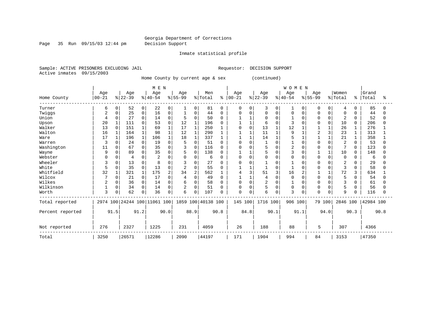Page 35 Run 09/15/03 12:44 pm Decision Support

Inmate statistical profile

Sample: ACTIVE PRISONERS EXCLUDING JAIL **Requestor: DECISION SUPPORT** Active inmates 09/15/2003

Home County by current age & sex (continued)

|                  |           |              |          |      | M E N                        |          |                |              |                    |              |           |             |           |          | WOMEN          |          |              |              |          |              |           |      |
|------------------|-----------|--------------|----------|------|------------------------------|----------|----------------|--------------|--------------------|--------------|-----------|-------------|-----------|----------|----------------|----------|--------------|--------------|----------|--------------|-----------|------|
|                  | Age       |              | Age      |      | Age                          |          | Age            |              | Men                |              | Age       |             | Age       |          | Age            |          | Age          |              | Women    |              | Grand     |      |
| Home County      | $00 - 21$ |              | $ 22-39$ |      | $ 40-54$                     |          | $8 55-99$      |              | % Total            | ႜ            | $00 - 21$ |             | $ 22-39 $ |          | $ 40-54$       |          | $8 55-99$    |              | % Total  | $\approx$    | Total     | °    |
| Turner           | 6         | 0            | 52       | 0    | 22                           | 0        |                | 0            | 81                 | 0            | 0         | 0           | 3         | 0        | 1              | $\Omega$ | 0            | $\Omega$     | 4        | $\Omega$     | 85        | U    |
| Twiggs           | 2         | 0            | 25       | 0    | 16                           | O        |                | $\Omega$     | 44                 | 0            | 0         | $\Omega$    | U         | $\Omega$ | O              |          |              |              | $\Omega$ | <sup>0</sup> | 44        |      |
| Union            | 4         |              | 27       | 0    | 14                           | O        | 5              | $\Omega$     | 50                 | $\Omega$     |           |             |           | O        |                |          | n            | $\Omega$     | 2        | $\Omega$     | 52        |      |
| Upson            | 20        |              | 111      | 0    | 53                           | 0        | 12             | 1            | 196                |              |           |             | 6         | O        |                |          |              | 0            | 10       | 0            | 206       |      |
| Walker           | 13        | $\Omega$     | 151      |      | 69                           |          | 17             | $\mathbf 1$  | 250                |              | 0         | $\Omega$    | 13        |          | 12             |          |              | -1           | 26       |              | 276       |      |
| Walton           | 16        |              | 164      |      | 98                           |          | 12             | $\mathbf{1}$ | 290                |              |           |             | 11        |          | 9              |          |              |              | 23       |              | 313       |      |
| Ware             | 17        |              | 196      |      | 106                          |          | 18             | $\mathbf{1}$ | 337                |              |           |             | 14        |          |                |          |              |              | 21       |              | 358       |      |
| Warren           | 3         | 0            | 24       | 0    | 19                           |          | 5              | 0            | 51                 |              | O         | $\sqrt{ }$  |           | U        |                |          | ∩            | $\Omega$     | 2        |              | 53        |      |
| Washington       | 11        | $\Omega$     | 67       | 0    | 35                           |          | 3              | $\mathbf 0$  | 116                | <sup>0</sup> | 0         | $\Omega$    | 5         | O        | $\overline{2}$ |          |              | <sup>0</sup> | 7        | 0            | 123       |      |
| Wayne            | 9         | <sup>0</sup> | 89       | 0    | 35                           | O        | 5              | 0            | 138                | 0            |           |             | 5         | 0        | 3              |          |              | $\mathbf{1}$ | 10       | 0            | 148       |      |
| Webster          | C         |              | 4        | 0    |                              |          |                | 0            | 6                  | O            | U         | $\Omega$    | U         | O        | $\Omega$       |          |              | $\Omega$     | $\Omega$ | 0            | 6         |      |
| Wheeler          | 3         | 0            | 13       | 0    | 8                            |          |                | 0            | 27                 | ∩            | 0         | $\sqrt{ }$  |           | 0        |                |          | n            |              | 2        |              | 29        |      |
| White            | 5         | 0            | 35       | 0    | 13                           | 0        | $\overline{2}$ | $\mathbf 0$  | 55                 | $\Omega$     |           |             |           | $\Omega$ |                |          |              | $\Omega$     | 3        | 0            | 58        |      |
| Whitfield        | 32        |              | 321      |      | 175                          | 2        | 34             | 2            | 562                |              |           | 3           | 51        | 3        | 16             |          |              |              | 72       | 3            | 634       |      |
| Wilcox           |           | <sup>0</sup> | 21       | 0    | 17                           |          | 4              | $\mathbf 0$  | 49                 | O            |           |             | 4         | $\Omega$ | $\Omega$       |          | n            | $\Omega$     | 5        | <sup>0</sup> | 54        |      |
| Wilkes           | 2         | 0            | 36       | 0    | 14                           | 0        | 6              | $\Omega$     | 58                 | O            | 0         | $\Omega$    | 2         | 0        |                |          |              | $\Omega$     | 3        |              | 61        |      |
| Wilkinson        |           | 0            | 34       | 0    | 14                           | $\Omega$ | 2              | 0            | 51                 | <sup>0</sup> | 0         | $\mathbf 0$ | 5         | $\Omega$ | $\Omega$       | U        | <sup>0</sup> | $\Omega$     | 5        | <sup>0</sup> | 56        |      |
| Worth            | 3         |              | 62       | 0    | 36                           | 0        | 6              | 0            | 107                | $\Omega$     | 0         | $\Omega$    | 6         | 0        | 3              | 0        | $\Omega$     | 0            | 9        | $\Omega$     | 116       |      |
| Total reported   |           |              |          |      | 2974 100 24244 100 11061 100 |          |                |              | 1859 100 40138 100 |              | 145 100   |             | 1716 100  |          | 906 100        |          | 79 100       |              | 2846 100 |              | 42984 100 |      |
| Percent reported |           | 91.5         |          | 91.2 |                              | 90.0     |                | 88.9         |                    | 90.8         |           | 84.8        |           | 90.1     |                | 91.1     |              | 94.0         |          | 90.3         |           | 90.8 |
| Not reported     | 276       |              | 2327     |      | 1225                         |          | 231            |              | 4059               |              | 26        |             | 188       |          | 88             |          | 5            |              | 307      |              | 4366      |      |
| Total            | 3250      |              | 26571    |      | 12286                        |          | 2090           |              | 44197              |              | 171       |             | 1904      |          | 994            |          | 84           |              | 3153     |              | 47350     |      |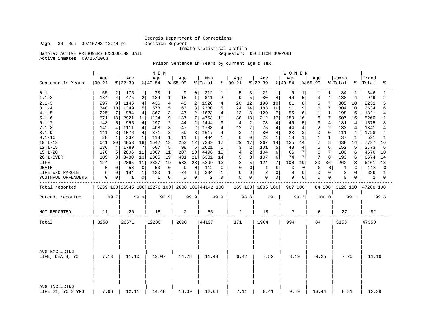Inmate statistical profile

Sample: ACTIVE PRISONERS EXCLUDING JAIL Requestor: DECISION SUPPORT

Active inmates 09/15/2003

Prison Sentence In Years by current age & sex

|                                    |                  |                                     | M E N                 |                      |                        |                      |                      | <b>WOMEN</b>     |                                  |                        |                       |
|------------------------------------|------------------|-------------------------------------|-----------------------|----------------------|------------------------|----------------------|----------------------|------------------|----------------------------------|------------------------|-----------------------|
| Sentence In Years                  | Age<br>$00 - 21$ | Age<br>$8 22-39$                    | Age<br>$ 40-54 $      | Age<br>$8155 - 99$   | Men<br>% Total         | Age<br>$8   00 - 21$ | Age<br>$ 22-39$      | Age<br>$ 40-54$  | Age<br>$8155 - 99$               | Women<br>% Total<br>နွ | Grand<br>Total<br>ిక  |
| $0 - 1$                            | 55               | 2<br>175<br>1                       | 73<br>1               | 0 <sup>1</sup><br>9  | 312                    | 5<br>3               | 22<br>1              | 6                | 1                                | 34                     | 346<br>1              |
| $1.1 - 2$                          | 134              | 475<br>4<br>2                       | 184<br>$\mathbf{1}$   | 18<br>$\mathbf{1}$   | 811<br>2               | 5<br>9               | $\overline{4}$<br>80 | 5<br>46          | 3<br>4                           | 138<br>4               | $\overline{2}$<br>949 |
| $2.1 - 3$                          | 297              | $\overline{4}$<br>9<br>1145         | 436<br>$\overline{4}$ | 2 <br>48             | 1926<br>$\overline{4}$ | 12<br>20             | 198<br>10            | 81<br>8          | 6<br>7                           | 305<br>10              | 2231<br>5             |
| $3.1 - 4$                          | 340<br>10        | 1349<br>5                           | 5<br>578              | 3<br>63              | 2330<br>5              | 24<br>14             | 183<br>10            | 91<br>9          | 6<br>7                           | 304<br>10              | 2634<br>6             |
| $4.1 - 5$                          | 225              | 984<br>7<br>4                       | 367<br>3              | 47<br>2              | 1623<br>4              | 13<br>8              | 129<br>7             | 55<br>6          | $\mathbf{1}$<br>$\mathbf{1}$     | 198<br>6               | 1821<br>4             |
| $5.1 - 6$                          | 571<br>18        | 2921<br>11                          | 1124<br>9             | 137<br>7             | 4753<br>11             | 30<br>18             | 312<br>17            | 159<br>16        | 7<br>6                           | 507<br>16              | 5260<br>11            |
| $6.1 - 7$                          | 148              | 4<br>5<br>955                       | 297<br>2              | 44<br>2              | 1444<br>3              | 2<br>4               | 78<br>4              | 46<br>5          | 3<br>$\overline{4}$              | 131<br>4               | 1575<br>3             |
| $7.1 - 8$                          | 142              | 4<br>1111<br>4                      | 408<br>3              | 47<br>2              | 1708<br>4              | 12<br>7              | 75<br>4              | 44<br>4          | $\overline{2}$<br>$\overline{a}$ | 133<br>4               | 1841<br>4             |
| $8.1 - 9$                          | 111              | 3<br>1076<br>4                      | 371<br>3              | $\overline{3}$<br>59 | 1617<br>4              | 2<br>3               | 80<br>4              | 28<br>3          | $\mathbf 0$<br>$\Omega$          | 111<br>4               | 1728<br>4             |
| $9.1 - 10$                         | 28               | $\mathbf{1}$<br>$\mathbf{1}$<br>332 | 113<br>$\mathbf{1}$   | 11<br>$\mathbf{1}$   | 484<br>1               | $\mathbf 0$<br>0     | 23<br>$\mathbf 1$    | 13               | $\mathbf{1}$<br>$\mathbf{1}$     | 37<br>1                | 521<br>$\mathbf{1}$   |
| $10.1 - 12$                        | 641<br>20        | 4853<br>18                          | 1542<br>13            | 253<br>12            | 7289<br>17             | 17<br>29             | 267<br>14            | 135<br>14        | 7<br>8                           | 438<br>14              | 7727<br>16            |
| $12.1 - 15$                        | 136              | $7\phantom{.0}$<br>4<br>1780        | 5<br>607              | 5<br>98              | 2621<br>6              | 2<br>3               | 5<br>101             | 43<br>4          | 5<br>6                           | 152<br>5               | 2773<br>6             |
| $15.1 - 20$                        | 176              | 5<br>2806<br>11                     | 1307<br>11            | 207<br>10            | 4496<br>10             | 2<br>4               | 104<br>6             | 66<br>7          | 6<br>7                           | 180<br>6               | 4676<br>10            |
| 20.1-OVER                          | 105              | 3480<br>13<br>3                     | 2365<br>19            | 21<br>431            | 6381<br>14             | 3<br>5               | 107<br>6             | 74<br>7          | 7<br>8                           | 193<br>6               | 6574<br>14            |
| LIFE                               | 124              | 4<br>2865<br>11                     | 2327<br>19            | 583<br>28            | 5899<br>13             | 8<br>5               | 124<br>7             | 100<br>10        | 30<br>36                         | 262<br>8               | 6161<br>13            |
| <b>DEATH</b>                       | $\mathbf 0$      | 0<br>$\mathbf 0$<br>53              | 50<br>$\mathbf 0$     | 9<br>0               | 112<br>0               | 0<br>0               | $\Omega$<br>1        | $\mathbf 0$<br>0 | $\Omega$<br>$\Omega$             | 1<br>0                 | 113<br>$\Omega$       |
| LIFE W/O PAROLE                    | 6                | 0<br>184<br>1                       | 120<br>1              | 24<br>$\mathbf{1}$   | 334<br>1               | 0<br>0               | 2<br>$\Omega$        | $\mathbf 0$<br>0 | $\mathbf 0$<br>$\Omega$          | 2<br>0                 | 336<br>1              |
| YOUTHFUL OFFENDERS                 | 0                | 0<br>1<br>0                         | 1<br>0                | 0<br>0 <sup>1</sup>  | 2<br>0                 | 0<br>0               | $\mathbf 0$<br>0     | 0<br>0           | 0<br>0                           | 0<br>0                 | 2<br>0                |
| Total reported                     |                  | 3239 100 26545 100 12270 100        |                       |                      | 2088 100 44142 100     | 169 100              | 1886 100             | 987 100          | 84 100                           | 3126 100   47268 100   |                       |
| Percent reported                   | 99.7             | 99.9                                | 99.9                  | 99.9                 | 99.9                   | 98.8                 | 99.1                 | 99.3             | 100.0                            | 99.1                   | 99.8                  |
| NOT REPORTED                       | 11               | 26                                  | 16                    | 2                    | 55                     | 2                    | 18                   | 7                | 0                                | 27                     | 82                    |
| Total                              | 3250             | 26571                               | 12286                 | 2090                 | 44197                  | 171                  | 1904                 | 994              | 84                               | 3153                   | 47350                 |
| AVG EXCLUDING<br>LIFE, DEATH, YO   | 7.13             | 11.10                               | 13.07                 | 14.78                | 11.43                  | 6.42                 | 7.52                 | 8.19             | 9.25                             | 7.70                   | 11.16                 |
| AVG INCLUDING<br>LIFE=21, YO=3 YRS | 7.66             | 12.11                               | 14.48                 | 16.39                | 12.64                  | 7.11                 | 8.41                 | 9.49             | 13.44                            | 8.81                   | 12.39                 |

Page 36 Run 09/15/03 12:44 pm Decision Support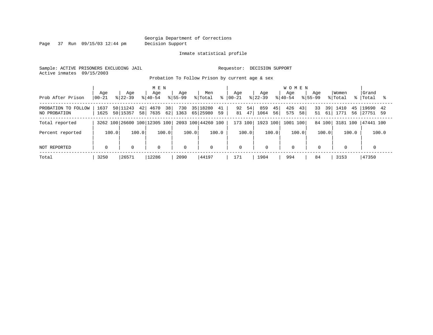Page 37 Run 09/15/03 12:44 pm Decision Support

Inmate statistical profile

Sample: ACTIVE PRISONERS EXCLUDING JAIL **Requestor: DECISION SUPPORT** Active inmates 09/15/2003

Probation To Follow Prison by current age & sex

| Prob After Prison                   | Age<br>$ 00 - 21$ | Aqe<br>$ 22-39 $                  | M E N<br>Age<br>$8140 - 54$           | Aqe<br>$8155 - 99$ | Men<br>% Total<br>ွေ             | Aqe<br>$ 00-21$      | Age<br>$ 22-39 $        | <b>WOMEN</b><br>Aqe<br>$8155 - 99$<br>$8140 - 54$ | Aqe                  | Women<br>% Total<br>- န ၂ | Grand<br>Total             |
|-------------------------------------|-------------------|-----------------------------------|---------------------------------------|--------------------|----------------------------------|----------------------|-------------------------|---------------------------------------------------|----------------------|---------------------------|----------------------------|
|                                     |                   |                                   |                                       |                    |                                  |                      |                         |                                                   |                      |                           |                            |
| PROBATION TO FOLLOW<br>NO PROBATION | 1637<br>1625      | 50 11243<br>42 <br>50 15357<br>58 | 38 <sup>1</sup><br>4670<br>7635<br>62 | 730<br>1363        | 35 18280<br>41<br>65 25980<br>59 | 54<br>92<br>47<br>81 | 859<br>45<br>1064<br>56 | 426<br>43<br>575<br>58                            | 33<br>39<br>51<br>61 | 1410<br>45<br>1771<br>56  | 19690<br>42<br>59<br>27751 |
| Total reported                      |                   |                                   | 3262 100 26600 100 12305 100          |                    | 2093 100 44260 100               | 173 100              | 1923 100                | 1001 100                                          | 84 100               | 3181 100                  | 47441 100                  |
| Percent reported                    | 100.0             | 100.0                             | 100.0                                 | 100.0              | 100.0                            | 100.0                | 100.0                   | 100.0                                             | 100.0                | 100.0                     | 100.0                      |
| NOT REPORTED                        | $\mathbf 0$       | $\mathbf 0$                       | 0                                     | $\Omega$           | $\mathbf 0$                      | $\mathbf 0$          | $\Omega$                | $\mathbf 0$                                       | $\mathbf 0$          | $\mathbf 0$               |                            |
| Total                               | 3250              | 26571                             | 12286                                 | 2090               | 44197                            | 171                  | 1904                    | 994                                               | 84                   | 3153                      | 47350                      |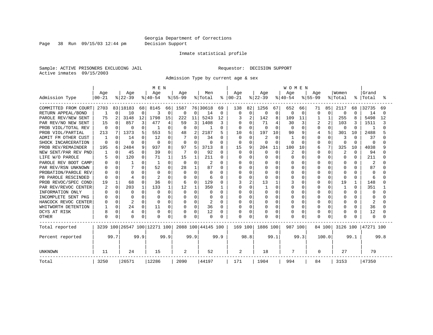Page 38 Run 09/15/03 12:44 pm Decision Support

#### Inmate statistical profile

Sample: ACTIVE PRISONERS EXCLUDING JAIL **Requestor: DECISION SUPPORT** Active inmates 09/15/2003

Admission Type by current age & sex

|                        |           |          |              |          | M E N                        |             |          |              |                    |               |              |                |          |                | <b>WOMEN</b> |          |             |                |          |              |              |      |
|------------------------|-----------|----------|--------------|----------|------------------------------|-------------|----------|--------------|--------------------|---------------|--------------|----------------|----------|----------------|--------------|----------|-------------|----------------|----------|--------------|--------------|------|
|                        | Age       |          | Age          |          | Age                          |             | Age      |              | Men                |               | Aqe          |                | Age      |                | Aqe          |          | Aqe         |                | Women    |              | Grand        |      |
| Admission Type         | $00 - 21$ |          | $ 22-39$     |          | $ 40-54$                     |             | $ 55-99$ |              | % Total            | $\frac{8}{6}$ | $00 - 21$    |                | $ 22-39$ |                | $ 40-54$     |          | $8155 - 99$ |                | % Total  | ႜ            | Total        |      |
| COMMITTED FROM COURT   | 2703      |          | 83 18183     | 68       | 8145                         | 66          | 1587     |              | 76 30618           | 69            | 138          | 82             | 1256     | 67             | 652          | 66       | 71          | 85             | 2117     | 68           | 32735        | 69   |
| RETURN APPEAL/BOND     |           | $\Omega$ | 10           | $\Omega$ | 3                            | $\mathbf 0$ | 0        | $\Omega$     | 14                 | 0             | <sup>0</sup> | 0              | 0        | $\mathbf 0$    | 0            | $\Omega$ | $\Omega$    | $\Omega$       | 0        | $\Omega$     | 14           | ∩    |
| PAROLE REV/NEW SENT    | 75        |          | 3148         | 12       | 1798                         | 15          | 222      | 11           | 5243               | 12            |              | $\overline{2}$ | 142      | 8              | 109          | 11       |             | 1              | 255      |              | 5498         | 12   |
| PAR REV/NO NEW SENT    | 15        | 0        | 857          | 3        | 477                          | 4           | 59       | 3            | 1408               | 3             |              | $\Omega$       | 71       | $\overline{4}$ | 30           | 3        |             | $\overline{c}$ | 103      |              | 1511         |      |
| PROB VIOL/TOTAL REV    | $\Omega$  |          | $\Omega$     |          |                              |             | 0        | $\Omega$     |                    | 0             |              | $\Omega$       |          | $\Omega$       | $\Omega$     | $\Omega$ | 0           | $\Omega$       | $\Omega$ | $\Omega$     |              |      |
| PROB VIOL/PARTIAL      | 213       | 7        | 1373         |          | 553                          | 5.          | 48       | 2            | 2187               | 5             | 10           | 6              | 197      | 10             | 90           | 9        |             | 5              | 301      | 10           | 2488         |      |
| FM OTHER CUST<br>ADMIT | 1         | n.       | 14           | U        | 12                           |             |          | $\Omega$     | 34                 | 0             | $\Omega$     | $\Omega$       | 2        | $\Omega$       |              | $\Omega$ | U           | O              | 3        | <sup>0</sup> | 37           |      |
| SHOCK INCARCERATION    | U         | 0        | $\Omega$     | U        | $\Omega$                     | 0           | 0        | $\Omega$     | O                  | 0             | <sup>0</sup> | 0              | n        | $\cap$         | <sup>0</sup> | $\Omega$ | U           | $\Omega$       | $\Omega$ | $\Omega$     | $\Omega$     |      |
| PROB REV/REMAINDER     | 195       | б.       | 2484         | 9        | 937                          | 8           | 97       | 5            | 3713               | 8             | 15           | 9              | 204      | 11             | 100          | 10       | 6           | 7              | 325      | 10           | 4038         |      |
| NEW SENT/PAR REV PND   |           | $\Omega$ | 45           | O        | 39                           | $\Omega$    |          | $\Omega$     | 92                 | 0             | $\Omega$     | $\Omega$       | $\Omega$ | $\Omega$       | 2            | $\Omega$ |             | $\Omega$       | 2        | $\Omega$     | 94           |      |
| LIFE W/O PAROLE        |           | $\Omega$ | 120          | O        | 71                           |             | 15       |              | 211                | U             |              | $\Omega$       |          | $\Omega$       | O            | $\Omega$ | U           | $\Omega$       | 0        | $\Omega$     | 211          |      |
| PAROLE REV BOOT CAMP   | U         | U        |              | ∩        |                              | $\Omega$    | $\Omega$ | $\Omega$     | 2                  | 0             |              | $\Omega$       |          | 0              | O            | $\Omega$ |             | $\cap$         | O        | U            | 2            |      |
| PAR REV/RSN UNKNOWN    |           | n.       |              | n        | 52                           |             | 28       | 1            | 87                 | 0             |              | $\Omega$       | O        | <sup>n</sup>   | O            | $\Omega$ |             | O              | O        | U            | 87           |      |
| PROBATION/PAROLE REV   |           |          | <sup>0</sup> |          | $\Omega$                     |             | $\Omega$ | <sup>0</sup> | O                  | O             |              | $\Omega$       |          | <sup>n</sup>   | O            | $\Omega$ |             | O              | O        |              | $\Omega$     |      |
| PB PAROLE RESCINDED    | U         | U        |              |          |                              |             | $\Omega$ | O            | 6                  | O             |              | $\Omega$       |          | U              | U            | 0        |             | O              | $\Omega$ | O            | 6            |      |
| PROB REVOC/SPEC COND   | 19        | 1        | 68           |          | 36                           | $\Omega$    | 6        | $\Omega$     | 129                | 0             |              | $\overline{c}$ | 13       | 1              |              | $\Omega$ |             | $\Omega$       | 19       | 1            | 148          |      |
| PAR REV/REVOC CENTER   |           | $\Omega$ | 203          |          | 133                          |             | 12       |              | 350                |               |              | $\Omega$       |          | $\Omega$       |              | 0        |             |                |          | 0            | 351          |      |
| INFORMATION ONLY       |           | O        | $\Omega$     | U        | O                            |             | O        | $\Omega$     | O                  | 0             |              | $\Omega$       |          | $\Omega$       |              | $\Omega$ |             | O              | O        | O            | O            |      |
| INCOMPLETE SENT PKG    |           | 0        | <sup>0</sup> | U        |                              |             | 0        | O            | O                  | 0             |              | O              |          | $\Omega$       |              | $\Omega$ |             | O              | O        | O            | <sup>0</sup> |      |
| HANCOCK REVOC CENTER   |           | $\Omega$ | 2            | U        | 0                            | U           | 0        | O            | 2                  | 0             |              | O              |          | $\Omega$       |              | $\Omega$ |             | O              | O        | U            | 2            |      |
| WHITWORTH DETENTION    |           | $\Omega$ | 24           | 0        | 11                           | 0           | 0        | $\Omega$     | 36                 | 0             |              | O              | O        | $\Omega$       |              | 0        |             | O              | 0        | O            | 36           |      |
| DCYS AT RISK           | 8         | 0        | 4            | $\Omega$ | $\Omega$                     | $\Omega$    | $\Omega$ | $\Omega$     | 12                 | 0             |              | $\Omega$       |          | $\Omega$       | Λ            | 0        |             | $\Omega$       | 0        | 0            | 12           |      |
| <b>OTHER</b>           | 0         | 0        | $\Omega$     | 0        | $\Omega$                     | $\Omega$    | 0        | 0            | 0                  | O             | O            | $\Omega$       |          | $\mathbf 0$    | N            | $\Omega$ |             | $\Omega$       | $\Omega$ |              | $\Omega$     |      |
| Total reported         |           |          |              |          | 3239 100 26547 100 12271 100 |             |          |              | 2088 100 44145 100 |               | 169 100      |                | 1886 100 |                | 987 100      |          |             | 84 100         | 3126 100 |              | 47271 100    |      |
| Percent reported       |           | 99.7     |              | 99.9     |                              | 99.9        |          | 99.9         |                    | 99.9          |              | 98.8           |          | 99.1           |              | 99.3     |             | 100.0          |          | 99.1         |              | 99.8 |
| <b>UNKNOWN</b>         | 11        |          | 24           |          | 15                           |             | 2        |              | 52                 |               | 2            |                | 18       |                | 7            |          | 0           |                | 27       |              | 79           |      |
| Total                  | 3250      |          | 26571        |          | 12286                        |             | 2090     |              | 44197              |               | 171          |                | 1904     |                | 994          |          | 84          |                | 3153     |              | 47350        |      |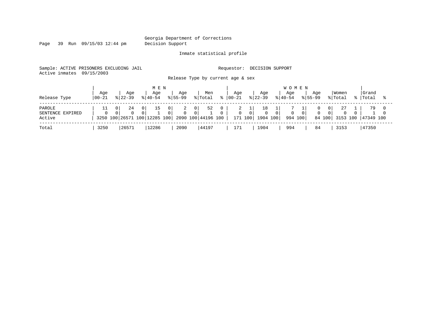Page 39 Run 09/15/03 12:44 pm Decision Support

Inmate statistical profile

Sample: ACTIVE PRISONERS EXCLUDING JAIL **Requestor: DECISION SUPPORT** Active inmates 09/15/2003

Release Type by current age & sex

| Release Type                         | Age<br>$ 00-21$ | Aqe<br>$8122 - 39$                 |       | M E N<br>Aqe<br>$8140 - 54$ |                | Aqe<br>$ 55-99 $ |                            | Men<br>% Total           | °≈ | Aqe<br>$ 00-21$ |                     | Age<br>$ 22-39 $               | <b>WOMEN</b><br>Aqe<br>$ 40-54$ | Age<br>$8155 - 99$ |                      | Women<br>% Total | Grand<br>%   Total |  |
|--------------------------------------|-----------------|------------------------------------|-------|-----------------------------|----------------|------------------|----------------------------|--------------------------|----|-----------------|---------------------|--------------------------------|---------------------------------|--------------------|----------------------|------------------|--------------------|--|
| PAROLE<br>SENTENCE EXPIRED<br>Active | $\Omega$        | 24<br>3250 100 26571 100 12285 100 | - 0 I | 15                          | 0 <sub>1</sub> | 2                | 0 <sup>1</sup><br>$\Omega$ | 52<br>2090 100 44196 100 |    | ∠<br>0          | $\Omega$<br>171 100 | 18<br>$\mathbf{0}$<br>1904 100 | 994 100                         | $\Omega$<br>84 100 | 01<br>$\overline{0}$ | 3153 100         | 79<br>147349 100   |  |
| Total                                | 3250            | 26571                              |       | 12286                       |                | 2090             |                            | 44197                    |    | 171             |                     | 1904                           | 994                             | 84                 |                      | 3153             | 47350              |  |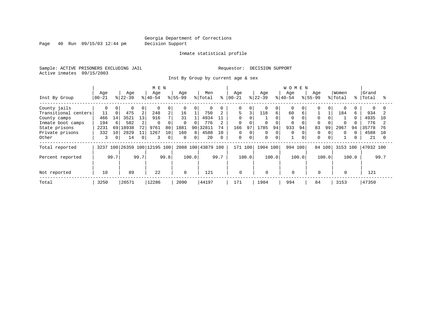Page 40 Run 09/15/03 12:44 pm Decision Support

#### Inmate statistical profile

Sample: ACTIVE PRISONERS EXCLUDING JAIL **Requestor: DECISION SUPPORT** Active inmates 09/15/2003

Inst By Group by current age & sex

|                      |           |          |           |                | M E N                   |      |              |                |                    |      |            |       |           |          | <b>WOMEN</b> |       |             |        |          |          |           |      |
|----------------------|-----------|----------|-----------|----------------|-------------------------|------|--------------|----------------|--------------------|------|------------|-------|-----------|----------|--------------|-------|-------------|--------|----------|----------|-----------|------|
|                      | Age       |          | Age       |                | Age                     |      | Age          |                | Men                |      | Age        |       | Age       |          | Age          |       | Age         |        | Women    |          | Grand     |      |
| Inst By Group        | $00 - 21$ |          | $ 22-39 $ |                | $8 40-54$               |      | $ 55-99 $    |                | % Total            | ៖    | $ 00 - 21$ |       | $8 22-39$ |          | $8 40-54$    |       | $ 55-99 $   |        | % Total  |          | %   Total |      |
| County jails         |           | $\Omega$ | $\Omega$  | 0              | $\Omega$                | 0    | $\Omega$     | $\Omega$       | $\Omega$           | 0    | 0          |       |           | 0        | $\Omega$     |       | O           |        | $\Omega$ |          | $\Omega$  |      |
| Transitional centers | 11        |          | 475       | 2              | 248                     | 2    | 16           |                | 750                |      | 5          |       | 118       | 6        | 60           | 6     |             |        | 184      | 6        | 934       |      |
| County camps         | 466       | 14       | 3521      | 13             | 916                     |      | 31           |                | 4934               | 11   | $\Omega$   |       |           | $\Omega$ | $\Omega$     |       |             |        |          | $\Omega$ | 4935      | 10   |
| Inmate boot camps    | 194       | 6        | 582       |                | $\Omega$                | O    | 0            | $\Omega$       | 776                |      | 0          |       | $\Omega$  |          | $\Omega$     |       | $\Omega$    |        | $\Omega$ |          | 776       |      |
| State prisons        | 2231      | 69       | 18938     | 72             | 9761                    | 80   | 1881         | 90             | 32811              | 74   | 166        | 97    | 1785      | 94       | 933          | 94    | 83          | 99     | 2967     | 94       | 35778     | 76   |
| Private prisons      | 332       | 10       | 2829      |                | 1267                    | 10   | 160          | 8              | 4588               | 10   | 0          |       | 0         | $\Omega$ | $\Omega$     |       | $\Omega$    |        | $\Omega$ | $\Omega$ | 4588      | 10   |
| Other                | 3         | 0        | 14        | $\overline{0}$ | 3                       | 0    | $\mathbf{0}$ | $\overline{0}$ | 20                 | 0    | 0          | 0     | 0         | 0        |              |       | 0           |        |          |          | 21        |      |
| Total reported       | 3237      |          |           |                | 100 26359 100 12195 100 |      |              |                | 2088 100 43879 100 |      | 171 100    |       | 1904 100  |          | 994 100      |       |             | 84 100 | 3153 100 |          | 47032 100 |      |
| Percent reported     |           | 99.7     |           | 99.7           |                         | 99.8 |              | 100.0          |                    | 99.7 |            | 100.0 |           | 100.0    |              | 100.0 |             | 100.0  |          | 100.0    |           | 99.7 |
|                      |           |          |           |                |                         |      |              |                |                    |      |            |       |           |          |              |       |             |        |          |          |           |      |
| Not reported         | 10        |          | 89        |                | 22                      |      | 0            |                | 121                |      | 0          |       | $\Omega$  |          | $\Omega$     |       | $\mathbf 0$ |        | 0        |          | 121       |      |
| Total                | 3250      |          | 26571     |                | 12286                   |      | 2090         |                | 44197              |      | 171        |       | 1904      |          | 994          |       | 84          |        | 3153     |          | 47350     |      |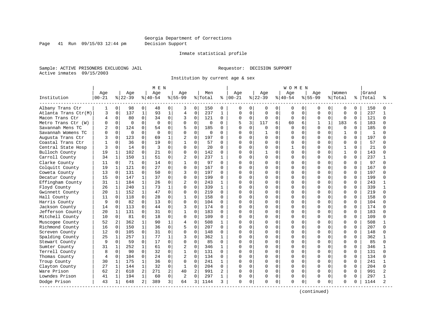Page 41 Run 09/15/03 12:44 pm Decision Support

#### Inmate statistical profile

Sample: ACTIVE PRISONERS EXCLUDING JAIL **Requestor: DECISION SUPPORT** Active inmates 09/15/2003

Institution by current age & sex

|                      |                |              |             |                | M E N     |              |                |             |          |                |               |             |             |          | <b>WOMEN</b> |             |              |              |              |          |       |              |
|----------------------|----------------|--------------|-------------|----------------|-----------|--------------|----------------|-------------|----------|----------------|---------------|-------------|-------------|----------|--------------|-------------|--------------|--------------|--------------|----------|-------|--------------|
|                      | Age            |              | Age         |                | Age       |              | Age            |             | Men      |                | Age           |             | Age         |          | Age          |             | Age          |              | Women        |          | Grand |              |
| Institution          | $00 - 21$      |              | $8 22-39$   |                | $8 40-54$ |              | $8 55-99$      |             | % Total  |                | $8   00 - 21$ |             | $ 22-39$    |          | $8 40-54$    |             | $8 55-99$    |              | % Total      | ႜ        | Total | °            |
| Albany Trans Ctr     | 1              | 0            | 98          | $\overline{0}$ | 48        | $\mathbf{0}$ | 3              | 0           | 150      | $\Omega$       | 0             | 0           | 0           | 0        | 0            | 0           | 0            | $\Omega$     | 0            | $\Omega$ | 150   | O            |
| Atlanta Trans Ctr(M) | 3              | $\mathbf 0$  | 137         | $\mathbf{1}$   | 93        | $\mathbf{1}$ | $\overline{4}$ | $\mathbf 0$ | 237      | $\mathbf{1}$   | 0             | $\mathbf 0$ | $\mathbf 0$ | $\Omega$ | $\Omega$     | $\Omega$    | $\Omega$     | $\Omega$     | $\mathbf 0$  | $\Omega$ | 237   | $\mathbf{1}$ |
| Macon Trans Ctr      | 4              | $\Omega$     | 80          | 0              | 34        | $\mathbf 0$  | 3              | 0           | 121      | $\mathbf 0$    | O             | $\mathbf 0$ | $\Omega$    | $\Omega$ | $\Omega$     | $\Omega$    | $\Omega$     | $\Omega$     | $\Omega$     | $\Omega$ | 121   | $\Omega$     |
| Metro Trans Ctr (W)  | O              | $\Omega$     | $\Omega$    | $\Omega$       | $\Omega$  | $\Omega$     | $\Omega$       | $\Omega$    | $\Omega$ | $\Omega$       |               | 3           | 117         | 6        | 60           | 6           | 1            | $\mathbf{1}$ | 183          | 6        | 183   |              |
| Savannah Mens TC     |                | $\Omega$     | 124         | $\Omega$       | 54        | 0            | 5              | $\Omega$    | 185      | 0              | U             | $\Omega$    | $\Omega$    | $\Omega$ | $\Omega$     | $\cap$      | U            | U            | $\Omega$     | 0        | 185   |              |
| Savannah Womens TC   |                | $\Omega$     | $\mathbf 0$ | $\Omega$       | $\Omega$  | $\Omega$     | $\mathbf 0$    | $\Omega$    | 0        | $\Omega$       | ი             | $\Omega$    |             | $\Omega$ | $\Omega$     | $\Omega$    | $\Omega$     | $\Omega$     | $\mathbf{1}$ | $\Omega$ | 1     | U            |
| Augusta Trans Ctr    |                | 0            | 123         | 0              | 69        | 1            | $\overline{2}$ | 0           | 197      | $\Omega$       | O             | $\mathbf 0$ | $\Omega$    | $\Omega$ | 0            | $\Omega$    | <sup>0</sup> | 0            | $\mathbf 0$  | $\Omega$ | 197   |              |
| Coastal Trans Ctr    |                | $\Omega$     | 36          | $\mathbf 0$    | 19        | $\Omega$     | $\mathbf{1}$   | $\Omega$    | 57       | $\Omega$       | U             | 0           | $\Omega$    | $\Omega$ | O            | $\Omega$    | U            | U            | $\Omega$     | $\Omega$ | 57    |              |
| Central State Hosp   | 3              | $\Omega$     | 14          | $\mathbf 0$    | 3         | $\Omega$     | 0              | $\Omega$    | 20       | $\Omega$       | ი             | 0           | 0           | $\Omega$ |              | $\Omega$    | U            | U            |              | $\Omega$ | 21    |              |
| Bulloch County       | 19             | $\mathbf{1}$ | 102         | $\mathbf 0$    | 21        | $\Omega$     | $\mathbf 0$    | $\Omega$    | 142      | $\Omega$       | U             | $\mathbf 0$ |             | $\Omega$ | $\Omega$     | $\cap$      | $\Omega$     | U            | 1            | $\Omega$ | 143   |              |
| Carroll County       | 34             | $\mathbf{1}$ | 150         | $\mathbf{1}$   | 51        | $\Omega$     | $\overline{2}$ | $\Omega$    | 237      | 1              | O             | $\Omega$    | $\Omega$    | $\Omega$ | 0            | $\Omega$    | U            | U            | $\Omega$     | $\Omega$ | 237   |              |
| Clarke County        | 11             | $\Omega$     | 71          | $\mathbf 0$    | 14        | $\Omega$     | $\mathbf{1}$   | $\Omega$    | 97       | 0              | Ω             | $\Omega$    | $\Omega$    | $\Omega$ | O            | $\Omega$    | U            | 0            | $\Omega$     | $\Omega$ | 97    |              |
| Colquitt County      | 19             | 1            | 121         | $\mathbf 0$    | 27        | 0            | $\mathbf 0$    | $\Omega$    | 167      | 0              | N             | $\mathbf 0$ | $\Omega$    | $\Omega$ | 0            | 0           | $\Omega$     | $\Omega$     | $\Omega$     | $\Omega$ | 167   |              |
| Coweta County        | 13             | $\mathbf 0$  | 131         | $\mathbf 0$    | 50        | $\Omega$     | 3              | $\Omega$    | 197      | 0              | Λ             | $\mathbf 0$ | $\Omega$    | $\Omega$ | O            | $\Omega$    | U            | O            | $\Omega$     | $\Omega$ | 197   | ∩            |
| Decatur County       | 15             | $\Omega$     | 147         | 1              | 37        | 0            | $\mathbf{0}$   | $\Omega$    | 199      | $\Omega$       | O             | 0           | $\Omega$    | $\Omega$ | 0            | $\Omega$    | <sup>0</sup> | 0            | 0            | 0        | 199   | U            |
| Effingham County     | 31             | 1            | 184         | $\mathbf{1}$   | 26        | 0            | 2              | $\Omega$    | 243      | 1              | U             | 0           | O           | $\Omega$ | $\Omega$     | $\cap$      | U            | U            | $\Omega$     | 0        | 243   |              |
| Floyd County         | 26             | $\mathbf{1}$ | 240         | $\mathbf{1}$   | 73        | $\mathbf{1}$ | $\Omega$       | $\Omega$    | 339      | 1              | O             | $\Omega$    | $\Omega$    | $\Omega$ | $\Omega$     | $\cap$      | U            | U            | $\Omega$     | $\Omega$ | 339   |              |
| Gwinnett County      | 20             | $\mathbf{1}$ | 152         | $\mathbf{1}$   | 47        | $\Omega$     | $\Omega$       | $\Omega$    | 219      | $\Omega$       | Ω             | $\Omega$    | $\Omega$    | $\Omega$ | 0            | $\Omega$    | $\Omega$     | 0            | $\Omega$     | $\Omega$ | 219   | U            |
| Hall County          | 11             | $\Omega$     | 118         | $\mathbf 0$    | 28        | $\Omega$     | $\mathbf{1}$   | $\Omega$    | 158      | $\Omega$       |               | $\mathbf 0$ | $\Omega$    | $\Omega$ | $\Omega$     | $\Omega$    | <sup>0</sup> | 0            | $\Omega$     | $\Omega$ | 158   |              |
| Harris County        | q              | $\Omega$     | 82          | $\mathbf 0$    | 13        | $\Omega$     | $\mathbf 0$    | $\Omega$    | 104      | $\Omega$       | U             | $\mathbf 0$ | $\Omega$    | $\Omega$ | O            | $\Omega$    | <sup>0</sup> | 0            | $\Omega$     | $\Omega$ | 104   | U            |
| Jackson County       | 14             | $\Omega$     | 113         | $\mathbf 0$    | 44        | $\Omega$     | 3              | $\Omega$    | 174      | 0              | Ω             | 0           | O           | $\Omega$ | $\Omega$     | O           | <sup>0</sup> | O            | $\Omega$     | $\Omega$ | 174   |              |
| Jefferson County     | 20             |              | 131         | $\Omega$       | 31        | 0            | $\mathbf{1}$   | $\Omega$    | 183      | 0              | U             | $\Omega$    | $\Omega$    | $\cap$   | $\cap$       | $\cap$      | U            | U            | $\Omega$     | $\Omega$ | 183   |              |
| Mitchell County      | 10             | $\Omega$     | 81          | $\mathbf 0$    | 18        | 0            | $\Omega$       | $\Omega$    | 109      | 0              | N             | 0           | $\Omega$    | $\Omega$ | $\Omega$     | $\Omega$    | U            | $\Omega$     | $\Omega$     | 0        | 109   |              |
| Muscogee County      | 52             | 2            | 362         | $\mathbf{1}$   | 90        | $\mathbf{1}$ | 4              | $\Omega$    | 508      | 1              | ი             | $\Omega$    | $\Omega$    | $\Omega$ | 0            | $\Omega$    | <sup>0</sup> | 0            | $\Omega$     | $\Omega$ | 508   |              |
| Richmond County      | 16             | $\Omega$     | 150         | $\mathbf{1}$   | 36        | $\Omega$     | 5              | $\Omega$    | 207      | $\Omega$       |               | $\mathbf 0$ | $\Omega$    | $\Omega$ | $\Omega$     | $\Omega$    | $\Omega$     | 0            | $\Omega$     | $\Omega$ | 207   |              |
| Screven County       | 12             | $\Omega$     | 105         | $\Omega$       | 31        | $\Omega$     | $\Omega$       | $\Omega$    | 148      | 0              | O             | $\mathbf 0$ | $\Omega$    | $\Omega$ | $\Omega$     | $\Omega$    | <sup>0</sup> | O            | $\Omega$     | $\Omega$ | 148   | ∩            |
| Spalding County      | 25             | 1            | 257         | $\mathbf{1}$   | 77        | 1            | 3              | $\Omega$    | 362      | 1              | O             | $\mathbf 0$ | $\Omega$    | $\Omega$ | $\Omega$     | $\Omega$    | <sup>0</sup> | O            | $\Omega$     | $\Omega$ | 362   |              |
| Stewart County       | q              | $\Omega$     | 59          | $\mathbf 0$    | 17        | $\Omega$     | $\Omega$       | $\Omega$    | 85       | $\Omega$       | U             | $\Omega$    | O           | $\Omega$ | $\cap$       | $\cap$      | U            | U            | $\Omega$     | $\Omega$ | 85    | U            |
| Sumter County        | 31             | 1.           | 252         | 1              | 61        | $\Omega$     | $\overline{2}$ | $\Omega$    | 346      | 1              | U             | $\Omega$    | $\Omega$    | $\Omega$ | $\Omega$     | $\cap$      | U            | U            | $\Omega$     | 0        | 346   |              |
| Terrell County       | 8              | $\Omega$     | 90          | $\Omega$       | 32        | $\Omega$     | $\mathbf{1}$   | $\Omega$    | 131      | 0              | N             | $\Omega$    | $\Omega$    | $\Omega$ | O            | $\Omega$    | <sup>0</sup> | 0            | $\mathbf 0$  | $\Omega$ | 131   | ∩            |
| Thomas County        | $\overline{4}$ | $\Omega$     | 104         | $\mathbf 0$    | 24        | $\Omega$     | $\overline{2}$ | 0           | 134      | 0              | N             | $\mathbf 0$ | $\Omega$    | $\Omega$ | $\Omega$     | $\Omega$    | U            | O            | $\Omega$     | $\Omega$ | 134   |              |
| Troup County         | 30             | 1            | 175         | 1              | 36        | 0            | 0              | 0           | 241      | 1              | O             | 0           | $\Omega$    | 0        | 0            | $\Omega$    | <sup>0</sup> | O            | 0            | $\Omega$ | 241   |              |
| Clayton County       | 27             |              | 144         | $\mathbf{1}$   | 32        | 0            | 1              | 0           | 204      | 0              | O             | 0           | 0           | 0        | $\Omega$     | $\Omega$    | <sup>0</sup> | O            | $\Omega$     | $\Omega$ | 204   | U            |
| Ware Prison          | 62             | 2            | 618         | 2              | 271       | 2            | 40             | 2           | 991      | $\overline{c}$ | U             | $\Omega$    | 0           | $\Omega$ | $\Omega$     | $\Omega$    | $\Omega$     | $\Omega$     | $\Omega$     | $\Omega$ | 991   |              |
| Lowndes Prison       | 41             | 1            | 194         | $\mathbf{1}$   | 60        | 0            | $\overline{2}$ | $\Omega$    | 297      | 1              | 0             | 0           | $\Omega$    | 0        | 0            | $\mathbf 0$ | 0            | $\Omega$     | $\Omega$     | $\Omega$ | 297   |              |
| Dodge Prison         | 43             | 1            | 648         | $\overline{a}$ | 389       | 3            | 64             | 3           | 1144     | 3              | 0             | 0           | U           | 0        | O            | 0           | <sup>0</sup> | 0            | 0            | O        | 1144  |              |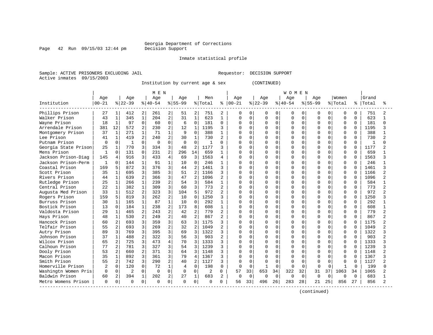#### Georgia Department of Corrections<br>Decision Support

Page 42 Run 09/15/03 12:44 pm

Inmate statistical profile

Sample: ACTIVE PRISONERS EXCLUDING JAIL Requestor: DECISION SUPPORT Active inmates 09/15/2003

Institution by current age & sex (CONTINUED)

|                      |              |                |                |                | M E N     |                |                |                 |          |                |               |              |          |          | <b>WOMEN</b> |          |             |             |              |              |       |                |
|----------------------|--------------|----------------|----------------|----------------|-----------|----------------|----------------|-----------------|----------|----------------|---------------|--------------|----------|----------|--------------|----------|-------------|-------------|--------------|--------------|-------|----------------|
|                      | Age          |                | Age            |                | Age       |                | Age            |                 | Men      |                | Age           |              | Age      |          | Age          |          | Age         |             | Women        |              | Grand |                |
| Institution          | $00 - 21$    |                | $8 22-39$      |                | $8 40-54$ |                | $8 55-99$      |                 | % Total  |                | $8   00 - 21$ |              | $ 22-39$ |          | $8 40-54$    |          | $8155 - 99$ |             | % Total      | %            | Total | る              |
| Phillips Prison      | 27           | 1              | 412            | 2              | 261       | 2              | 51             | 2               | 751      | 2              | $\Omega$      | O            | $\Omega$ | $\Omega$ | 0            | 0        | 0           | 0           | 0            | 0            | 751   |                |
| Walker Prison        | 43           | $\mathbf 1$    | 345            | $\mathbf{1}$   | 204       | $\overline{2}$ | 31             | $\mathbf{1}$    | 623      | 1              | $\Omega$      | $\Omega$     | $\Omega$ | $\Omega$ | $\Omega$     | $\Omega$ | $\cap$      | $\Omega$    | $\Omega$     | $\Omega$     | 623   | 1              |
| Wayne Prison         | 18           | $\mathbf{1}$   | 97             | $\Omega$       | 60        | $\Omega$       | 6              | $\Omega$        | 181      | $\Omega$       | $\Omega$      | $\Omega$     | $\Omega$ | $\Omega$ | $\Omega$     | $\Omega$ | $\Omega$    | $\Omega$    | $\Omega$     | $\Omega$     | 181   | $\Omega$       |
| Arrendale Prison     | 381          | 12             | 572            | 2              | 230       | $\overline{2}$ | 12             | $\mathbf{1}$    | 1195     | 3              | $\Omega$      | $\Omega$     | $\Omega$ | $\Omega$ | $\Omega$     | $\Omega$ | n           | $\Omega$    | $\Omega$     | $\Omega$     | 1195  | 3              |
| Montgomery Prison    | 37           | $\mathbf{1}$   | 271            | $\mathbf{1}$   | 71        | $\mathbf{1}$   | 9              | $\Omega$        | 388      | $\mathbf{1}$   | $\Omega$      | O            | $\Omega$ | $\Omega$ | $\Omega$     | $\Omega$ | $\cap$      | $\Omega$    | $\Omega$     | $\Omega$     | 388   |                |
| Lee Prison           | 41           | $\mathbf{1}$   | 419            | $\overline{a}$ | 240       | $\overline{2}$ | 30             | -1              | 730      | $\overline{a}$ | $\Omega$      | <sup>0</sup> | $\cap$   | $\cap$   | $\cap$       | $\Omega$ | n           | $\Omega$    | <sup>0</sup> | 0            | 730   | $\mathfrak{D}$ |
| Putnam Prison        | $\Omega$     | $\Omega$       | $\mathbf{1}$   | $\Omega$       | $\Omega$  | $\Omega$       | $\Omega$       | $\Omega$        |          | $\Omega$       | $\Omega$      | O            | $\Omega$ |          | $\Omega$     | $\Omega$ | n           | $\Omega$    | $\Omega$     | O            |       | ∩              |
| Georgia State Prison | 25           | $\mathbf{1}$   | 770            | 3              | 334       | 3              | 48             |                 | 1177     |                | $\cap$        | U            | $\cap$   |          | $\cap$       | $\Omega$ | C           | $\cap$      | $\Omega$     | U            | 1177  |                |
| Mens Prison          | $\mathbf{1}$ | $\Omega$       | 131            | $\Omega$       | 231       | $\overline{2}$ | 296            | 14              | 659      |                | $\cap$        | U            | $\cap$   | $\cap$   | $\cap$       | $\Omega$ | n           | $\Omega$    | $\Omega$     | $\Omega$     | 659   |                |
| Jackson Prison-Diag  | 145          | 4              | 916            | 3              | 433       | $\overline{4}$ | 69             | $\mathcal{L}$   | 1563     | 4              | $\Omega$      | U            | $\cap$   | $\Omega$ | $\cap$       | $\Omega$ | n           | $\Omega$    | $\Omega$     | $\Omega$     | 1563  | २              |
| Jackson Prison-Perm  | -1           | $\Omega$       | 144            | $\mathbf{1}$   | 91        | $\mathbf{1}$   | 10             | $\Omega$        | 246      |                | $\Omega$      | $\Omega$     | $\Omega$ | $\Omega$ | $\Omega$     | $\Omega$ | U           | $\Omega$    | 0            | $\Omega$     | 246   |                |
| Coastal Prison       | 169          | 5              | 872            | 3              | 376       | 3              | 44             | $\overline{2}$  | 1461     | ζ              | $\Omega$      | $\Omega$     | $\Omega$ | $\Omega$ | $\Omega$     | $\Omega$ | $\cap$      | $\mathbf 0$ | $\mathbf 0$  | $\Omega$     | 1461  | ζ              |
| Scott Prison         | 35           | 1              | 695            | 3              | 385       | 3              | 51             | $\mathfrak{D}$  | 1166     | 3              | $\Omega$      | <sup>0</sup> | $\cap$   | $\Omega$ | $\Omega$     | $\Omega$ | C           | $\Omega$    | 0            | 0            | 1166  | $\overline{a}$ |
| Rivers Prison        | 44           | $\mathbf{1}$   | 639            | $\overline{a}$ | 366       | 3              | 47             | $\overline{2}$  | 1096     | 2              | $\Omega$      | $\Omega$     | $\cap$   | $\Omega$ | $\cap$       | $\Omega$ | $\cap$      | $\Omega$    | $\Omega$     | 0            | 1096  | $\mathfrak{D}$ |
| Rutledge Prison      | 25           | 1              | 266            | $\mathbf{1}$   | 239       | $\overline{2}$ | 54             | 3               | 584      |                | $\Omega$      | $\Omega$     |          |          | $\cap$       | $\cap$   | n           | $\Omega$    | $\Omega$     | <sup>0</sup> | 584   |                |
| Central Prison       | 22           | 1              | 382            | $\mathbf{1}$   | 309       | 3              | 60             | २               | 773      |                | $\Omega$      | $\Omega$     | $\Omega$ |          | $\cap$       | $\Omega$ | n           | $\Omega$    | $\Omega$     | $\Omega$     | 773   | $\mathfrak{D}$ |
| Augusta Med Prison   | 33           | 1              | 512            | $\overline{a}$ | 323       | 3              | 104            | $5\overline{2}$ | 972      | $\mathfrak{D}$ | $\Omega$      | U            | $\cap$   | $\cap$   | $\Omega$     | $\Omega$ | $\cap$      | $\Omega$    | $\Omega$     | $\Omega$     | 972   | $\mathcal{D}$  |
| Rogers Prison        | 159          | 5              | 819            | 3              | 262       | $\overline{2}$ | 10             | $\Omega$        | 1250     |                | $\Omega$      | $\Omega$     | $\Omega$ | $\Omega$ | $\Omega$     | $\Omega$ | $\cap$      | $\Omega$    | $\Omega$     | 0            | 1250  | ζ              |
| Burruss Prison       | 30           | $\mathbf 1$    | 165            | $\mathbf{1}$   | 87        | $\mathbf{1}$   | 10             | $\Omega$        | 292      | $\mathbf{1}$   | $\Omega$      | $\mathbf 0$  | $\Omega$ | $\Omega$ | $\Omega$     | $\Omega$ | $\cap$      | $\mathbf 0$ | $\mathbf 0$  | $\Omega$     | 292   | $\mathbf{1}$   |
| Bostick Prison       | 13           | $\Omega$       | 184            | $\mathbf{1}$   | 238       | $\overline{2}$ | 173            | 8               | 608      | $\mathbf{1}$   | $\Omega$      | $\Omega$     | $\Omega$ | $\cap$   | $\Omega$     | $\Omega$ | $\cap$      | $\Omega$    | $\Omega$     | $\Omega$     | 608   | 1              |
| Valdosta Prison      | 29           | 1              | 465            | $\overline{a}$ | 243       | $\overline{2}$ | 42             | $\overline{2}$  | 779      | 2              | $\Omega$      | $\Omega$     | $\Omega$ | $\Omega$ | $\Omega$     | $\Omega$ | n           | $\Omega$    | $\Omega$     | 0            | 779   | $\mathfrak{D}$ |
| Hays Prison          | 48           | 1              | 530            | $\overline{a}$ | 249       | $\overline{2}$ | 40             | $\overline{a}$  | 867      |                | $\Omega$      | <sup>0</sup> | $\cap$   | $\Omega$ | $\Omega$     | $\cap$   | $\cap$      | $\Omega$    | 0            | 0            | 867   | $\overline{a}$ |
| Hancock Prison       | 60           | 2              | 693            | $\overline{3}$ | 359       | 3              | 63             | 3               | 1175     | 3              | $\Omega$      | <sup>0</sup> |          | $\Omega$ | $\Omega$     | $\Omega$ | $\cap$      | 0           | 0            | 0            | 1175  |                |
| Telfair Prison       | 55           | 2              | 693            | 3              | 269       | $\overline{2}$ | 32             | $\mathfrak{D}$  | 1049     |                | $\Omega$      | $\Omega$     | $\cap$   |          | $\cap$       | $\Omega$ | C           | $\Omega$    | $\Omega$     | O            | 1049  | $\mathfrak{D}$ |
| Autry Prison         | 89           | 3              | 769            | 3              | 395       | 3              | 69             | $\mathcal{R}$   | 1322     |                | $\Omega$      | U            | $\cap$   | $\cap$   | $\Omega$     | $\Omega$ | ∩           | $\cap$      | $\Omega$     | $\cap$       | 1322  | २              |
| Johnson Prison       | 37           | $\mathbf{1}$   | 488            | $\overline{a}$ | 322       | $\overline{3}$ | 56             | २               | 903      | $\overline{a}$ | $\Omega$      | $\Omega$     | $\cap$   | $\cap$   | $\cap$       | $\Omega$ | n           | $\Omega$    | $\Omega$     | $\Omega$     | 903   | $\mathcal{D}$  |
| Wilcox Prison        | 65           | 2              | 725            | 3              | 473       | $\overline{4}$ | 70             | $\mathcal{R}$   | 1333     |                | $\Omega$      | $\Omega$     |          | $\Omega$ | $\Omega$     | $\Omega$ | C           | $\Omega$    | $\Omega$     | <sup>0</sup> | 1333  |                |
| Calhoun Prison       | 77           | 2              | 781            | $\overline{3}$ | 327       | 3              | 54             | २               | 1239     |                | $\Omega$      | $\Omega$     | $\cap$   | $\Omega$ | $\Omega$     | $\Omega$ |             | $\Omega$    | 0            | $\Omega$     | 1239  | ς              |
| Dooly Prison         | 53           | $\overline{a}$ | 660            | $\overline{a}$ | 371       | 3              | 64             | 3               | 1148     | 3              | $\Omega$      | $\Omega$     | $\Omega$ |          | $\cap$       | $\Omega$ | $\cap$      | $\Omega$    | $\Omega$     | $\Omega$     | 1148  | $\mathfrak{D}$ |
| Macon Prison         | 35           | $\mathbf 1$    | 892            | 3              | 361       | 3              | 79             | $\overline{4}$  | 1367     | 3              | $\Omega$      | $\Omega$     |          |          | $\cap$       | $\Omega$ | $\cap$      | 0           | 0            | 0            | 1367  |                |
| Smith Prison         | 55           | 2              | 742            | 3              | 290       | $\overline{2}$ | 40             | $\mathfrak{D}$  | 1127     | 3              | $\Omega$      | $\Omega$     |          |          | $\cap$       | $\Omega$ | $\cap$      | $\Omega$    | $\Omega$     | U            | 1127  | $\mathfrak{D}$ |
| Homerville Prison    |              | $\Omega$       | 120            | $\Omega$       | 72        | $\mathbf{1}$   | $\overline{4}$ | $\Omega$        | 198      | 0              | $\cap$        | $\Omega$     | -1       | $\Omega$ | $\cap$       | $\Omega$ | $\cap$      | $\Omega$    | $\mathbf{1}$ | $\Omega$     | 199   | $\cap$         |
| Washingtn Women Pris | $\Omega$     | $\mathbf 0$    | $\overline{2}$ | 0              | $\Omega$  | $\Omega$       | $\Omega$       | $\Omega$        | 2        | 0              | 57            | 33           | 653      | 34       | 322          | 32       | 31          | 37          | 1063         | 34           | 1065  | 2              |
| Baldwin Prison       | 60           | 2              | 394            | $\mathbf{1}$   | 202       | 2              | 27             | $\mathbf{1}$    | 683      | $\overline{2}$ | $\Omega$      | $\mathbf 0$  | $\Omega$ | 0        | $\Omega$     | $\Omega$ | $\Omega$    | $\mathbf 0$ | 0            | <sup>0</sup> | 683   |                |
| Metro Womens Prison  | $\Omega$     | $\mathbf 0$    | $\Omega$       | 0              | $\Omega$  | 0              | $\Omega$       | 0               | $\Omega$ | 0              | 56            | 33           | 496      | 26       | 283          | 28       | 21          | 25          | 856          | 27           | 856   | $\overline{a}$ |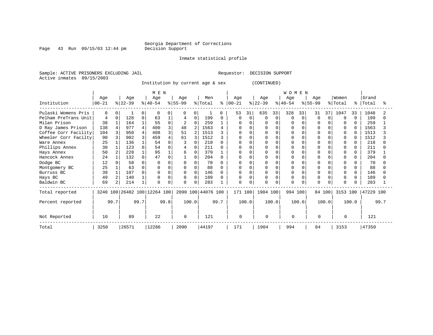#### Georgia Department of Corrections<br>Decision Support

Page 43 Run  $09/15/03$  12:44 pm

Inmate statistical profile

Sample: ACTIVE PRISONERS EXCLUDING JAIL Requestor: DECISION SUPPORT Active inmates 09/15/2003

Institution by current age & sex (CONTINUED)

|                      |            |                |           |      | M E N                        |          |           |                |                    |          |          |          |           |          | <b>WOMEN</b> |          |           |          |              |              |           |      |
|----------------------|------------|----------------|-----------|------|------------------------------|----------|-----------|----------------|--------------------|----------|----------|----------|-----------|----------|--------------|----------|-----------|----------|--------------|--------------|-----------|------|
|                      | Age        |                | Age       |      | Age                          |          | Age       |                | Men                |          | Age      |          | Age       |          | Age          |          | Age       |          | Women        |              | Grand     |      |
| Institution          | $ 00 - 21$ |                | $ 22-39 $ |      | $ 40-54 $                    |          | $8 55-99$ |                | % Total            | ွေ       | $ 00-21$ |          | $ 22-39 $ |          | $ 40-54 $    |          | $8 55-99$ |          | % Total      | %            | Total     | ႜ    |
| Pulaski Womens Pris  | $\Omega$   | 0              |           | 0    | $\Omega$                     | 0        | $\Omega$  | 0              |                    | $\Omega$ | 53       | 31       | 635       | 33       | 328          | 33       | 31        | 37       | 1047         | 33           | 1048      |      |
| Pelham PreTrans Unit | 4          | 0              | 128       | 0    | 63                           |          |           | $\mathbf 0$    | 199                | 0        | 0        | $\Omega$ | $\Omega$  | 0        | $\Omega$     | $\Omega$ | $\Omega$  | 0        | $\Omega$     | $\Omega$     | 199       |      |
| Milan Prison         | 38         |                | 164       |      | 55                           | $\Omega$ | 2         | $\Omega$       | 259                |          | $\Omega$ |          | $\Omega$  |          |              |          |           | $\Omega$ | $\Omega$     | 0            | 259       |      |
| D Ray James Prison   | 138        |                | 977       | 4    | 400                          | 3        | 48        | $\overline{2}$ | 1563               |          |          |          |           |          |              |          |           | 0        | $\Omega$     |              | 1563      |      |
| Coffee Corr Facility | 104        |                | 950       | 4    | 408                          | 3        | 51        | 2              | 1513               |          |          |          |           |          |              |          |           |          | 0            | 0            | 1513      |      |
| Wheeler Corr Facilty | 90         |                | 902       | 3    | 459                          |          | 61        |                | 1512               |          | $\Omega$ |          |           |          |              |          |           |          | <sup>0</sup> | 0            | 1512      |      |
| Ware Annex           | 25         |                | 136       |      | 54                           |          |           | $\Omega$       | 218                |          | $\Omega$ |          | $\Omega$  |          |              |          |           |          | $\Omega$     | 0            | 218       |      |
| Phillips Annex       | 30         |                | 123       | 0    | 54                           |          |           | $\Omega$       | 211                |          |          |          | $\Omega$  |          |              |          |           |          |              | 0            | 211       |      |
| Hays Annex           | 50         |                | 228       |      | 95                           |          | 6         | $\Omega$       | 379                |          | $\Omega$ |          |           |          |              |          |           | 0        | $\Omega$     | 0            | 379       |      |
| Hancock Annex        | 24         |                | 132       | 0    | 47                           | $\Omega$ |           | $\Omega$       | 204                |          | $\cap$   |          | $\Omega$  |          |              |          |           |          |              | 0            | 204       |      |
| Dodge BC             | 12         |                | 58        | 0    |                              |          |           | $\Omega$       | 70                 |          | O        |          | $\Omega$  |          |              |          |           |          |              |              | 70        |      |
| Montgomery BC        | 25         |                | 63        | O    |                              | $\Omega$ |           | $\Omega$       | 88                 | 0        | $\Omega$ |          | $\Omega$  |          |              |          |           | 0        | <sup>0</sup> |              | 88        |      |
| Burruss BC           | 39         |                | 107       | U    |                              |          |           | $\mathbf 0$    | 146                |          |          |          |           |          |              |          |           |          | $\Omega$     | 0            | 146       |      |
| Hays BC              | 49         | $\overline{2}$ | 140       |      |                              | $\Omega$ | $\Omega$  | $\Omega$       | 189                |          | $\Omega$ |          | $\Omega$  |          | $\Omega$     |          | $\Omega$  |          | $\Omega$     | <sup>n</sup> | 189       |      |
| Baldwin BC           | 69         | $\overline{2}$ | 214       |      | $\Omega$                     | 0        |           | $\Omega$       | 283                |          | $\Omega$ |          | $\Omega$  | $\Omega$ | $\Omega$     |          | $\Omega$  | 0        | $\Omega$     |              | 283       |      |
| Total reported       |            |                |           |      | 3240 100 26482 100 12264 100 |          |           |                | 2090 100 44076 100 |          | 171 100  |          | 1904 100  |          | 994 100      |          | 84 100    |          | 3153 100     |              | 47229 100 |      |
| Percent reported     |            | 99.7           |           | 99.7 |                              | 99.8     | 100.0     |                |                    | 99.7     |          | 100.0    |           | 100.0    |              | 100.0    |           | 100.0    |              | 100.0        |           | 99.7 |
| Not Reported         | 10         |                | 89        |      | 22                           |          | $\Omega$  |                | 121                |          | $\Omega$ |          | $\Omega$  |          | $\Omega$     |          | 0         |          | <sup>0</sup> |              | 121       |      |
| Total                | 3250       |                | 26571     |      | 12286                        |          | 2090      |                | 44197              |          | 171      |          | 1904      |          | 994          |          | 84        |          | 3153         |              | 47350     |      |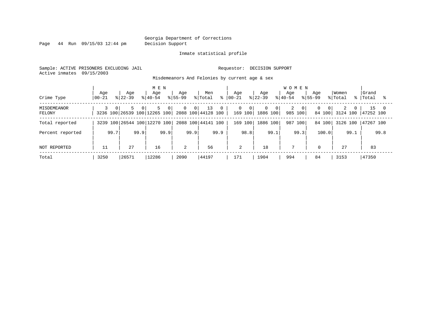Page 44 Run 09/15/03 12:44 pm Decision Support

#### Inmate statistical profile

Sample: ACTIVE PRISONERS EXCLUDING JAIL **Requestor: DECISION SUPPORT** Active inmates 09/15/2003

Misdemeanors And Felonies by current age & sex

| Crime Type                   | Age<br>  00-21 | Aqe<br>$8122 - 39$               | M E N<br>Age<br>$8140 - 54$                  | Age<br>$8155 - 99$               | Men<br>% Total<br>⊱                      | Aqe<br>$ 00-21 $      | Age<br>$ 22-39 $                           | <b>WOMEN</b><br>Age<br>$8140 - 54$ | Aqe<br>$8155 - 99$                   | Women<br>% Total          | Grand<br>%   Total |
|------------------------------|----------------|----------------------------------|----------------------------------------------|----------------------------------|------------------------------------------|-----------------------|--------------------------------------------|------------------------------------|--------------------------------------|---------------------------|--------------------|
| <b>MISDEMEANOR</b><br>FELONY |                | $\Omega$<br>5.<br>$\overline{0}$ | 5<br>$\circ$<br>3236 100 26539 100 12265 100 | $\overline{0}$<br>0 <sup>1</sup> | 13<br>$\mathbf{0}$<br>2088 100 44128 100 | 0<br>- 0 I<br>169 100 | $\mathbf{0}$<br>0 <sup>1</sup><br>1886 100 | - O I<br>985 100                   | $\Omega$<br>$\overline{0}$<br>84 100 | 2<br>$\Omega$<br>3124 100 | 15<br>47252 100    |
| Total reported               |                |                                  | 3239 100 26544 100 12270 100                 |                                  | 2088 100 44141 100                       | 169 100               | 1886 100                                   | 987<br>100                         | 84 100                               | 3126 100                  | 47267 100          |
| Percent reported             | 99.7           | 99.9                             | 99.9                                         | 99.9                             | 99.9                                     | 98.8                  | 99.1                                       | 99.3                               | 100.0                                | 99.1                      | 99.8               |
| NOT REPORTED                 | 11             | 27                               | 16                                           | $\overline{a}$                   | 56                                       | 2                     | 18                                         | 7                                  | $\mathbf 0$                          | 27                        | 83                 |
| Total                        | 3250           | 26571                            | 12286                                        | 2090                             | 44197                                    | 171                   | 1904                                       | 994                                | 84                                   | 3153                      | 47350              |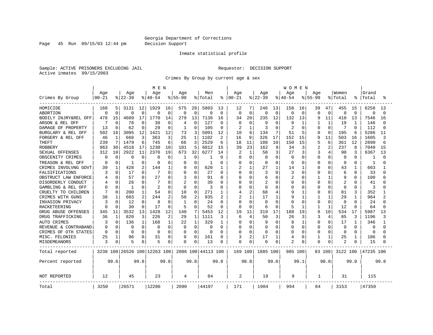Page 45 Run 09/15/03 12:44 pm Decision Support

#### Inmate statistical profile

Sample: ACTIVE PRISONERS EXCLUDING JAIL **Requestor: DECISION SUPPORT** Active inmates 09/15/2003

Crimes By Group by current age & sex

|                      |              |              |              |                | M E N                        |             |             |              |                    |              |           |                |              |                | WOMEN     |              |              |              |                |              |           |          |
|----------------------|--------------|--------------|--------------|----------------|------------------------------|-------------|-------------|--------------|--------------------|--------------|-----------|----------------|--------------|----------------|-----------|--------------|--------------|--------------|----------------|--------------|-----------|----------|
|                      | Age          |              | Age          |                | Age                          |             | Age         |              | Men                |              | Age       |                | Age          |                | Age       |              | Age          |              | Women          |              | Grand     |          |
| Crimes By Group      | $00 - 21$    |              | $ 22-39$     |                | $8140 - 54$                  |             | $8 55-99$   |              | % Total            | ະ            | $00 - 21$ |                | $ 22-39$     |                | $8 40-54$ |              | $8155 - 99$  |              | % Total        |              | Total     |          |
| HOMICIDE             | 168          | 5.           | 3131         | 12             | 1929                         | 16          | 575         | 28           | 5803               | 13           | 12        | 7              | 246          | 13             | 158       | 16           | 39           | 47           | 455            | 15           | 6258      | 13       |
| <b>ABORTION</b>      | $\Omega$     | $\Omega$     | $\Omega$     | $\Omega$       | 0                            | $\mathbf 0$ | $\mathbf 0$ | $\Omega$     | $\Omega$           | $\mathbf 0$  | $\Omega$  | $\mathbf 0$    | $\mathbf 0$  | $\mathbf 0$    | 0         | $\mathbf 0$  | $\Omega$     | $\mathbf 0$  | $\Omega$       | $\Omega$     | $\Omega$  | $\Omega$ |
| BODILY INJRY&REL OFF | 478          | 15           | 4609         | 17             | 1770                         | 14          | 279         | 13           | 7136               | 16           | 34        | 20             | 235          | 12             | 132       | 13           | 9            | 11           | 410            | 13           | 7546      | 16       |
| ARSON & REL OFF      |              | <sup>0</sup> | 78           | $\Omega$       | 38                           | 0           | 4           | $\Omega$     | 127                | $\Omega$     | $\Omega$  | $\Omega$       | 9            | $\Omega$       | 9         | -1           |              | $\mathbf{1}$ | 19             | -1           | 146       |          |
| DAMAGE OF PROPERTY   | 13           | O            | 62           | <sup>0</sup>   | 29                           | $\Omega$    | 1           | O            | 105                | 0            | 2         | 1              | 3            | $\Omega$       | 2         | $\Omega$     | U            | $\Omega$     | 7              | <sup>0</sup> | 112       |          |
| BURGLARY & REL OFF   | 502          | 16           | 3095         | 12             | 1421                         | 12          | 73          | 3            | 5091               | 12           | 10        | 6              | 134          | 7              | 51        | 5            | 0            | $\Omega$     | 195            | 6            | 5286      | 11       |
| FORGERY & REL OFF    | 46           | $\mathbf{1}$ | 668          | 3              | 363                          | 3           | 25          | 1            | 1102               | 2            | 16        | 9              | 326          | 17             | 152       | 15           | 9            | 11           | 503            | 16           | 1605      | 3        |
| <b>THEFT</b>         | 239          | 7            | 1479         | 6              | 745                          | 6           | 66          | 3            | 2529               | 6            | 18        | 11             | 188          | 10             | 150       | 15           | 5            | 6            | 361            | 12           | 2890      |          |
| <b>ROBBERY</b>       | 963          | 30           | 4518         | 17             | 1230                         | 10          | 101         | 5            | 6812               | 15           | 39        | 23             | 162          | 9              | 34        | 3            | 2            | 2            | 237            | 8            | 7049      | 15       |
| SEXUAL OFFENSES      | 312          | 10           | 2922         | 11             | 2370                         | 19          | 673         | 32           | 6277               | 14           |           | $\mathbf{1}$   | 58           | 3              | 27        | 3            | 3            | 4            | 90             | 3            | 6367      | 13       |
| OBSCENITY CRIMES     | <sup>0</sup> | $\Omega$     | $\Omega$     | $\Omega$       | O                            | $\Omega$    | -1          | 0            | 1                  | 0            | U         | $\Omega$       | <sup>0</sup> | $\Omega$       | $\Omega$  | $\Omega$     | 0            | $\Omega$     | $\Omega$       | 0            | -1        |          |
| TREASON & REL OFF    | n            | 0            | -1           | <sup>0</sup>   | $\Omega$                     | $\Omega$    | $\Omega$    | U            | -1                 | 0            | U         | $\Omega$       | 0            | $\Omega$       | $\Omega$  | $\Omega$     | U            | $\Omega$     | 0              | 0            | 1         |          |
| CRIMES INVOLVNG GOVT | 39           |              | 428          | $\overline{a}$ | 144                          | 1           | 9           | 0            | 620                | 1            | 2         | $\mathbf{1}$   | 27           | 1              | 14        | 1            | U            | $\Omega$     | 43             | -1           | 663       |          |
| FALSIFICATIONS       | 3            | $\Omega$     | 17           | $\Omega$       |                              | $\Omega$    | $\Omega$    | 0            | 27                 | $\Omega$     | O         | $\Omega$       | 3            | $\Omega$       | 3         | $\Omega$     | Ω            | $\Omega$     | 6              | $\Omega$     | 33        |          |
| OBSTRUCT LAW ENFORCE |              | $\Omega$     | 57           | $\cap$         | 27                           | $\Omega$    | 3           | 0            | 91                 | 0            | U         | $\Omega$       | 6            | $\Omega$       | 2         | 0            |              |              | 9              | O            | 100       |          |
| DISORDERLY CONDUCT   |              | O            | 26           |                |                              | 0           | 2           | 0            | 39                 | O            |           | $\Omega$       | 2            | $\cap$         | Ω         | 0            | Ω            | $\Omega$     | 2              | U            | 41        |          |
| GAMBLING & REL OFF   |              | $\Omega$     | $\mathbf{1}$ | $\cap$         | $\overline{2}$               | $\Omega$    | $\Omega$    | O            | 3                  | 0            | U         | $\Omega$       | $\Omega$     | $\Omega$       | O         | $\Omega$     | 0            | $\Omega$     | $\Omega$       | $\Omega$     | 3         |          |
| CRUELTY TO CHILDREN  |              | $\Omega$     | 200          |                | 54                           | $\Omega$    | 10          | 0            | 271                | 1            | 4         | $\overline{2}$ | 68           | $\overline{4}$ | 9         | 1            | 0            | $\Omega$     | 81             | 3            | 352       |          |
| CRIMES WITH GUNS     | 38           |              | 603          | 2              | 244                          | 2           | 50          | 2            | 935                | 2            | 2         | $\mathbf{1}$   | 17           | $\mathbf{1}$   | 9         | $\mathbf{1}$ |              |              | 29             | $\mathbf{1}$ | 964       |          |
| INVASION PRIVACY     | 3            | O            | 12           | $\Omega$       | 8                            | $\Omega$    | -1          | $\Omega$     | 24                 | $\Omega$     | O         | $\Omega$       | <sup>0</sup> | $\Omega$       | U         | $\Omega$     | <sup>0</sup> | $\Omega$     | $\Omega$       | 0            | 24        |          |
| RACKETEERING         |              | O            | 30           | O              | 17                           | $\Omega$    | 5           | 0            | 52                 | 0            |           | $\Omega$       | 6            | $\Omega$       | 5         | -1           |              | $\mathbf{1}$ | 12             | O            | 64        |          |
| DRUG ABUSE OFFENSES  | 345          | 11           | 3532         | 13             | 1428                         | 12          | 148         | 7            | 5453               | 12           | 19        | 11             | 319          | 17             | 188       | 19           | 8            | 10           | 534            | 17           | 5987      | 13       |
| DRUG TRAFFICKING     | 36           | 1            | 820          | 3              | 226                          | 2           | 29          | -1           | 1111               | 3            | 6         | 4              | 50           | 3              | 26        | 3            | 3            | 4            | 85             | 3            | 1196      |          |
| <b>AUTO CRIMES</b>   | 3            | $\Omega$     | 136          |                | 168                          | 1           | 22          | $\mathbf{1}$ | 329                | $\mathbf{1}$ | O         | $\Omega$       | q            | $\Omega$       | 8         | 1            | 0            | $\Omega$     | 17             | -1           | 346       |          |
| REVENUE & CONTRABAND |              | $\Omega$     | 0            | $\Omega$       | 0                            | $\Omega$    | $\Omega$    | $\Omega$     | 0                  | $\Omega$     |           | $\Omega$       | $\Omega$     | $\Omega$       | 0         | $\mathbf 0$  | 0            | $\Omega$     | $\Omega$       | $\Omega$     | $\Omega$  |          |
| CRIMES OF OTH STATES | $\Omega$     | $\Omega$     | $\Omega$     | O              | $\Omega$                     | $\Omega$    | $\Omega$    | $\Omega$     | $\Omega$           | $\Omega$     | O         | $\Omega$       | <sup>0</sup> | $\Omega$       | O         | $\Omega$     | 0            | $\Omega$     | $\Omega$       | $\Omega$     | $\Omega$  |          |
| MISC. FELONIES       | 25           |              | 96           | 0              | 31                           | 0           | 9           | O            | 161                | O            | ς         | $\overline{c}$ | 17           | 1              | 4         | $\mathbf 0$  |              | 1            | 25             | 1            | 186       |          |
| MISDEMEANORS         | 3            | 0            | 5            | 0              | 5                            | 0           | $\mathbf 0$ | 0            | 13                 | 0            | O         | 0              |              | 0              | 2         | 0            | 0            | $\Omega$     | $\overline{2}$ |              | 15        |          |
| Total reported       |              |              |              |                | 3238 100 26526 100 12263 100 |             |             |              | 2086 100 44113 100 |              | 169 100   |                | 1885 100     |                | 985 100   |              |              | 83 100       | 3122 100       |              | 47235 100 |          |
| Percent reported     |              | 99.6         |              | 99.8           |                              | 99.8        |             | 99.8         |                    | 99.8         |           | 98.8           |              | 99.0           |           | 99.1         |              | 98.8         |                | 99.0         |           | 99.8     |
| <b>NOT REPORTED</b>  | 12           |              | 45           |                | 23                           |             | 4           |              | 84                 |              | 2         |                | 19           |                | 9         |              | 1            |              | 31             |              | 115       |          |
| Total                | 3250         |              | 26571        |                | 12286                        |             | 2090        |              | 44197              |              | 171       |                | 1904         |                | 994       |              | 84           |              | 3153           |              | 47350     |          |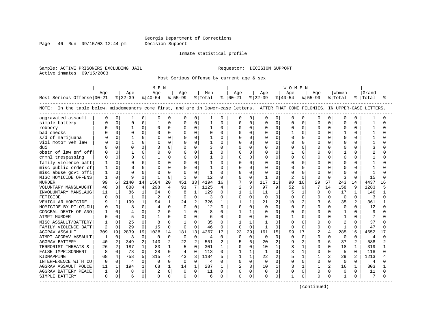Page 46 Run 09/15/03 12:44 pm Decision Support

#### Inmate statistical profile

Sample: ACTIVE PRISONERS EXCLUDING JAIL REGUESTOR: DECISION SUPPORT Active inmates 09/15/2003

Most Serious Offense by current age & sex

|                                                                                                                                    |              |                |              |              | MEN          |              |                |             |          |                |               |              |              |              | W O M E N      |          |           |          |              |                |           |                |
|------------------------------------------------------------------------------------------------------------------------------------|--------------|----------------|--------------|--------------|--------------|--------------|----------------|-------------|----------|----------------|---------------|--------------|--------------|--------------|----------------|----------|-----------|----------|--------------|----------------|-----------|----------------|
|                                                                                                                                    | Age          |                | Age          |              | Age          |              | Aqe            |             | Men      |                | Age           |              | Age          |              | Aqe            |          | Age       |          | Women        |                | Grand     |                |
| Most Serious Offense 00-21                                                                                                         |              |                | $ 22-39$     |              | $ 40-54 $    |              | $ 55-99$       |             | % Total  |                | $8   00 - 21$ |              | $ 22-39$     |              | $ 40-54 $      |          | $8 55-99$ |          | % Total      |                | %   Total | °              |
| NOTE: In the table below, misdemeanors come first, and are in lower-case letters. AFTER THAT COME FELONIES, IN UPPER-CASE LETTERS. |              |                |              |              |              |              |                |             |          |                |               |              |              |              |                |          |           |          |              |                |           |                |
| aggravated assault                                                                                                                 | O            | 0              |              | 0            | <sup>0</sup> | 0            | <sup>0</sup>   | 0           | 1        | $\Omega$       | 0             | U            | O            | 0            | $\Omega$       | O        | $\Omega$  | 0        | $\Omega$     | 0              |           |                |
| simple battery                                                                                                                     |              | 0              | $\Omega$     | $\Omega$     |              | 0            | n              | $\mathbf 0$ | 1        | $\Omega$       | O             | $\Omega$     | $\Omega$     | $\Omega$     | $\Omega$       | $\Omega$ | $\Omega$  | $\Omega$ | 0            | 0              |           | U              |
| robbery                                                                                                                            |              | $\Omega$       | -1           | $\Omega$     | $\Omega$     | 0            |                | $\Omega$    |          | $\Omega$       | O             | $\Omega$     | $\Omega$     | $\Omega$     | $\Omega$       | $\Omega$ | $\Omega$  | $\Omega$ | $\Omega$     |                |           |                |
| bad checks                                                                                                                         |              | 0              | $\Omega$     | $\Omega$     |              | $\Omega$     | O              | $\Omega$    | $\Omega$ | $\Omega$       | U             | $\Omega$     | O            | U            |                | $\Omega$ | n         | 0        |              | U              |           |                |
| s/d of marijuana                                                                                                                   |              | $\Omega$       |              | 0            |              | $\Omega$     | 0              | $\Omega$    |          | $\Omega$       | O             | 0            | ∩            | 0            | $\Omega$       | $\Omega$ | n         | $\Omega$ | $\Omega$     | 0              |           |                |
| viol motor veh law                                                                                                                 |              | $\Omega$       |              | $\Omega$     |              | 0            | 0              | $\Omega$    |          | $\Omega$       | O             | <sup>0</sup> | O            | 0            | $\Omega$       | $\Omega$ | n         | $\Omega$ | 0            | O              |           |                |
| dui                                                                                                                                |              | $\Omega$       | $\Omega$     | 0            |              | O            |                | $\Omega$    |          | $\Omega$       | O             | $\Omega$     | 0            | 0            | $\Omega$       | $\Omega$ |           | $\Omega$ | 0            | O              |           |                |
| obstr of law enf off                                                                                                               |              | $\Omega$       | $\mathbf{1}$ | U            |              | 0            |                | $\Omega$    |          | $\Omega$       | O             | $\Omega$     | $\Omega$     | 0            | $\mathbf{1}$   | $\Omega$ | $\Omega$  | $\Omega$ | 1            | <sup>0</sup>   |           |                |
| crmnl trespassing                                                                                                                  |              | 0              | $\Omega$     | $\Omega$     |              | 0            | 0              | $\Omega$    |          | $\Omega$       | 0             | 0            | $\Omega$     | 0            | $\Omega$       | $\Omega$ | $\Omega$  | $\Omega$ | $\Omega$     | 0              |           |                |
| family violence batt                                                                                                               |              | $\Omega$       | $\Omega$     | 0            |              | $\Omega$     |                | $\Omega$    |          | $\Omega$       | O             | O            | O            | $\Omega$     | $\Omega$       | $\Omega$ | n         | $\Omega$ | O            | 0              |           |                |
| misc public order of                                                                                                               | 1            | $\Omega$       |              | $\Omega$     |              | $\Omega$     |                | $\Omega$    |          | $\Omega$       | O             |              | O            | O            | $\Omega$       | $\Omega$ |           | U        | O            |                |           |                |
| misc abuse govt offi                                                                                                               | -1           | 0              | $\Omega$     | U            |              | $\Omega$     |                | $\Omega$    |          | $\Omega$       | O             | ∩            | U            | U            | $\cap$         | O        | n         | $\cap$   | $\Omega$     | Λ              |           |                |
| MISC HOMICIDE OFFENS                                                                                                               | 1            | $\Omega$       | 9            | $\Omega$     | $\mathbf{1}$ | $\mathbf 0$  |                | $\Omega$    | 12       | <sup>0</sup>   | U             | $\Omega$     | 1            | <sup>0</sup> | $\overline{c}$ | $\Omega$ | $\Omega$  | $\Omega$ | 3            | $\Omega$       | 15        | ∩              |
| <b>MURDER</b>                                                                                                                      | 99           | 6              | 2140         | 14           | 1504         | 20           | 451            | 33          | 4194     | 16             | 7             | 9            | 117          | 11           | 90             | 16       | 29        | 57       | 243          | 14             | 4437      | 16             |
| VOLUNTARY MANSLAUGHT                                                                                                               | 48           | 3              | 688          | 4            | 298          | 4            | 91             | 7           | 1125     | $\overline{4}$ | 2             | 3            | 97           | 9            | 52             | 9        | 7         | 14       | 158          | 9              | 1283      | 5              |
| INVOLUNTARY MANSLAUG                                                                                                               | 11           | 1              | 86           | $\mathbf{1}$ | 24           | 0            | 8              | 1           | 129      | $\Omega$       | 1             | 1            | 11           | 1            | 5              | 1        | $\Omega$  | $\Omega$ | 17           | 1              | 146       |                |
| FETICIDE                                                                                                                           | $\cap$       | $\Omega$       | $\mathbf{1}$ | $\Omega$     | 2            | $\Omega$     | $\Omega$       | $\Omega$    | 3        | $\Omega$       | U             | $\Omega$     | $\Omega$     | $\Omega$     | $\Omega$       | $\Omega$ | $\Omega$  | $\Omega$ | $\Omega$     | $\Omega$       | 3         | U              |
| VEHICULAR HOMICIDE                                                                                                                 | 9            | 1              | 199          | $\mathbf{1}$ | 94           | 1            | 24             | 2           | 326      | 1              |               |              | 21           | 2            | 10             | 2        | 3         | 6        | 35           | 2              | 361       |                |
| HOMICIDE BY PILOT.DU                                                                                                               |              | 0              | 8            | $\Omega$     |              | $\mathbf 0$  |                | $\Omega$    | 12       | 0              | U             | $\Omega$     | $\Omega$     | O            | $\Omega$       | $\Omega$ |           |          | 0            | $\Omega$       | 12        | ∩              |
| CONCEAL DEATH OF ANO                                                                                                               |              | $\Omega$       | 4            | $\Omega$     |              | $\Omega$     |                | $\Omega$    | 8        | <sup>n</sup>   |               | -1           | U            | U            | $\Omega$       | $\cap$   | $\Omega$  | $\Omega$ | -1           | 0              | 9         |                |
| ATMPT MURDER                                                                                                                       |              | $\Omega$       | 5            | $\Omega$     |              | $\Omega$     | $\Omega$       | $\Omega$    | 6        | <sup>0</sup>   | O             | $\Omega$     | U            | O            |                | $\Omega$ | n         | $\Omega$ |              | 0              |           |                |
| MISC ASSAULT/BATTERY                                                                                                               |              | 0              | 25           | $\Omega$     | 8            | $\Omega$     |                | $\Omega$    | 35       | $\Omega$       |               | -1           |              | U            | $\Omega$       | $\cap$   | n         | $\Omega$ | 2            | 0              | 37        |                |
| FAMILY VIOLENCE BATT                                                                                                               | 2            | $\Omega$       | 29           | $\Omega$     | 15           | $\mathbf 0$  | $\cap$         | $\Omega$    | 46       | $\Omega$       | 0             | $\Omega$     | $\mathbf{1}$ | $\Omega$     | $\cap$         | $\cap$   | $\Omega$  | $\Omega$ | $\mathbf{1}$ | $\Omega$       | 47        |                |
| AGGRAV ASSAULT                                                                                                                     | 309          | 19             | 2839         | 19           | 1038         | 14           | 181            | 13          | 4367     | 17             | 23            | 29           | 161          | 15           | 99             | 17       |           | 4        | 285          | 16             | 4652      |                |
| ATMPT AGGRAV ASSAULT                                                                                                               | $\mathbf{1}$ | $\Omega$       | 3            | $\Omega$     | $\Omega$     | $\Omega$     | $\Omega$       | $\Omega$    | 4        | $\Omega$       | $\Omega$      | $\Omega$     | $\Omega$     | $\Omega$     | $\Omega$       | $\Omega$ | $\Omega$  | $\Omega$ | $\Omega$     | $\Omega$       | 4         | U              |
| <b>AGGRAV BATTERY</b>                                                                                                              | 40           | $\overline{a}$ | 349          | 2            | 140          | 2            | 22             | 2           | 551      | 2              | 5             | 6            | 20           | 2            | 9              | 2        | 3         | 6        | 37           | 2              | 588       | $\overline{2}$ |
| TERRORIST THREATS &                                                                                                                | 26           | $\overline{a}$ | 187          | $\mathbf{1}$ | 83           | $\mathbf{1}$ |                | $\Omega$    | 301      | 1              | O             | $\Omega$     | 10           | $\mathbf{1}$ |                |          | $\Omega$  |          | 18           |                | 319       |                |
| FALSE IMPRISONMENT                                                                                                                 | 8            | $\Omega$       | 73           | $\Omega$     | 28           | $\mathbf 0$  | $\overline{4}$ | $\Omega$    | 113      | $\Omega$       |               | $\mathbf{1}$ | 1            | U            |                |          | $\Omega$  | $\cap$   | 5            | $\Omega$       | 118       | U              |
| KIDNAPPING                                                                                                                         | 68           | 4              | 758          | 5            | 315          | 4            | 43             | 3           | 1184     | 5              | 1             | $\mathbf{1}$ | 22           | 2            | 5              |          |           | 2        | 29           | $\overline{a}$ | 1213      |                |
| INTERFERENCE WITH CU                                                                                                               | 0            | $\Omega$       | 4            | $\Omega$     | $\Omega$     | $\Omega$     | $\Omega$       | $\Omega$    | 4        | $\Omega$       | U             | $\Omega$     | $\Omega$     | $\Omega$     | $\Omega$       | $\Omega$ | 0         | $\Omega$ | $\Omega$     | $\Omega$       | 4         | U              |
| AGGRAV ASSAULT POLCE                                                                                                               | 11           | 1              | 194          | 1            | 68           | $\mathbf{1}$ | 14             | 1           | 287      | 1              | 2             | 3            | 10           | $\mathbf{1}$ | 3              |          |           | 2        | 16           |                | 303       |                |
| AGGRAV BATTERY PEACE                                                                                                               | 1            | 0              | 8            | 0            |              | $\mathbf 0$  | 0              | $\mathbf 0$ | 11       | $\Omega$       | 0             | 0            | 0            | 0            | $\Omega$       | 0        | $\Omega$  | 0        | 0            | $\Omega$       | 11        | U              |
| SIMPLE BATTERY                                                                                                                     | $\Omega$     | 0              | 6            | 0            | U            | $\mathbf 0$  | $\Omega$       | 0           | 6        | $\Omega$       | $\Omega$      | $\Omega$     | <sup>0</sup> | 0            |                | 0        | $\Omega$  | 0        | $\mathbf{1}$ | 0              |           |                |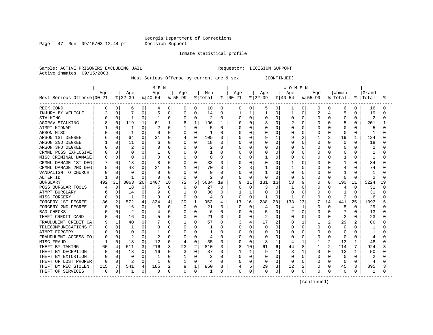Page 47 Run 09/15/03 12:44 pm Decision Support

Inmate statistical profile

Sample: ACTIVE PRISONERS EXCLUDING JAIL **Requestor: DECISION SUPPORT** Active inmates 09/15/2003

Most Serious Offense by current age & sex (CONTINUED)

|                            |     |          |          |    | M E N    |          |          |          |          |          |               |          |          |          | W O M E N |              |             |              |             |          |                |    |
|----------------------------|-----|----------|----------|----|----------|----------|----------|----------|----------|----------|---------------|----------|----------|----------|-----------|--------------|-------------|--------------|-------------|----------|----------------|----|
|                            | Age |          | Age      |    | Age      |          | Age      |          | Men      |          | Age           |          | Age      |          | Age       |              | Age         |              | Women       |          | Grand          |    |
| Most Serious Offense 00-21 |     |          | $ 22-39$ |    | $ 40-54$ |          | $ 55-99$ |          | % Total  |          | $8   00 - 21$ |          | $ 22-39$ |          | $ 40-54 $ |              | $8155 - 99$ |              | % Total     |          | %   Total      | °≈ |
| RECK COND                  | 0   | 0        | 6        | 0  | 4        | 0        | 0        | 0        | 10       | 0        | 0             | 0        | 5        | 0        |           | 0            | 0           | 0            | 6           | 0        | 16             | O  |
| INJURY BY VEHICLE          |     | 0        |          | 0  |          | 0        | 0        | $\Omega$ | 14       | $\Omega$ |               | 1        |          | 0        |           | 0            |             |              | 5           |          | 19             |    |
| STALKING                   |     | $\Omega$ | -1       | 0  |          | 0        | 0        | $\Omega$ | 2        | $\Omega$ | Ω             | $\Omega$ | 0        | 0        | $\Omega$  | $\Omega$     | $\cap$      | O            | $\mathbf 0$ | O        | $\overline{2}$ |    |
| AGGRAV STALKING            |     | 0        | 119      | 1  | 61       | 1        |          |          | 196      |          | N             | C        |          | U        |           | <sup>0</sup> |             |              |             | O        | 201            |    |
| ATMPT KIDNAP               |     | 0        |          | 0  |          | O        |          | $\Omega$ |          | O        | Ω             | O        |          | U        | O         | $\Omega$     |             |              | O           |          |                |    |
| ARSON MISC                 |     | $\Omega$ | -1       | 0  | $\Omega$ | O        | 0        | 0        |          | ∩        |               | $\Omega$ |          | U        | O         | 0            |             | $\Omega$     | $\Omega$    | U        | -1             |    |
| ARSON 1ST DEGREE           |     | 0        | 64       | 0  | 31       | O        |          | 0        | 105      | $\Omega$ |               | 0        |          |          | 9         | 2            |             | 2            | 19          |          | 124            |    |
| ARSON 2ND DEGREE           |     | 0        | 11       | 0  | 6        | 0        |          | 0        | 18       | $\Omega$ |               | 0        | 0        | 0        | 0         | 0            |             |              | $\mathbf 0$ |          | 18             |    |
| ARSON 3RD DEGREE           |     | 0        |          | 0  |          | O        |          | O        |          | $\Omega$ |               | 0        | Ω        | U        | O         | $\Omega$     |             | O            | 0           |          |                |    |
| CRMNL POSS EXPLOSIVE       |     | $\Omega$ | 0        | 0  |          | 0        |          | 0        |          | $\Omega$ |               | 0        |          | O        | O         | $\Omega$     |             | O            | 0           | O        |                |    |
| MISC CRIMINAL DAMAGE       |     | 0        | $\Omega$ | 0  | O        | 0        |          | $\Omega$ | 0        | $\Omega$ | Ω             | 0        |          | U        | O         | 0            |             | 0            |             | O        | -1             |    |
| CRMNL DAMAGE 1ST DEG       |     | 0        | 18       | 0  |          | 0        |          | $\Omega$ | 33       | $\Omega$ | ი             | 0        |          | O        |           | $\Omega$     |             | 0            |             | O        | 34             | በ  |
| CRMNL DAMAGE 2ND DEG       |     | 0        | 43       | 0  | 21       | 0        |          | O        | 70       | $\Omega$ |               | 3        |          | U        |           | 0            |             |              |             | O        | 74             |    |
| VANDALISM TO CHURCH        |     | O        | $\Omega$ | 0  | $\Omega$ | $\Omega$ | 0        | $\Omega$ | $\Omega$ | O        | Ω             | 0        |          |          | 0         | $\Omega$     |             |              |             |          |                |    |
| ALTER ID                   |     | $\Omega$ | -1       | 0  |          | $\Omega$ | $\Omega$ | $\Omega$ | 2        | $\Omega$ |               | 0        | O        | U        | $\Omega$  | 0            |             |              | $\Omega$    |          | 2              |    |
| <b>BURGLARY</b>            | 492 | 31       | 3063     | 20 | 1407     | 18       | 72       | 5        | 5034     | 19       | 9             | 11       | 131      | 13       | 50        | 9            |             | O            | 190         | 11       | 5224           | 19 |
| POSS BURGLAR TOOLS         |     | 0        | 18       | 0  | 5        | O        | $\Omega$ | $\Omega$ | 27       | $\Omega$ | Ω             | $\Omega$ | 3        | O        |           | U            |             |              | 4           | U        | 31             | U  |
| ATMPT BURGLARY             |     | 0        | 14       | O  | 9        | O        |          | O        | 30       | $\Omega$ |               | -1       | U        | U        | O         | $\Omega$     |             | O            |             | O        | 31             | በ  |
| MISC FORGERY               |     | $\Omega$ | -1       | 0  |          | O        | $\Omega$ | $\Omega$ | 4        | $\Omega$ | 0             | $\Omega$ |          | 0        |           | $\Omega$     |             | $\Omega$     | 2           | $\Omega$ | 6              |    |
| FORGERY 1ST DEGREE         | 36  | 2        | 572      | 4  | 324      | 4        | 20       | 1        | 952      | 4        | 13            | 16       | 288      | 28       | 133       | 23           |             | 14           | 441         | 25       | 1393           |    |
| FORGERY 2ND DEGREE         |     | 0        | 16       | O  |          | O        |          | 0        | 21       | $\Omega$ | 0             | 0        | 4        | $\Omega$ | 4         | $\mathbf{1}$ |             | O            | 8           | O        | 29             |    |
| <b>BAD CHECKS</b>          |     | 0        | 2        | 0  |          | 0        |          | $\Omega$ | 6        | $\Omega$ |               | $\Omega$ | 5        | O        |           | 0            |             | O            |             | O        | 13             | ∩  |
| THEFT CREDIT CARD          |     | 0        | 16       | 0  |          | 0        |          | 0        | 21       | $\Omega$ | N             | 0        | 2        | 0        | O         | $\Omega$     |             | 0            | 2           | O        | 23             | በ  |
| FRAUDULENT CREDIT CA       |     | 1        | 40       | 0  |          | O        |          | $\Omega$ | 57       | $\Omega$ | 3             | 4        | 17       |          | 8         | 1            |             |              | 29          | 2        | 86             |    |
| TELECOMMUNICATIONS F       |     | $\Omega$ | -1       | 0  |          | O        |          | O        |          | $\Omega$ | Ω             | O        | U        | O        | O         | $\Omega$     |             | O            | $\Omega$    |          |                |    |
| ATMPT FORGERY              |     | 0        | ∩        | 0  |          | 0        |          | $\Omega$ |          | 0        | Ω             | 0        |          | U        | O         | 0            |             | O            | 0           |          |                |    |
| FRAUDULENT ACCESS CO       |     | O        | 2        | 0  |          | O        | $\Omega$ | $\Omega$ | 4        | $\Omega$ |               | 0        | 0        |          | O         | $\Omega$     |             | O            | $\Omega$    |          | 4              |    |
| MISC FRAUD                 |     | 0        | 18       | 0  | 12       | 0        |          | $\Omega$ | 35       | $\Omega$ |               | 0        | 8        |          | 4         |              |             | 2            | 13          |          | 48             |    |
| THEFT BY TAKING            | 60  | 4        | 511      | 3  | 216      | 3        | 23       | 2        | 810      | 3        |               | 10       | 61       | 6        | 44        | 8            |             | 2            | 114         |          | 924            |    |
| THEFT BY DECEPTION         |     | O        | 18       | O  | 16       | 0        |          | $\Omega$ | 37       | $\Omega$ |               | 1        | 9        |          | 3         | $\mathbf{1}$ |             | O            | 13          |          | 50             | በ  |
| THEFT BY EXTORTION         |     | $\Omega$ | U        | O  |          | 0        |          | 0        | 2        | ∩        | N             | 0        | 0        | U        | O         | O            |             |              | $\Omega$    |          |                |    |
| THEFT OF LOST PROPER       | Ω   | 0        | 2        | O  | -1       | 0        |          | $\Omega$ | 4        | $\Omega$ | Ω             | 0        | 0        | 0        | O         | $\Omega$     |             | <sup>0</sup> | $\Omega$    | O        | 4              |    |
| THEFT BY REC STOLEN        | 115 |          | 541      | 4  | 185      | 2        |          | 1        | 850      | 3        |               | 5        | 29       | 3        | 12        | 2            |             | 0            | 45          | 3        | 895            | 3  |
| THEFT OF SERVICES          | 0   | 0        |          | 0  | 0        | 0        | 0        | 0        |          | 0        | 0             | 0        | 0        | 0        | 0         | 0            | 0           | 0            | $\mathbf 0$ |          |                | N  |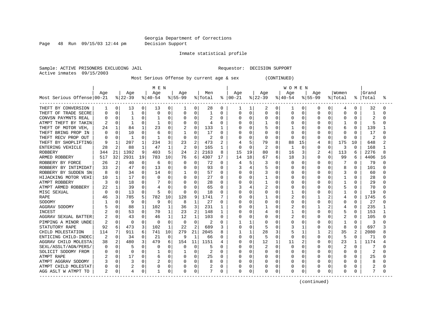Page 48 Run 09/15/03 12:44 pm Decision Support

Inmate statistical profile

Sample: ACTIVE PRISONERS EXCLUDING JAIL **Requestor: DECISION SUPPORT** Active inmates 09/15/2003

Most Serious Offense by current age & sex (CONTINUED)

|                            |              |              |          |          | MEN          |              |           |              |         |              |               |          |           |              | <b>WOMEN</b>   |          |              |          |                |              |           |    |
|----------------------------|--------------|--------------|----------|----------|--------------|--------------|-----------|--------------|---------|--------------|---------------|----------|-----------|--------------|----------------|----------|--------------|----------|----------------|--------------|-----------|----|
|                            | Age          |              | Age      |          | Age          |              | Age       |              | Men     |              | Aqe           |          | Age       |              | Age            |          | Aqe          |          | Women          |              | Grand     |    |
| Most Serious Offense 00-21 |              |              | $ 22-39$ |          | $ 40-54$     |              | $8 55-99$ |              | % Total |              | $8   00 - 21$ |          | $ 22-39 $ |              | $ 40-54 $      |          | $8155 - 99$  |          | % Total        |              | %   Total | °  |
| THEFT BY CONVERSION        | ı            | 0            | 13       | 0        | 13           | 0            |           | 0            | 28      | 0            | 1             | 1        | 2         | 0            | 1              | 0        | 0            | 0        | 4              | 0            | 32        | O  |
| THEFT OF TRADE SECRE       | <sup>0</sup> | 0            | 1        | 0        | $\Omega$     | 0            | O         | 0            | -1      | 0            | 0             | $\Omega$ | O         | O            | $\Omega$       | O        |              | O        | 0              |              | -1        |    |
| CONVSN PAYMNTS REAL        |              | 0            |          | U        |              | 0            | 0         | 0            | 2       | $\Omega$     | Ω             | 0        | 0         | $\Omega$     | $\Omega$       | 0        |              |          | 0              |              |           |    |
| ATMPT THEFT BY TAKIN       |              | $\Omega$     |          | U        | -1           | U            | O         | O            | 4       | 0            | ი             | $\Omega$ |           | U            | O              | O        |              |          |                | U            | 5         |    |
| THEFT OF MOTOR VEH,        | 24           | 1            | 84       | 1        | 23           | $\Omega$     |           | 0            | 133     |              | Ω             | $\Omega$ |           | ∩            |                | O        |              |          | 6              | $\Omega$     | 139       |    |
| THEFT BRING PROP IN        |              | <sup>0</sup> | 10       | O        | 6            | $\Omega$     |           | O            | 17      | ∩            | Ω             | $\Omega$ |           | O            | <sup>0</sup>   | $\Omega$ |              |          | $\cap$         | U            | 17        | U  |
| THEFT RECV PROP OUT        |              | $\Omega$     |          | U        | 1            | $\Omega$     | $\Omega$  | 0            | 2       | O            | Ω             | $\Omega$ | 0         | O            | O              | $\Omega$ |              | 0        | $\Omega$       | U            | 2         |    |
| THEFT BY SHOPLIFTING       |              |              | 207      | 1        | 234          | 3            | 23        | 2            | 473     | 2            |               | 5        | 79        | 8            | 88             | 15       |              | 8        | 175            | 10           | 648       |    |
| ENTERING VEHICLE           | 28           | 2            | 88       | 1        | 47           | $\mathbf{1}$ | 2         | $\Omega$     | 165     | 1            | O             | $\Omega$ | 2         | O            | 1              | $\Omega$ | <sup>0</sup> | O        | 3              | $\Omega$     | 168       |    |
| <b>ROBBERY</b>             | 344          | 21           | 1392     | 9        | 403          | 5            | 24        | 2            | 2163    | 8            | 15            | 19       | 80        | 8            | 16             | 3        |              | 4        | 113            | 6            | 2276      | 8  |
| ARMED ROBBERY              | 517          | 32           | 2931     | 19       | 783          | 10           | 76        | 6            | 4307    | 17           | 14            | 18       | 67        | б            | 18             | 3        | $\Omega$     | 0        | 99             | 6            | 4406      | 16 |
| ROBBERY BY FORCE           | 26           | 2            | 40       | 0        | 6            | $\Omega$     | 0         | 0            | 72      | $\Omega$     | 4             | 5        | 3         | U            | $\Omega$       | O        | n            | $\cap$   |                | $\cap$       | 79        | U  |
| ROBBERY BY INTIMIDAT       | 33           | 2            | 47       | 0        | 13           | $\Omega$     | 0         | $\Omega$     | 93      | 0            | 3             | 4        | 5         | O            | 0              | 0        | O            | O        | 8              | 0            | 101       | U  |
| ROBBERY BY SUDDEN SN       | 8            | 0            | 34       | 0        | 14           | 0            |           | 0            | 57      | 0            | 0             | $\Omega$ | 3         | O            | $\Omega$       | 0        |              | 0        | 3              | U            | 60        | n  |
| HIJACKING MOTOR VEHI       | 10           |              | 17       | O        |              | O            | 0         | 0            | 27      | 0            | N             | $\Omega$ |           | O            | O              | O        |              |          |                |              | 28        |    |
| ATMPT ROBBERY              |              |              | 18       | 0        |              | N            | 0         | 0            | 28      | O            | Ω             | C        |           |              | 0              | 0        |              |          |                |              | 29        |    |
| ATMPT ARMED ROBBERY        | 22           |              | 39       | O        | 4            | O            | O         | O            | 65      | <sup>0</sup> | 3             | 4        |           | U            | O              | O        |              |          |                | U            | 70        | ∩  |
| MISC SEXUAL                | O            | 0            | 13       | 0        | 5            | $\Omega$     | $\Omega$  | $\Omega$     | 18      | ∩            | ი             | $\Omega$ | Ω         | U            |                | O        |              |          |                | U            | 19        | U  |
| <b>RAPE</b>                | 46           | 3            | 785      | 5        | 782          | 10           | 128       | 9            | 1741    | 7            | O             | n        |           | <sup>n</sup> |                | $\Omega$ |              |          | 4              | <sup>0</sup> | 1745      |    |
| SODOMY                     |              | $\Omega$     | 9        | $\Omega$ | 9            | $\Omega$     | 8         | $\mathbf{1}$ | 27      | 0            | Ω             | $\Omega$ |           | $\Omega$     | <sup>0</sup>   | $\Omega$ |              | $\Omega$ | $\Omega$       | O            | 27        |    |
| AGGRAV SODOMY              |              | $\Omega$     | 88       |          | 102          | 1            | 36        | 3            | 231     |              | N             | $\Omega$ |           | N            | 2              | 0        |              |          |                | $\Omega$     | 235       |    |
| <b>INCEST</b>              |              | 0            | 53       | $\Omega$ | 70           | $\mathbf{1}$ | 23        | 2            | 148     | 1            |               | $\Omega$ |           | O            |                | 0        |              | O        | 5              | $\Omega$     | 153       |    |
| AGGRAV SEXUAL BATTER       |              | 0            | 43       | $\Omega$ | 46           | $\mathbf{1}$ | 12        | $\mathbf{1}$ | 103     | <sup>0</sup> | N             | $\Omega$ | O         | $\Omega$     | $\overline{2}$ | 0        | n            | 0        | $\overline{2}$ | $\Omega$     | 105       | በ  |
| PIMPING A MINOR UNDE       |              | 0            | $\Omega$ | $\Omega$ | 0            | $\Omega$     | $\Omega$  | $\Omega$     | 2       | $\Omega$     |               | 1        |           | U            | $\Omega$       | 0        |              | O        | 1              | $\Omega$     | 3         |    |
| STATUTORY RAPE             | 92           | 6            | 473      | 3        | 102          | 1            | 22        | 2            | 689     | 3            | U             | $\Omega$ | 5         |              |                | 1        |              | $\Omega$ | 8              | $\Omega$     | 697       | ς  |
| CHILD MOLESTATION          | 114          | 7            | 911      | 6        | 741          | 10           | 279       | 21           | 2045    | 8            |               | -1       | 28        |              |                | 1        |              | 2        | 35             | 2            | 2080      |    |
| ENTICING CHILD-INDEC       | 2            | $\Omega$     | 34       | 0        | 21           | 0            | 9         | $\mathbf{1}$ | 66      | 0            | N             | $\Omega$ | 5         | U            | $\cap$         | 0        | <sup>0</sup> | $\cap$   | 5              | U            | 71        | U  |
| AGGRAV CHILD MOLESTA       | 38           | 2            | 480      | 3        | 479          | 6            | 154       | 11           | 1151    | 4            | N             | $\Omega$ | 12        | 1            | 11             | 2        |              |          | 23             |              | 1174      |    |
| SEXL/ASSLT/AGN/PERS/       |              | 0            | 5        | 0        | 0            | $\Omega$     | 0         | 0            |         | O            | Ω             | C        | 2         | O            | $\Omega$       | 0        |              |          |                |              |           |    |
| SOLICIT SODOMY FROM        |              | 0            | ∩        | O        |              | 0            |           | 0            |         | O            | ი             | $\Omega$ | U         | O            | O              | O        |              |          | $\Omega$       |              | 2         |    |
| ATMPT RAPE                 |              | 0            | 17       | $\Omega$ | 6            | $\Omega$     | 0         | 0            | 25      | 0            | U             | 0        | Ω         | U            | O              | $\Omega$ |              |          | $\Omega$       | O            | 25        | n  |
| ATMPT AGGRAV SODOMY        |              | $\Omega$     | 3        | O        |              | 0            | O         | 0            |         | $\Omega$     | Ω             | $\Omega$ | U         | $\cap$       | $\cap$         | $\Omega$ |              | $\Omega$ | $\Omega$       | U            | 8         |    |
| ATMPT CHILD MOLESTAT       |              | $\Omega$     |          | 0        |              | 0            |           | 0            | 2       | 0            | Ω             | 0        |           | 0            | 0              | 0        |              | 0        | 0              |              |           |    |
| AGG ASLT W ATMPT TO        |              | 0            | 4        | 0        | $\mathbf{1}$ | 0            | 0         | 0            |         | 0            | 0             | 0        | U         | $\Omega$     | $\Omega$       | 0        | $\Omega$     | 0        | 0              |              |           | N  |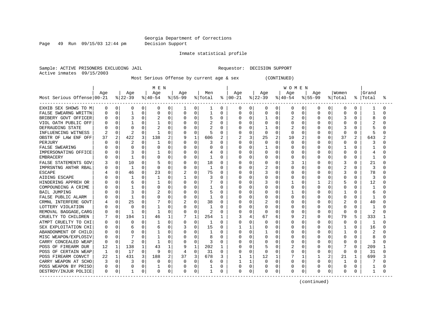Page 49 Run 09/15/03 12:44 pm Decision Support

Inmate statistical profile

Sample: ACTIVE PRISONERS EXCLUDING JAIL **Requestor: DECISION SUPPORT** Active inmates 09/15/2003

Most Serious Offense by current age & sex (CONTINUED)

|                            |     |          |                |   | MEN          |              |           |             |                |          |          |             |           |              | WOMEN       |          |              |                |             |              |                |   |
|----------------------------|-----|----------|----------------|---|--------------|--------------|-----------|-------------|----------------|----------|----------|-------------|-----------|--------------|-------------|----------|--------------|----------------|-------------|--------------|----------------|---|
|                            | Age |          | Age            |   | Age          |              | Age       |             | Men            |          | Age      |             | Age       |              | Age         |          | Age          |                | Women       |              | Grand          |   |
| Most Serious Offense 00-21 |     |          | $ 22-39$       |   | $ 40-54$     |              | $8 55-99$ |             | % Total        | ႜ        | $ 00-21$ |             | $ 22-39 $ |              | $8 40-54$   |          | $8155 - 99$  |                | % Total     |              | %   Total      | ႜ |
| EXHIB SEX SHOWS TO M       | 0   | 0        | 0              | 0 | 0            | 0            | T         | 0           | 1              | 0        | 0        | 0           | 0         | 0            | 0           | 0        | 0            | 0              | 0           | 0            |                | O |
| FALSE SWEARNG WRITTN       | 0   | 0        |                | 0 |              | 0            | 0         | 0           |                | $\Omega$ | 0        | 0           | 0         | 0            | $\Omega$    | 0        | 0            | 0              | $\Omega$    |              |                |   |
| BRIBERY GOVT OFFICER       |     | 0        |                | 0 |              | O            | $\Omega$  | $\mathbf 0$ | 5              | $\Omega$ | U        | $\mathbf 0$ |           | $\Omega$     |             | $\Omega$ | $\Omega$     | $\Omega$       | 3           | $\Omega$     | 8              | U |
| VIOL OATH PUBLIC OFF       |     | 0        |                | O |              | O            | O         | O           |                | 0        | ი        | $\Omega$    | U         | $\Omega$     | O           | 0        | ∩            | O              | $\Omega$    | <sup>0</sup> |                |   |
| DEFRAUDING STATE           |     | 0        | <sup>0</sup>   | O |              | O            | O         | 0           |                | O        | Ω        | $\Omega$    |           | U            |             | U        |              | O              | 3           | $\Omega$     |                |   |
| INFLUENCING WITNESS        |     | $\Omega$ | 2              | 0 | -1           | O            | O         | $\mathbf 0$ | 5              | O        |          | 0           | 0         | $\Omega$     | $\Omega$    | U        |              | $\Omega$       | $\Omega$    | $\Omega$     | 5              |   |
| OBSTR OF LAW ENF OFF       | 37  | 2        | 422            | 3 | 138          | 2            | 9         | $\mathbf 1$ | 606            | 2        | 2        | 3           | 25        | 2            | 10          | 2        |              | 0              | 37          | 2            | 643            |   |
| PERJURY                    |     | $\Omega$ | 2              | 0 | 1            | 0            |           | $\mathbf 0$ |                | $\Omega$ | Ω        | $\mathbf 0$ | 0         | $\Omega$     | $\mathbf 0$ | O        | $\Omega$     | $\Omega$       | $\Omega$    | 0            | 3              |   |
| <b>FALSE SWEARING</b>      |     | 0        | C              | 0 |              | $\Omega$     |           | 0           |                | 0        | Ω        | 0           |           | $\Omega$     | O           | O        | $\Omega$     | O              |             | $\Omega$     |                |   |
| IMPERSONATING OFFICE       |     | $\Omega$ | 3              | 0 |              | 0            | 0         | 0           |                | 0        | ი        | $\Omega$    | 0         | $\Omega$     | 0           | 0        | $\Omega$     | O              | O           | $\Omega$     |                | ∩ |
| <b>EMBRACERY</b>           |     | 0        | -1             | 0 | O            | 0            | O         | 0           | 1              | $\Omega$ | U        | 0           | 0         | O            | $\Omega$    | 0        | $\Omega$     | $\Omega$       | $\Omega$    | 0            | -1             | U |
| FALSE STATEMENTS GOV       |     | 0        | 10             | 0 |              | 0            | 0         | 0           | 18             | 0        | U        | 0           | 0         | $\Omega$     | 3           | 1        | <sup>0</sup> | 0              | 3           | $\Omega$     | 21             |   |
| IMPRSNTNG ANTHR RBAL       |     | 0        | -1             | 0 | $\Omega$     | 0            | 0         | 0           | 1              | 0        | U        | 0           | 2         | O            | $\Omega$    | 0        | $\Omega$     | O              | 2           | $\Omega$     | 3              | U |
| <b>ESCAPE</b>              |     | $\Omega$ | 46             | 0 | 23           | 0            | 2         | $\mathbf 0$ | 75             | 0        | 0        | $\Omega$    | 3         | 0            | $\Omega$    | 0        | 0            | O              | 3           | 0            | 78             |   |
| AIDING ESCAPE              |     | O        | -1             | 0 | $\mathbf{1}$ | 0            |           | 0           | 3              | O        | Ω        | 0           | 0         | O            | $\Omega$    |          |              | O              | $\Omega$    |              | 3              |   |
| HINDERING APPREH OR        |     | O        | 6              | 0 |              | O            | 0         | 0           |                | $\Omega$ | Ω        | 0           |           | n            |             | U        |              |                |             | O            | 12             |   |
| COMPOUNDING A CRIME        |     | $\Omega$ |                | 0 |              | O            | O         | 0           |                | $\Omega$ | ი        | $\Omega$    | Ω         | ∩            | $\Omega$    | U        | $\cap$       | $\cap$         | $\cap$      | <sup>0</sup> |                |   |
| <b>BAIL JUMPING</b>        |     | 0        | 3              | O |              | O            | O         | O           |                | O        | Ω        | $\Omega$    |           | O            |             | 0        | $\Omega$     | O              |             | <sup>0</sup> | 6              |   |
| FALSE PUBLIC ALARM         |     | $\Omega$ |                | 0 |              | O            | 0         | 0           |                | O        | Ω        | $\Omega$    | 0         | $\Omega$     | $\Omega$    | O        |              | $\Omega$       | $\Omega$    | $\Omega$     |                |   |
| CRMNL INTERFERE GOVT       |     | 0        | 25             | 0 |              | $\Omega$     | 2         | $\mathbf 0$ | 38             | $\Omega$ | Ω        | 0           | 2         | $\Omega$     | O           | O        | <sup>0</sup> | $\Omega$       | 2           | $\Omega$     | 40             |   |
| LOTTERY VIOLATION          |     | $\Omega$ | <sup>0</sup>   | O |              | O            |           | 0           |                | O        | Ω        | 0           |           | O            | O           | O        |              | $\Omega$       | $\Omega$    | $\Omega$     |                |   |
| REMOVAL BAGGAGE, CARG      |     | 0        | $\mathbf{1}$   | 0 |              | 0            |           | $\mathbf 0$ | $\overline{2}$ | $\Omega$ |          | $\mathbf 0$ | 0         | O            | $\Omega$    | 0        |              | 0              | $\mathbf 0$ | 0            | $\overline{c}$ |   |
| CRUELTY TO CHILDREN        |     | $\Omega$ | 194            | 1 | 46           | 1            |           | 1           | 254            | 1        | 3        | 4           | 67        | 6            | 9           | 2        | <sup>0</sup> | $\Omega$       | 79          | 5            | 333            |   |
| ATMPT CRUELTY TO CHI       | 0   | $\Omega$ | $\Omega$       | 0 | 1            | $\Omega$     | 0         | 0           | $\mathbf{1}$   | $\Omega$ | 0        | 0           | Ω         | $\Omega$     | $\Omega$    | O        | $\Omega$     | $\Omega$       | $\Omega$    | $\Omega$     | 1              | ∩ |
| SEX EXPLOITATION CHI       |     | $\Omega$ | 6              | 0 | 6            | O            |           | 0           | 15             | 0        |          | 1           |           | $\Omega$     | U           | O        | <sup>0</sup> | O              |             | <sup>0</sup> | 16             |   |
| ABANDONMENT OF CHILD       | n   | $\Omega$ | U              | 0 |              | 0            |           | 0           |                | 0        | U        | 0           |           | O            | O           | O        | O            | O              |             | 0            | 2              |   |
| MISC WEAPON/EXPLOSIV       | n   | $\Omega$ |                | 0 |              | O            | 0         | 0           | 8              | 0        | U        | 0           | 0         | $\Omega$     | O           | U        | $\Omega$     | O              | $\Omega$    | $\Omega$     | 8              |   |
| CARRY CONCEALED WEAP       | 0   | $\Omega$ | $\overline{a}$ | 0 |              | 0            | 0         | 0           | 3              | 0        | Ω        | 0           |           | 0            | 0           | 0        |              | 0              | $\Omega$    | $\Omega$     | 3              |   |
| POSS OF FIREARM DUR        | 12  | 1        | 138            | 1 | 43           | $\mathbf{1}$ | 9         | 1           | 202            |          | Ω        | $\Omega$    | 5         | O            |             |          | <sup>0</sup> | 0              |             | $\Omega$     | 209            |   |
| POSS OF CERTAIN WEAP       |     | 0        | 17             | O | 9            | $\Omega$     | 4         | $\Omega$    | 31             | 0        | U        | $\Omega$    | O         | $\Omega$     | O           | U        | <sup>0</sup> | O              | $\Omega$    | <sup>0</sup> | 31             |   |
| POSS FIREARM CONVCT        | 22  | 1        | 431            | 3 | 188          | 2            | 37        | 3           | 678            | 3        |          | 1           | 12        | $\mathbf{1}$ |             | 1        |              | $\overline{2}$ | 21          |              | 699            |   |
| CARRY WEAPON AT SCHO       |     | 0        | 3              | 0 | $\Omega$     | $\Omega$     | O         | $\mathbf 0$ | 6              | 0        |          | 1           | O         | $\Omega$     | $\Omega$    | 0        | $\Omega$     | $\Omega$       | -1          | $\Omega$     |                |   |
| POSS WEAPON BY PRISO       | 0   | 0        | 0              | 0 |              | 0            |           | 0           |                | 0        | 0        | 0           | 0         | 0            | 0           | 0        |              | $\Omega$       | 0           | 0            |                |   |
| DESTROY/INJUR POLICE       | 0   | 0        |                | 0 | 0            | 0            | 0         | 0           | 1              | 0        | 0        | 0           | 0         | 0            | $\Omega$    | 0        | $\Omega$     | 0              | $\Omega$    | 0            |                |   |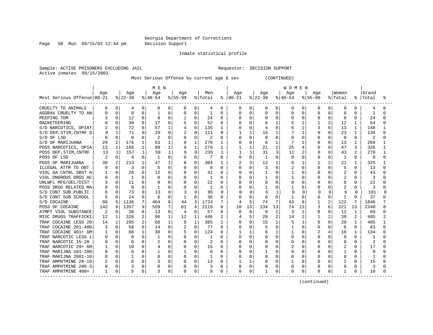Page 50 Run 09/15/03 12:44 pm Decision Support

Inmate statistical profile

Sample: ACTIVE PRISONERS EXCLUDING JAIL **Requestor: DECISION SUPPORT** Active inmates 09/15/2003

Most Serious Offense by current age & sex (CONTINUED)

|                            | M E N            |              |              |              |           |              |              |                |         |              | <b>WOMEN</b> |              |          |              |          |              |             |                |              |                |       |   |
|----------------------------|------------------|--------------|--------------|--------------|-----------|--------------|--------------|----------------|---------|--------------|--------------|--------------|----------|--------------|----------|--------------|-------------|----------------|--------------|----------------|-------|---|
|                            | Age              |              | Age          |              | Age       |              | Age          |                | Men     |              | Age          |              | Age      |              | Age      |              | Age         |                | Women        |                | Grand |   |
| Most Serious Offense 00-21 |                  |              | $ 22-39$     |              | $ 40-54 $ |              | $ 55-99$     |                | % Total | ႜ            | $ 00 - 21$   |              | $ 22-39$ |              | $ 40-54$ |              | $8155 - 99$ |                | % Total      | ႜ              | Total | ႜ |
| CRUELTY TO ANIMALS         | 0                | 0            | 4            | 0            | 0         | 0            | 0            | 0              | 4       | 0            | 0            | 0            | 0        | 0            | 0        | 0            | 0           | 0              | 0            | 0              | 4     |   |
| AGGRAV CRUELTY TO AN       | 0                | $\Omega$     | $\Omega$     | 0            |           | 0            | 0            | $\mathbf 0$    |         | 0            | 0            | 0            | 0        | 0            | 0        | 0            | $\Omega$    | 0              | 0            | O              | -1    |   |
| PEEPING TOM                |                  | 0            | 12           | 0            | 8         | 0            |              | $\Omega$       | 24      | $\Omega$     | 0            | 0            | 0        | $\Omega$     | 0        | $\Omega$     | 0           | 0              | $\Omega$     | $\Omega$       | 24    |   |
| RACKETEERING               |                  | 0            | 30           | $\Omega$     | 17        | $\Omega$     | 5            | $\Omega$       | 52      | <sup>0</sup> | U            | $\Omega$     | б        |              |          | -1           |             | 2              | 12           | 1              | 64    |   |
| S/D NARCOTICS, OPIAT       |                  | 0            | 72           | 0            | 57        | 1            | 4            | $\Omega$       | 135     | 1            | O            | $\Omega$     | 4        | $\cap$       | 6        | 1            | 3           | б.             | 13           | 1              | 148   |   |
| S/D DEP, STIM, CNTRF D     |                  | 1            | 71           | O            | 29        | $\Omega$     | 2            | $\Omega$       | 111     | $\Omega$     |              | 1            | 15       |              |          | 1            | $\Omega$    | 0              | 23           | 1.             | 134   |   |
| S/D OF LSD                 | C                | $\Omega$     | $\Omega$     | 0            | 2         | $\Omega$     |              | $\mathbf 0$    | 2       | 0            | Ω            | $\Omega$     | O        | O            | O        | 0            | 0           | 0              | $\Omega$     | $\Omega$       | 2     |   |
| S/D OF MARIJUANA           | 29               | 2            | 176          | $\mathbf{1}$ | 63        | $\mathbf{1}$ | 8            | $\mathbf 1$    | 276     | 1            | Ω            | $\mathbf 0$  | 6        |              |          | 1            | 0           | 0              | 13           | $\mathbf{1}$   | 289   |   |
| POSS NARCOTICS, OPIA       | 13               | 1            | 168          | $\mathbf{1}$ | 89        | $\mathbf{1}$ |              | 1              | 279     | 1            |              | 1            | 21       | 2            | 25       | 4            | 0           | 0              | 47           | 3              | 326   |   |
| POSS DEP, STIM, CNTRF      | 13               | $\mathbf{1}$ | 157          | 1            | 59        | 1            | 6            | $\Omega$       | 235     | 1            | $\mathbf{1}$ | $\mathbf{1}$ | 31       | 3            | 11       | 2            | O           | $\Omega$       | 43           | $\overline{a}$ | 278   |   |
| POSS OF LSD                | 2                | 0            | 4            | 0            | -1        | 0            | $\Omega$     | 0              | 7       | $\Omega$     | 0            | $\mathbf 0$  | -1       | O            | 0        | 0            | $\Omega$    | 0              | 1            | $\Omega$       | 8     |   |
| POSS OF MARIJUANA          | 38               | 2            | 213          | 1            | 47        | 1            | 6            | 0              | 304     | 1            | 2            | 3            | 12       | 1            | 6        | 1            |             | $\overline{2}$ | 21           | 1              | 325   |   |
| ILLEGAL ATTM TO OBT        | O                | 0            | 3            | 0            | 5         | $\Omega$     | <sup>0</sup> | 0              | 8       | 0            | U            | 0            | 3        | $\Omega$     |          | $\Omega$     | O           | 0              | 5            | $\Omega$       | 13    |   |
| VIOL GA CNTRL SBST A       |                  | 0            | 28           | 0            | 12        | 0            | 0            | $\Omega$       | 41      | 0            | 0            | 0            |          | 0            |          | 0            | 0           | O              | 2            | O              | 43    |   |
| VIOL DNGROUS DRGS AC       | $\left( \right)$ | 0            | $\mathbf{1}$ | 0            | $\Omega$  | O            |              | 0              |         | 0            | Ω            | 0            |          | O            |          | O            | O           |                | 2            |                | 3     |   |
| UNLWFL MFG/DEL/DIST        |                  | 0            | 11           | 0            |           | O            |              | $\Omega$       | 22      | <sup>0</sup> | Ω            | 0            | U        | O            | O        | O            | O           |                | $\Omega$     | O              | 22    |   |
| POSS DRUG RELATED MA       |                  | 0            | $\Omega$     | O            |           | O            |              | $\Omega$       | 1       | 0            | U            | 0            |          | U            |          | O            | O           |                |              | U              | 3     |   |
| S/D CONT SUB PUBLIC        |                  | O            | 73           | 0            | 13        | O            | 3            | $\cap$         | 95      | $\Omega$     | U            | 0            |          |              | ∩        | <sup>0</sup> |             | 0              | 6            | $\Omega$       | 101   |   |
| S/D CONT SUB SCHOOL        | 5                | 0            | 24           | 0            | 6         | $\Omega$     |              | $\Omega$       | 36      | 0            | 0            | $\Omega$     | 0        | $\Omega$     |          | 0            | 0           | $\Omega$       | $\mathbf{1}$ | $\Omega$       | 37    |   |
| S/D COCAINE                | 80               | 5            | 1136         | 7            | 464       | 6            | 44           | 3              | 1724    | 7            | 4            | 5            | 74       | 7            | 43       | 8            | 1           | 2              | 122          |                | 1846  |   |
| POSS OF COCAINE            | 142              | 9            | 1357         | 9            | 559       | 7            | 61           | $\overline{4}$ | 2119    | 8            | 10           | 13           | 134      | 13           | 74       | 13           | 3           | 6              | 221          | 13             | 2340  |   |
| ATMPT VIOL SUBSTANCE       | 2                | 0            | 38           | 0            | 13        | 0            | 4            | $\mathbf 0$    | 57      | $\Omega$     | U            | $\mathbf 0$  | 9        | $\mathbf{1}$ | 3        | $\mathbf{1}$ | 0           | 0              | 12           | $\mathbf{1}$   | 69    |   |
| MISC DRUGS TRAFFICKI       | 12               | 1            | 326          | 2            | 96        | 1            | 12           | 1              | 446     | 2            | 4            | 5            | 20       | 2            | 14       | 2            |             | $\overline{2}$ | 39           | $\overline{a}$ | 485   |   |
| TRAF COCAINE LESS 20       | 14               | 1            | 295          | 2            | 68        | 1            | 8            | $\mathbf 1$    | 385     | 1            | 0            | 0            | 15       | 1            | 5        | 1            | 0           | 0              | 20           | $\mathbf{1}$   | 405   |   |
| TRAF COCAINE 201-400       |                  | $\Omega$     | 58           | 0            | 14        | $\Omega$     |              | $\Omega$       | 77      | <sup>0</sup> | O            | $\Omega$     | 5        | $\Omega$     | 1        | $\Omega$     | O           | 0              | 6            | $\Omega$       | 83    |   |
| TRAF COCAINE 401+ GM       |                  | 0            | 88           | 1            | 30        | 0            |              | 0              | 124     | 0            |              | 1            | 6        | 1            |          | 0            |             | 4              | 10           | -1             | 134   |   |
| TRAF NARCOTIC LESS 1       | O                | 0            | $\Omega$     | 0            | 1         | O            | 0            | 0              | 1       | 0            | U            | 0            | 0        | 0            | 0        | O            | O           | O              | 0            | <sup>0</sup>   | 1     |   |
| TRAF NARCOTIC 15-28        | 0                | 0            | 0            | 0            |           | 0            | 0            | 0              | 2       | 0            | 0            | 0            |          | 0            | 0        | 0            | 0           |                | 0            |                | 2     |   |
| TRAF NARCOTIC 29+ GM       |                  | 0            | 10           | 0            |           | 0            |              | 0              | 15      | O            | Ω            | 0            |          | O            |          | O            | 0           |                |              | $\Omega$       | 17    |   |
| TRAF MARIJNA 101-200       |                  | $\Omega$     | 6            | O            |           | O            |              | $\Omega$       |         | 0            | Ω            | $\Omega$     |          | O            | O        | O            | $\Omega$    | O              | $\mathbf{1}$ | $\Omega$       |       |   |
| TRAF MARIJNA 2001-10       |                  | 0            | 1            | 0            | O         | O            | $\Omega$     | 0              |         | 0            | U            | 0            | U        | 0            | 0        | $\Omega$     | O           | 0              | $\Omega$     | O              |       |   |
| TRAF AMPHTMINE 28-19       |                  | $\Omega$     | 8            | 0            |           | $\Omega$     | <sup>0</sup> | $\mathbf 0$    | 13      | 0            |              | 1            | 0        | 0            | 1        | $\Omega$     | O           | $\Omega$       | 2            | $\Omega$       | 15    |   |
| TRAF AMPHTMINE 200-3       | 0                | $\Omega$     | 3            | 0            |           | $\Omega$     |              | $\mathbf 0$    | 3       | 0            | 0            | $\mathbf 0$  | 0        | 0            | 0        | 0            | 0           | 0              | 0            | 0              | 3     |   |
| TRAF AMPHTMINE 400+        | 1                | 0            | 5            | 0            | 3         | 0            | 0            | 0              | 9       | 0            | 0            | 0            |          | 0            | 0        | $\Omega$     | 0           | 0              | 1            | 0              | 10    |   |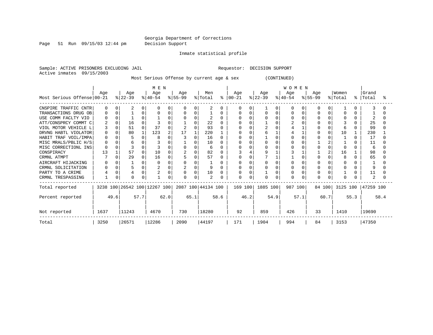Page 51 Run 09/15/03 12:44 pm Decision Support

Inmate statistical profile

Sample: ACTIVE PRISONERS EXCLUDING JAIL **Requestor: DECISION SUPPORT** Active inmates 09/15/2003

Most Serious Offense by current age & sex (CONTINUED)

|                            |      |           | M E N                        |                  |                    |                   |          |           |                |                      |           |  |
|----------------------------|------|-----------|------------------------------|------------------|--------------------|-------------------|----------|-----------|----------------|----------------------|-----------|--|
|                            | Age  | Age       | Age                          | Age              | Men                | Age               | Age      | Age       | Age            | Women                | Grand     |  |
| Most Serious Offense 00-21 |      | $ 22-39 $ | $ 40-54 $                    | $ 55-99 $        | % Total            | $8   00 - 21$     | $ 22-39$ | $ 40-54 $ | $8 55-99$      | % Total<br>$\approx$ | Total     |  |
| CNSPIRE TRAFFIC CNTR       |      |           |                              | $\left( \right)$ | 2                  | O                 | 0        | 0         |                |                      |           |  |
| TRANSACTIONS DRUG OB       |      |           |                              | $\Omega$         | O                  | O<br>0            | $\Omega$ | $\Omega$  |                |                      |           |  |
| USE COMM FACLTY VIO        |      |           |                              |                  |                    | O                 | $\Omega$ |           |                |                      |           |  |
| ATT/CONSPRCY COMMT C       |      | 16        |                              |                  | 22                 |                   | $\Omega$ |           |                |                      | 25        |  |
| VIOL MOTOR VEHICLE L       |      | 51        | 37                           |                  | 93                 |                   |          |           |                | 6                    | 99        |  |
| DRVNG HABTL VIOLATOR       |      | 80        | 123                          | 17               | 220                |                   |          |           | <sup>0</sup>   | 10                   | 230       |  |
| HABIT TRAF VOIL/IMPA       |      |           | 8                            |                  | 16                 |                   | $\Omega$ | $\Omega$  |                |                      | 17        |  |
| MISC MRALS/PBLIC H/S       |      | 6         |                              |                  | 10                 |                   |          |           |                |                      | 11        |  |
| MISC CORRECTIONL INS       |      |           |                              |                  | 6                  |                   |          |           | $\cap$         | O                    | 6         |  |
| CONSPIRACY                 | 13   | 57        | 10<br>0                      | 2<br>O           | 82                 |                   |          |           | $\overline{2}$ | 16                   | 98        |  |
| CRMNL ATMPT                |      | 29        | 16                           |                  | 57                 | O<br>O            |          |           |                | 8                    | 65        |  |
| AIRCRAFT HIJACKING         |      |           | 0                            |                  | U                  |                   |          |           |                |                      |           |  |
| CRMNL SOLICITATION         |      |           |                              | $\Omega$         | 9                  | 0<br>O            | $\Omega$ | $\Omega$  | $\Omega$       | 0                    | 9         |  |
| PARTY TO A CRIME           |      |           |                              | 0                | 10                 | <sup>0</sup>      | $\Omega$ |           |                |                      | 11        |  |
| CRMNL TRESPASSING          | 0    |           | U                            |                  | 2                  | O<br><sup>0</sup> | $\Omega$ | $\Omega$  |                | U                    | 2         |  |
| Total reported             |      |           | 3238 100 26542 100 12267 100 |                  | 2087 100 44134 100 | 169 100           | 1885 100 | 987 100   | 84 100         | 3125 100             | 47259 100 |  |
| Percent reported           | 49.6 | 57.7      | 62.0                         | 65.1             | 58.6               | 46.2              | 54.9     | 57.1      | 60.7           | 55.3                 | 58.4      |  |
| Not reported               | 1637 | 11243     | 4670                         | 730              | 18280              | 92                | 859      | 426       | 33             | 1410                 | 19690     |  |
| Total                      | 3250 | 26571     | 12286                        | 2090             | 44197              | 171               | 1904     | 994       | 84             | 3153                 | 47350     |  |